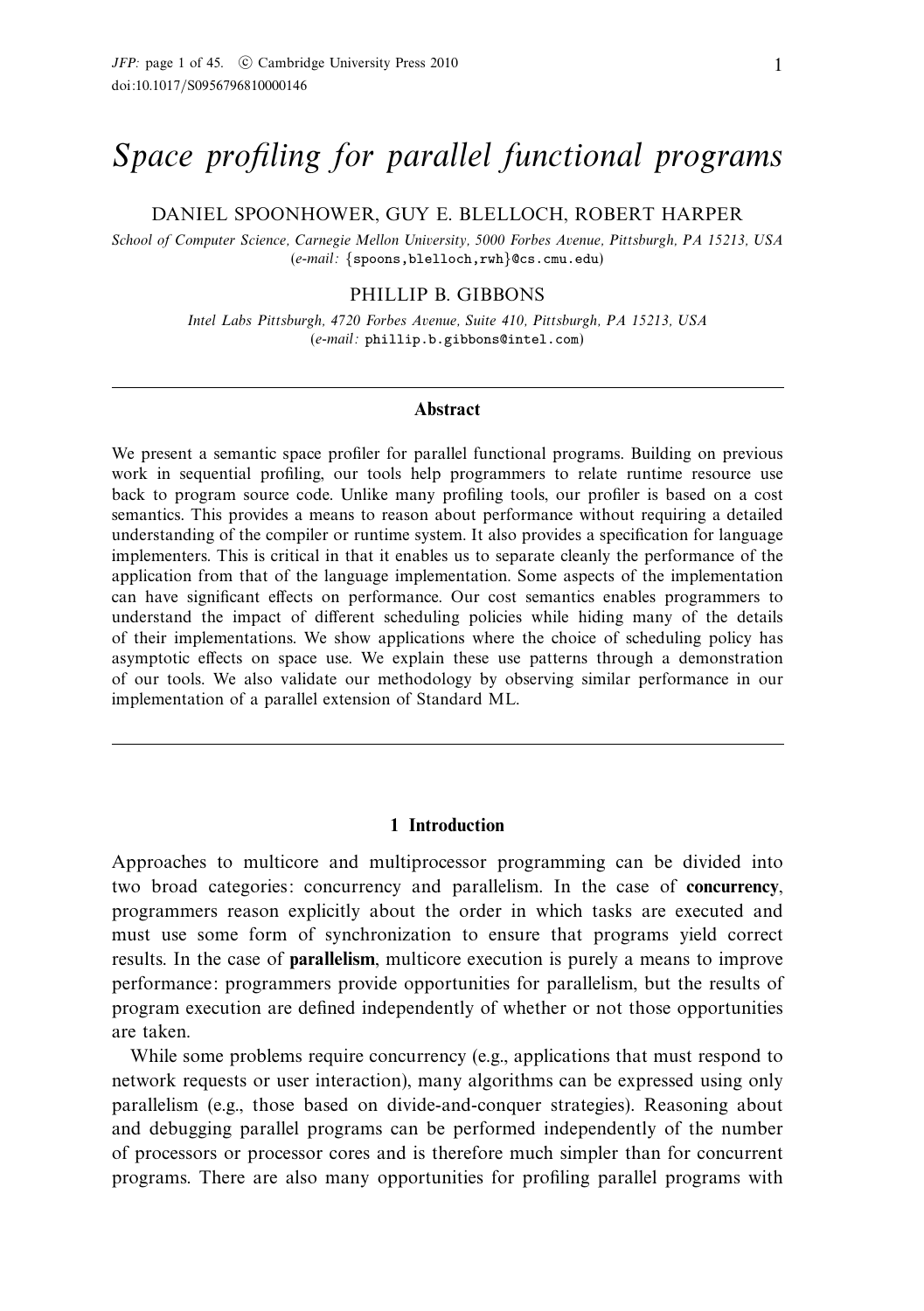# Space profiling for parallel functional programs

#### DANIEL SPOONHOWER, GUY E. BLELLOCH, ROBERT HARPER

School of Computer Science, Carnegie Mellon University, 5000 Forbes Avenue, Pittsburgh, PA 15213, USA (e-mail: {spoons,blelloch,rwh}@cs.cmu.edu)

# PHILLIP B. GIBBONS

Intel Labs Pittsburgh, 4720 Forbes Avenue, Suite 410, Pittsburgh, PA 15213, USA (e-mail: phillip.b.gibbons@intel.com)

#### **Abstract**

We present a semantic space profiler for parallel functional programs. Building on previous work in sequential profiling, our tools help programmers to relate runtime resource use back to program source code. Unlike many profiling tools, our profiler is based on a cost semantics. This provides a means to reason about performance without requiring a detailed understanding of the compiler or runtime system. It also provides a specification for language implementers. This is critical in that it enables us to separate cleanly the performance of the application from that of the language implementation. Some aspects of the implementation can have significant effects on performance. Our cost semantics enables programmers to understand the impact of different scheduling policies while hiding many of the details of their implementations. We show applications where the choice of scheduling policy has asymptotic effects on space use. We explain these use patterns through a demonstration of our tools. We also validate our methodology by observing similar performance in our implementation of a parallel extension of Standard ML.

## **1 Introduction**

Approaches to multicore and multiprocessor programming can be divided into two broad categories: concurrency and parallelism. In the case of **concurrency**, programmers reason explicitly about the order in which tasks are executed and must use some form of synchronization to ensure that programs yield correct results. In the case of **parallelism**, multicore execution is purely a means to improve performance: programmers provide opportunities for parallelism, but the results of program execution are defined independently of whether or not those opportunities are taken.

While some problems require concurrency (e.g., applications that must respond to network requests or user interaction), many algorithms can be expressed using only parallelism (e.g., those based on divide-and-conquer strategies). Reasoning about and debugging parallel programs can be performed independently of the number of processors or processor cores and is therefore much simpler than for concurrent programs. There are also many opportunities for profiling parallel programs with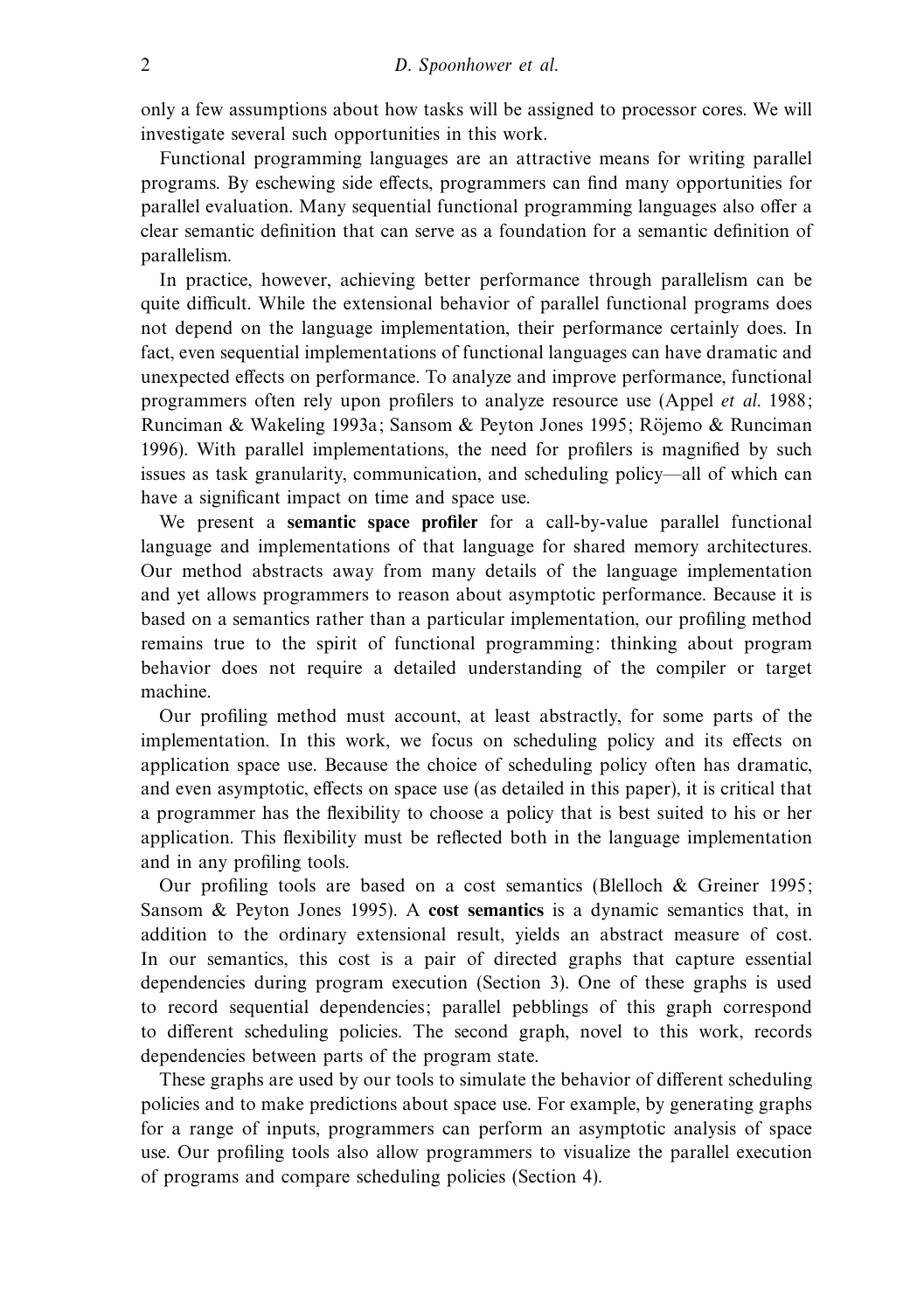only a few assumptions about how tasks will be assigned to processor cores. We will investigate several such opportunities in this work.

Functional programming languages are an attractive means for writing parallel programs. By eschewing side effects, programmers can find many opportunities for parallel evaluation. Many sequential functional programming languages also offer a clear semantic definition that can serve as a foundation for a semantic definition of parallelism.

In practice, however, achieving better performance through parallelism can be quite difficult. While the extensional behavior of parallel functional programs does not depend on the language implementation, their performance certainly does. In fact, even sequential implementations of functional languages can have dramatic and unexpected effects on performance. To analyze and improve performance, functional programmers often rely upon profilers to analyze resource use (Appel et al. 1988; Runciman & Wakeling 1993a; Sansom & Peyton Jones 1995; Röjemo & Runciman 1996). With parallel implementations, the need for profilers is magnified by such issues as task granularity, communication, and scheduling policy—all of which can have a significant impact on time and space use.

We present a **semantic space profiler** for a call-by-value parallel functional language and implementations of that language for shared memory architectures. Our method abstracts away from many details of the language implementation and yet allows programmers to reason about asymptotic performance. Because it is based on a semantics rather than a particular implementation, our profiling method remains true to the spirit of functional programming: thinking about program behavior does not require a detailed understanding of the compiler or target machine.

Our profiling method must account, at least abstractly, for some parts of the implementation. In this work, we focus on scheduling policy and its effects on application space use. Because the choice of scheduling policy often has dramatic, and even asymptotic, effects on space use (as detailed in this paper), it is critical that a programmer has the flexibility to choose a policy that is best suited to his or her application. This flexibility must be reflected both in the language implementation and in any profiling tools.

Our profiling tools are based on a cost semantics (Blelloch & Greiner 1995; Sansom & Peyton Jones 1995). A **cost semantics** is a dynamic semantics that, in addition to the ordinary extensional result, yields an abstract measure of cost. In our semantics, this cost is a pair of directed graphs that capture essential dependencies during program execution (Section 3). One of these graphs is used to record sequential dependencies; parallel pebblings of this graph correspond to different scheduling policies. The second graph, novel to this work, records dependencies between parts of the program state.

These graphs are used by our tools to simulate the behavior of different scheduling policies and to make predictions about space use. For example, by generating graphs for a range of inputs, programmers can perform an asymptotic analysis of space use. Our profiling tools also allow programmers to visualize the parallel execution of programs and compare scheduling policies (Section 4).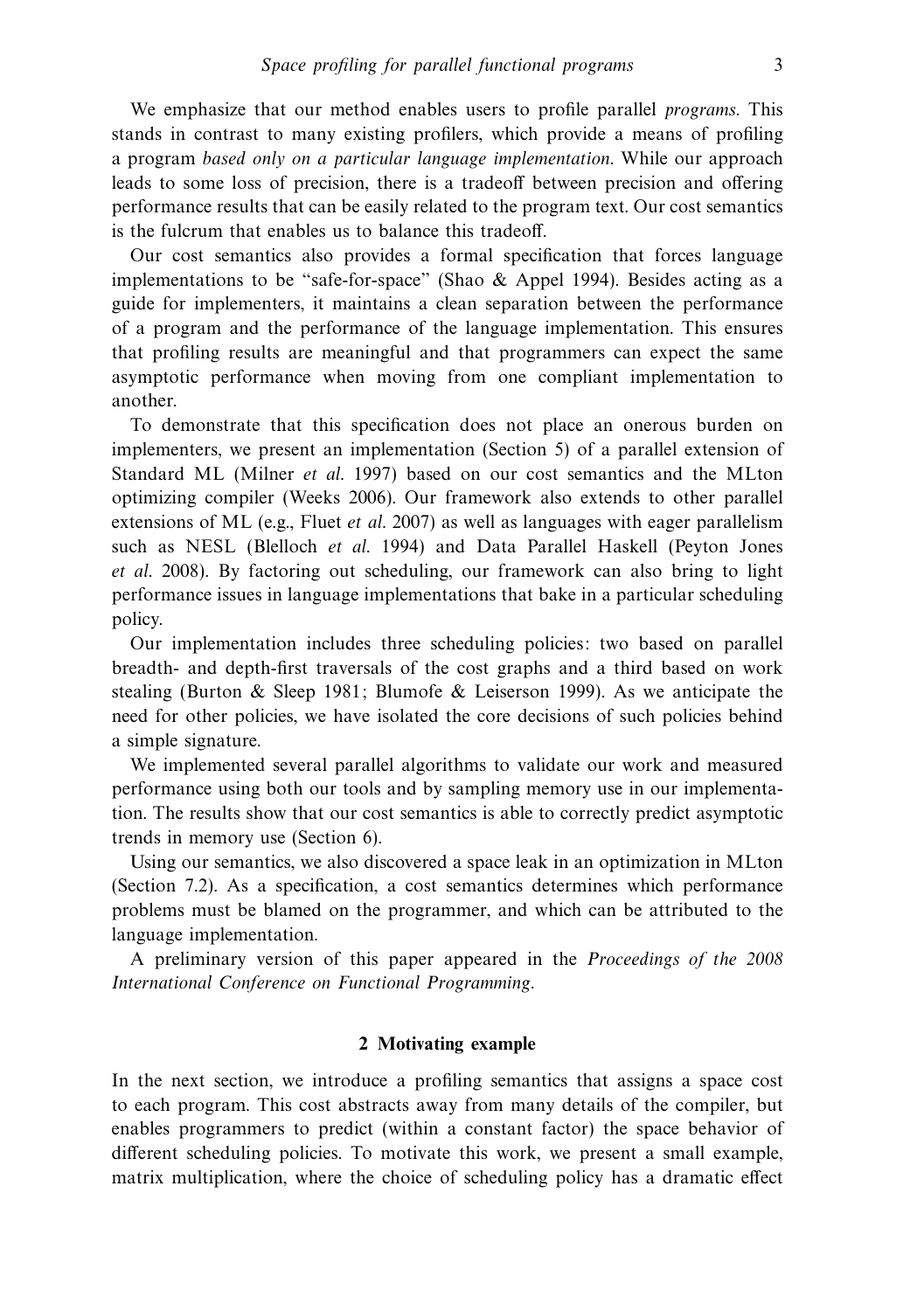We emphasize that our method enables users to profile parallel *programs*. This stands in contrast to many existing profilers, which provide a means of profiling a program based only on a particular language implementation. While our approach leads to some loss of precision, there is a tradeoff between precision and offering performance results that can be easily related to the program text. Our cost semantics is the fulcrum that enables us to balance this tradeoff.

Our cost semantics also provides a formal specification that forces language implementations to be "safe-for-space" (Shao & Appel 1994). Besides acting as a guide for implementers, it maintains a clean separation between the performance of a program and the performance of the language implementation. This ensures that profiling results are meaningful and that programmers can expect the same asymptotic performance when moving from one compliant implementation to another.

To demonstrate that this specification does not place an onerous burden on implementers, we present an implementation (Section 5) of a parallel extension of Standard ML (Milner et al. 1997) based on our cost semantics and the MLton optimizing compiler (Weeks 2006). Our framework also extends to other parallel extensions of ML (e.g., Fluet *et al.* 2007) as well as languages with eager parallelism such as NESL (Blelloch et al. 1994) and Data Parallel Haskell (Peyton Jones et al. 2008). By factoring out scheduling, our framework can also bring to light performance issues in language implementations that bake in a particular scheduling policy.

Our implementation includes three scheduling policies: two based on parallel breadth- and depth-first traversals of the cost graphs and a third based on work stealing (Burton & Sleep 1981; Blumofe & Leiserson 1999). As we anticipate the need for other policies, we have isolated the core decisions of such policies behind a simple signature.

We implemented several parallel algorithms to validate our work and measured performance using both our tools and by sampling memory use in our implementation. The results show that our cost semantics is able to correctly predict asymptotic trends in memory use (Section 6).

Using our semantics, we also discovered a space leak in an optimization in MLton (Section 7.2). As a specification, a cost semantics determines which performance problems must be blamed on the programmer, and which can be attributed to the language implementation.

A preliminary version of this paper appeared in the Proceedings of the 2008 International Conference on Functional Programming.

## **2 Motivating example**

In the next section, we introduce a profiling semantics that assigns a space cost to each program. This cost abstracts away from many details of the compiler, but enables programmers to predict (within a constant factor) the space behavior of different scheduling policies. To motivate this work, we present a small example, matrix multiplication, where the choice of scheduling policy has a dramatic effect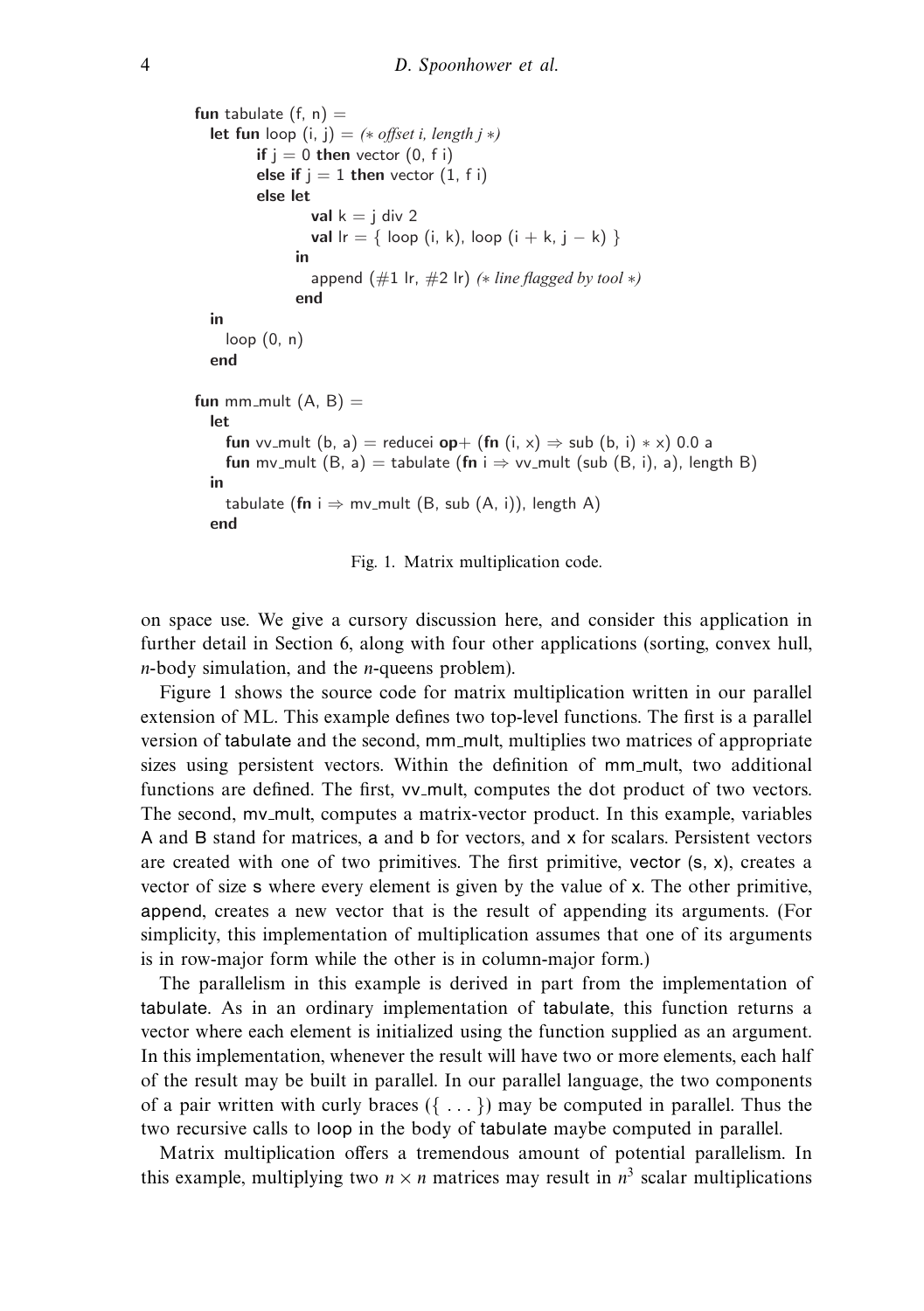```
fun tabulate (f, n) =
  let fun loop (i, j) = (* \text{offset } i, \text{length } j*)if j = 0 then vector (0, 1)else if j = 1 then vector (1, 6i)else let
                  val k = i div 2
                  val \text{lr} = \{ \text{loop} (i, k), \text{loop} (i + k, j - k) \}in
                  append (#1 lr, #2 lr) (∗ line flagged by tool ∗)
                end
  in
    loop (0, n)
  end
fun mm_mult (A, B) =let
    fun vv_mult (b, a) = reducei op+ (fn (i, x) \Rightarrow sub (b, i) * x) 0.0 a
    fun my mult (B, a) = tabulate (fn i \Rightarrow yy mult (sub (B, i), a), length B)
  in
    tabulate (fn i \Rightarrow mv mult (B, sub (A, i)), length A)
  end
```
Fig. 1. Matrix multiplication code.

on space use. We give a cursory discussion here, and consider this application in further detail in Section 6, along with four other applications (sorting, convex hull, *n*-body simulation, and the *n*-queens problem).

Figure 1 shows the source code for matrix multiplication written in our parallel extension of ML. This example defines two top-level functions. The first is a parallel version of tabulate and the second, mm mult, multiplies two matrices of appropriate sizes using persistent vectors. Within the definition of mm mult, two additional functions are defined. The first,  $vv$ -mult, computes the dot product of two vectors. The second, my\_mult, computes a matrix-vector product. In this example, variables A and B stand for matrices, a and b for vectors, and x for scalars. Persistent vectors are created with one of two primitives. The first primitive, vector (s, x), creates a vector of size s where every element is given by the value of x. The other primitive, append, creates a new vector that is the result of appending its arguments. (For simplicity, this implementation of multiplication assumes that one of its arguments is in row-major form while the other is in column-major form.)

The parallelism in this example is derived in part from the implementation of tabulate. As in an ordinary implementation of tabulate, this function returns a vector where each element is initialized using the function supplied as an argument. In this implementation, whenever the result will have two or more elements, each half of the result may be built in parallel. In our parallel language, the two components of a pair written with curly braces  $({\{\ldots\}})$  may be computed in parallel. Thus the two recursive calls to loop in the body of tabulate maybe computed in parallel.

Matrix multiplication offers a tremendous amount of potential parallelism. In this example, multiplying two  $n \times n$  matrices may result in  $n^3$  scalar multiplications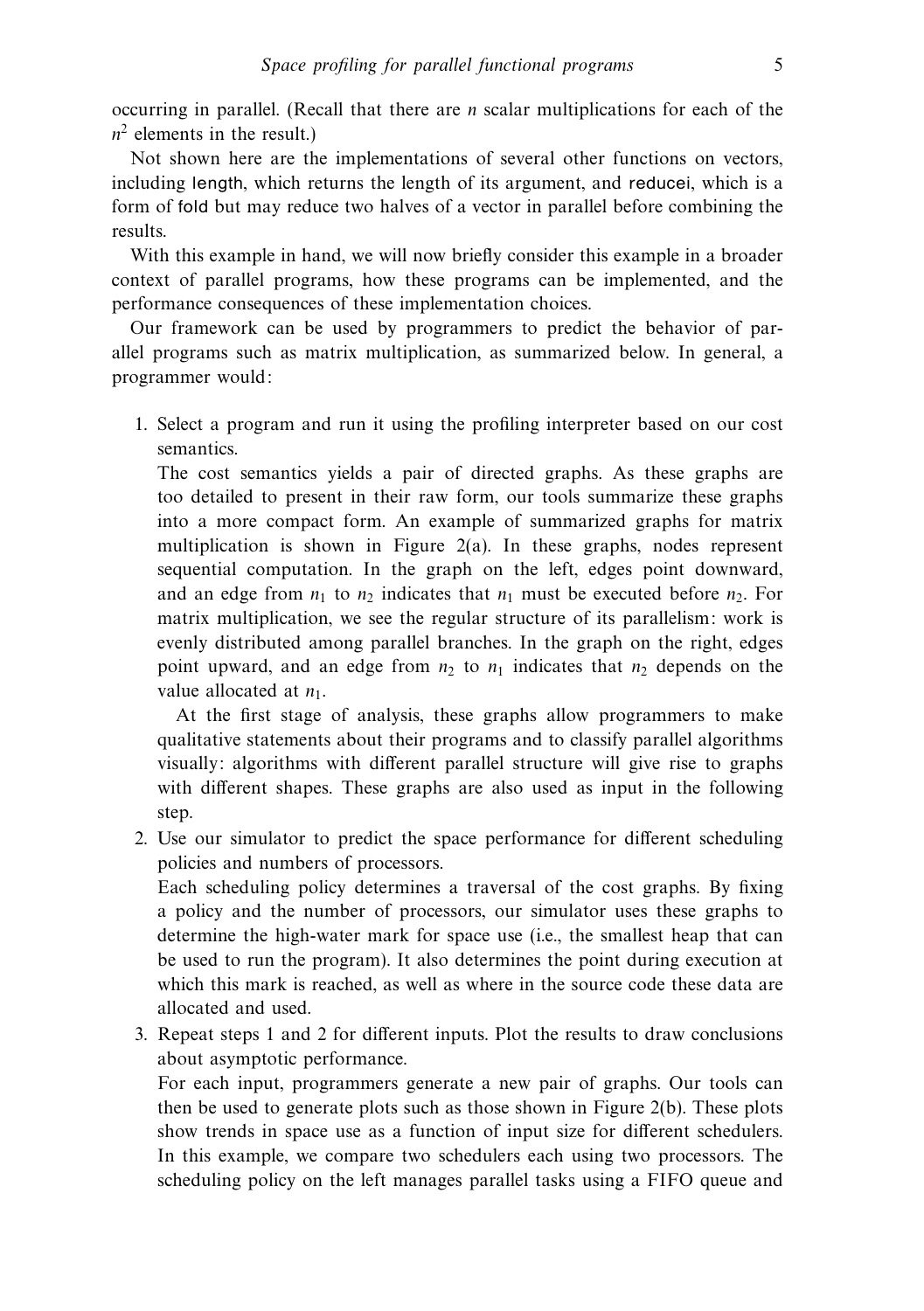occurring in parallel. (Recall that there are *n* scalar multiplications for each of the  $n^2$  elements in the result.)

Not shown here are the implementations of several other functions on vectors, including length, which returns the length of its argument, and reducei, which is a form of fold but may reduce two halves of a vector in parallel before combining the results.

With this example in hand, we will now briefly consider this example in a broader context of parallel programs, how these programs can be implemented, and the performance consequences of these implementation choices.

Our framework can be used by programmers to predict the behavior of parallel programs such as matrix multiplication, as summarized below. In general, a programmer would:

1. Select a program and run it using the profiling interpreter based on our cost semantics.

The cost semantics yields a pair of directed graphs. As these graphs are too detailed to present in their raw form, our tools summarize these graphs into a more compact form. An example of summarized graphs for matrix multiplication is shown in Figure  $2(a)$ . In these graphs, nodes represent sequential computation. In the graph on the left, edges point downward, and an edge from  $n_1$  to  $n_2$  indicates that  $n_1$  must be executed before  $n_2$ . For matrix multiplication, we see the regular structure of its parallelism: work is evenly distributed among parallel branches. In the graph on the right, edges point upward, and an edge from  $n_2$  to  $n_1$  indicates that  $n_2$  depends on the value allocated at  $n_1$ .

At the first stage of analysis, these graphs allow programmers to make qualitative statements about their programs and to classify parallel algorithms visually: algorithms with different parallel structure will give rise to graphs with different shapes. These graphs are also used as input in the following step.

2. Use our simulator to predict the space performance for different scheduling policies and numbers of processors.

Each scheduling policy determines a traversal of the cost graphs. By fixing a policy and the number of processors, our simulator uses these graphs to determine the high-water mark for space use (i.e., the smallest heap that can be used to run the program). It also determines the point during execution at which this mark is reached, as well as where in the source code these data are allocated and used.

3. Repeat steps 1 and 2 for different inputs. Plot the results to draw conclusions about asymptotic performance.

For each input, programmers generate a new pair of graphs. Our tools can then be used to generate plots such as those shown in Figure 2(b). These plots show trends in space use as a function of input size for different schedulers. In this example, we compare two schedulers each using two processors. The scheduling policy on the left manages parallel tasks using a FIFO queue and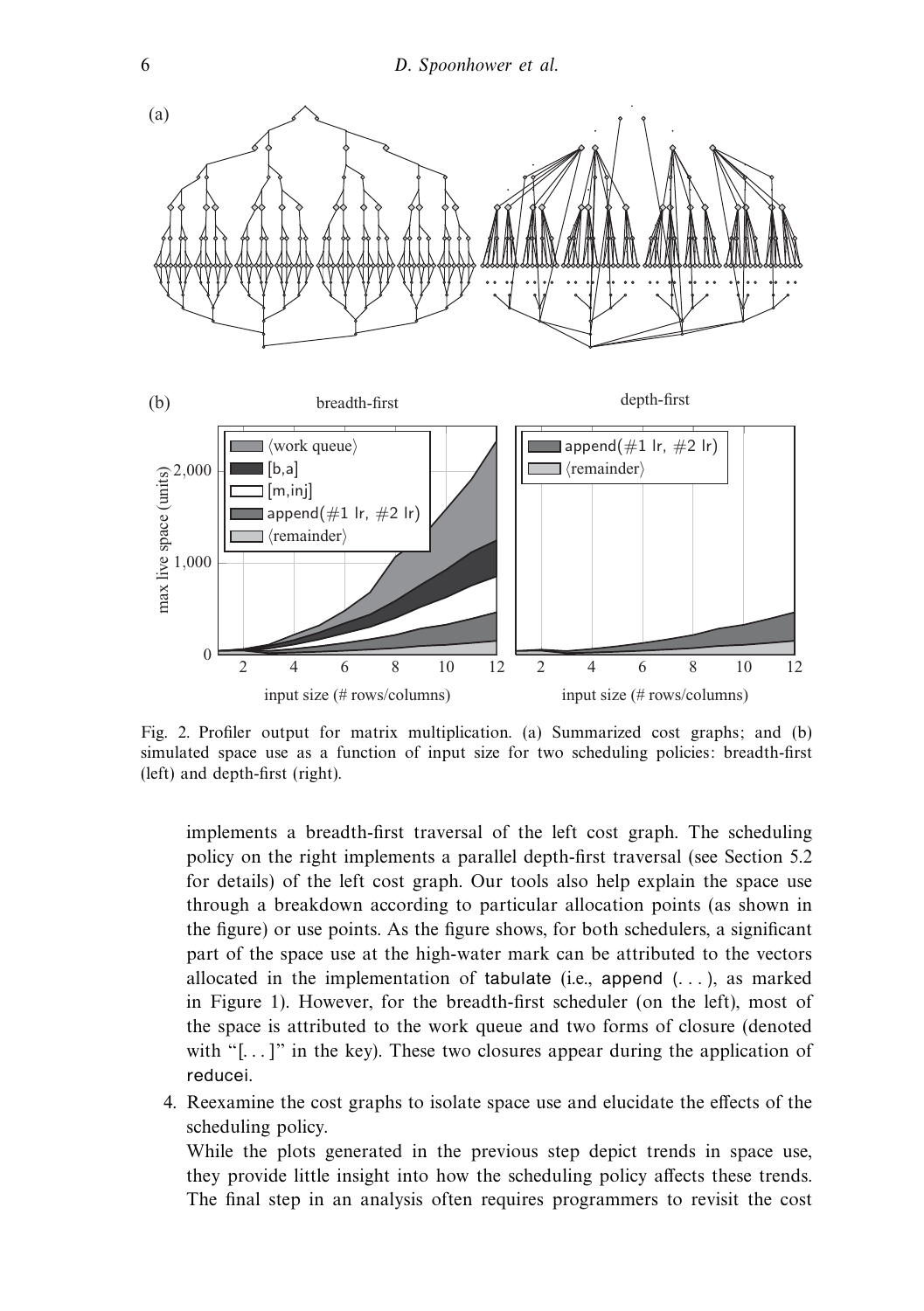

Fig. 2. Profiler output for matrix multiplication. (a) Summarized cost graphs; and (b) simulated space use as a function of input size for two scheduling policies: breadth-first (left) and depth-first (right).

implements a breadth-first traversal of the left cost graph. The scheduling policy on the right implements a parallel depth-first traversal (see Section 5.2 for details) of the left cost graph. Our tools also help explain the space use through a breakdown according to particular allocation points (as shown in the figure) or use points. As the figure shows, for both schedulers, a significant part of the space use at the high-water mark can be attributed to the vectors allocated in the implementation of tabulate (i.e., append  $(\ldots)$ ), as marked in Figure 1). However, for the breadth-first scheduler (on the left), most of the space is attributed to the work queue and two forms of closure (denoted with " $[...]$ " in the key). These two closures appear during the application of reducei.

4. Reexamine the cost graphs to isolate space use and elucidate the effects of the scheduling policy.

While the plots generated in the previous step depict trends in space use, they provide little insight into how the scheduling policy affects these trends. The final step in an analysis often requires programmers to revisit the cost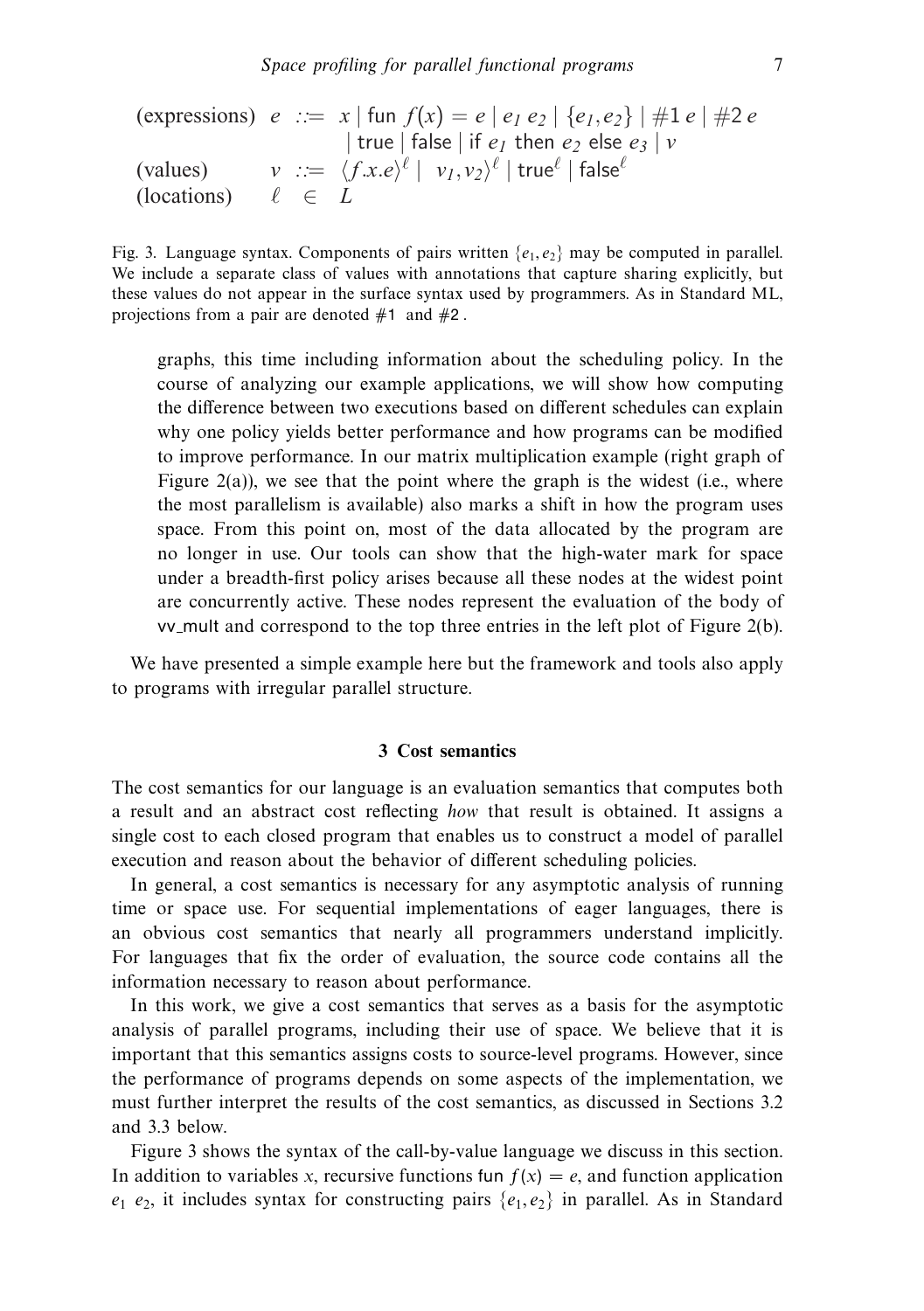(expressions) 
$$
e ::= x | \text{ fun } f(x) = e | e_1 e_2 | \{e_1, e_2\} | \#1 e | \#2 e
$$
  
\n $| \text{ true } | \text{ false } | \text{ if } e_1 \text{ then } e_2 \text{ else } e_3 | v$   
\n(values)  $v ::= \langle f.x.e \rangle^{\ell} | v_1, v_2 \rangle^{\ell} | \text{ true}^{\ell} | \text{ false}^{\ell}$   
\n(locations)  $\ell \in L$ 

Fig. 3. Language syntax. Components of pairs written {*e*1*, e*2} may be computed in parallel. We include a separate class of values with annotations that capture sharing explicitly, but these values do not appear in the surface syntax used by programmers. As in Standard ML, projections from a pair are denoted #1 and #2 .

graphs, this time including information about the scheduling policy. In the course of analyzing our example applications, we will show how computing the difference between two executions based on different schedules can explain why one policy yields better performance and how programs can be modified to improve performance. In our matrix multiplication example (right graph of Figure  $2(a)$ ), we see that the point where the graph is the widest (i.e., where the most parallelism is available) also marks a shift in how the program uses space. From this point on, most of the data allocated by the program are no longer in use. Our tools can show that the high-water mark for space under a breadth-first policy arises because all these nodes at the widest point are concurrently active. These nodes represent the evaluation of the body of vv mult and correspond to the top three entries in the left plot of Figure 2(b).

We have presented a simple example here but the framework and tools also apply to programs with irregular parallel structure.

#### **3 Cost semantics**

The cost semantics for our language is an evaluation semantics that computes both a result and an abstract cost reflecting how that result is obtained. It assigns a single cost to each closed program that enables us to construct a model of parallel execution and reason about the behavior of different scheduling policies.

In general, a cost semantics is necessary for any asymptotic analysis of running time or space use. For sequential implementations of eager languages, there is an obvious cost semantics that nearly all programmers understand implicitly. For languages that fix the order of evaluation, the source code contains all the information necessary to reason about performance.

In this work, we give a cost semantics that serves as a basis for the asymptotic analysis of parallel programs, including their use of space. We believe that it is important that this semantics assigns costs to source-level programs. However, since the performance of programs depends on some aspects of the implementation, we must further interpret the results of the cost semantics, as discussed in Sections 3.2 and 3.3 below.

Figure 3 shows the syntax of the call-by-value language we discuss in this section. In addition to variables *x*, recursive functions fun  $f(x) = e$ , and function application  $e_1$   $e_2$ , it includes syntax for constructing pairs  $\{e_1, e_2\}$  in parallel. As in Standard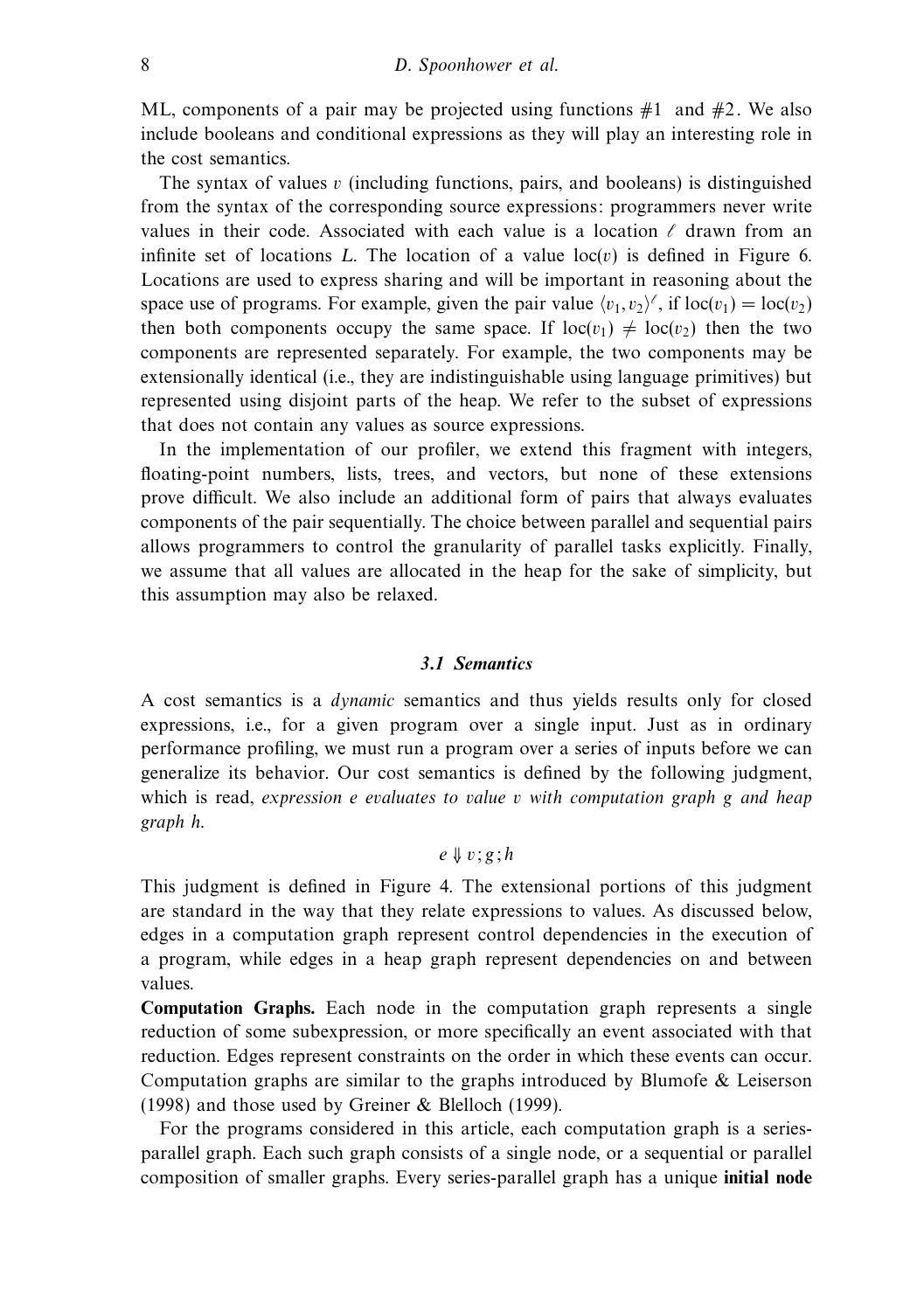ML, components of a pair may be projected using functions  $#1$  and  $#2$ . We also include booleans and conditional expressions as they will play an interesting role in the cost semantics.

The syntax of values *v* (including functions, pairs, and booleans) is distinguished from the syntax of the corresponding source expressions: programmers never write values in their code. Associated with each value is a location  $\ell$  drawn from an infinite set of locations *L*. The location of a value  $loc(v)$  is defined in Figure 6. Locations are used to express sharing and will be important in reasoning about the space use of programs. For example, given the pair value  $\langle v_1, v_2 \rangle^{\ell}$ , if  $\text{loc}(v_1) = \text{loc}(v_2)$ then both components occupy the same space. If  $\text{loc}(v_1) \neq \text{loc}(v_2)$  then the two components are represented separately. For example, the two components may be extensionally identical (i.e., they are indistinguishable using language primitives) but represented using disjoint parts of the heap. We refer to the subset of expressions that does not contain any values as source expressions.

In the implementation of our profiler, we extend this fragment with integers, floating-point numbers, lists, trees, and vectors, but none of these extensions prove difficult. We also include an additional form of pairs that always evaluates components of the pair sequentially. The choice between parallel and sequential pairs allows programmers to control the granularity of parallel tasks explicitly. Finally, we assume that all values are allocated in the heap for the sake of simplicity, but this assumption may also be relaxed.

#### *3.1 Semantics*

A cost semantics is a dynamic semantics and thus yields results only for closed expressions, i.e., for a given program over a single input. Just as in ordinary performance profiling, we must run a program over a series of inputs before we can generalize its behavior. Our cost semantics is defined by the following judgment, which is read, expression *e* evaluates to value *v* with computation graph *g* and heap graph *h*.

# *e* ⇓ *v*; *g*; *h*

This judgment is defined in Figure 4. The extensional portions of this judgment are standard in the way that they relate expressions to values. As discussed below, edges in a computation graph represent control dependencies in the execution of a program, while edges in a heap graph represent dependencies on and between values.

**Computation Graphs.** Each node in the computation graph represents a single reduction of some subexpression, or more specifically an event associated with that reduction. Edges represent constraints on the order in which these events can occur. Computation graphs are similar to the graphs introduced by Blumofe & Leiserson (1998) and those used by Greiner & Blelloch (1999).

For the programs considered in this article, each computation graph is a seriesparallel graph. Each such graph consists of a single node, or a sequential or parallel composition of smaller graphs. Every series-parallel graph has a unique **initial node**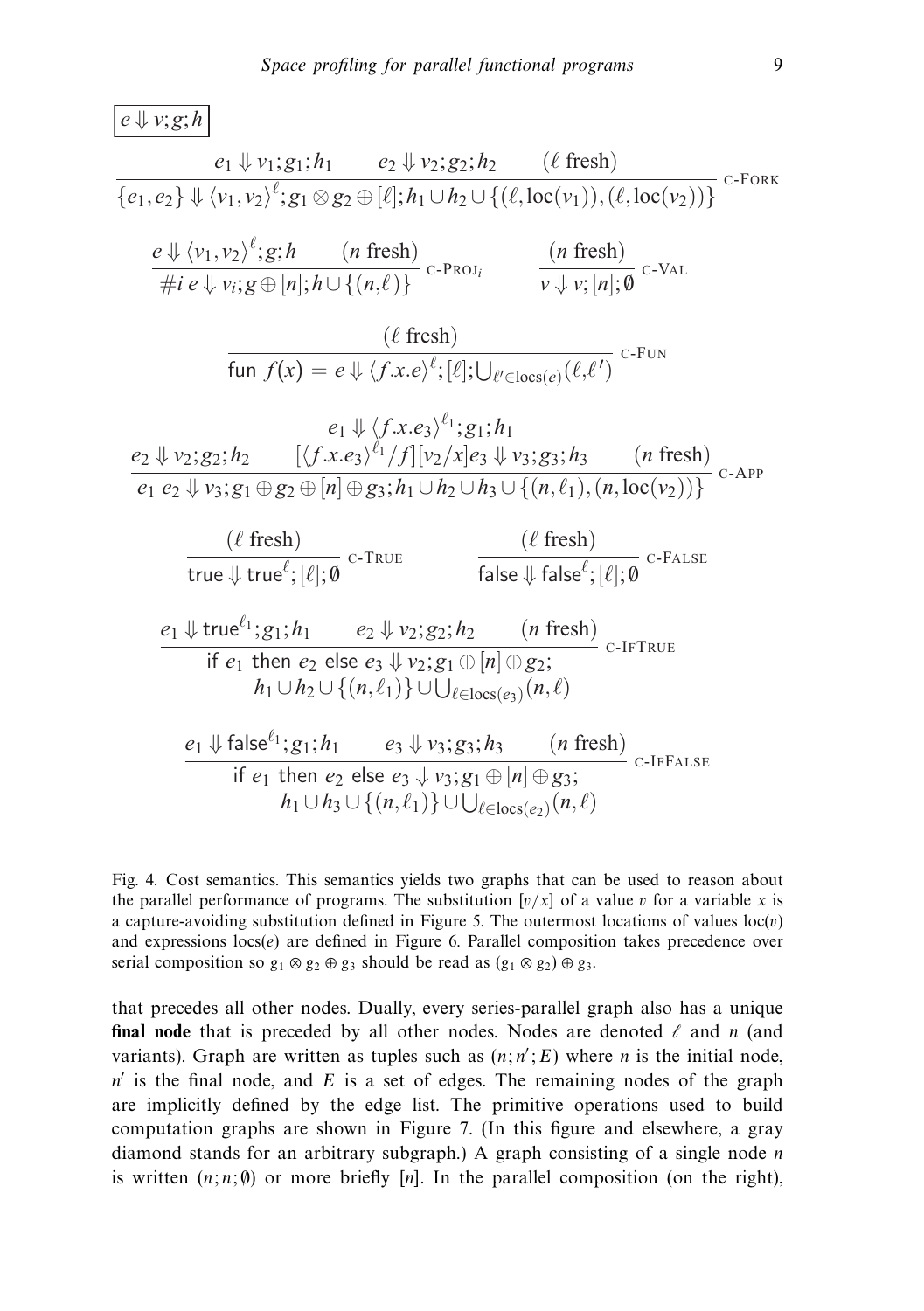$$
\frac{e \Downarrow v; g; h}{e_1, e_2} \Downarrow \frac{e_1 \Downarrow v_1; g_1; h_1 \quad e_2 \Downarrow v_2; g_2; h_2 \quad (\ell \text{ fresh})}{e_1, e_2} \Downarrow \frac{e_1 \Downarrow v_1; v_2 \Downarrow g; g \otimes g_2 \oplus [\ell]; h_1 \cup h_2 \cup \{(\ell, \text{loc}(v_1)), (\ell, \text{loc}(v_2))\}}{e_1 \Downarrow v; g \oplus [n]; h \cup \{(n, \ell)\}} \text{ c-Prov}_i \qquad \frac{(n \text{ fresh})}{v \Downarrow v; [n]; 0} \text{ c-Val}
$$
\n
$$
\frac{(\ell \text{ fresh})}{\text{fun } f(x) = e \Downarrow \frac{\langle f.x.e \rangle^{\ell}; [\ell]; \bigcup_{\ell' \in \text{locs}(e)} (\ell, \ell')}{v \Downarrow v; [n]; 0} \text{ c-Val}
$$
\n
$$
\frac{e_1 \Downarrow \frac{\langle f.x.e \rangle^{\ell}; [\ell]; \bigcup_{\ell' \in \text{locs}(e)} (\ell, \ell')}{e_1 \cup \{v_1\}} \text{ c-Fun}
$$
\n
$$
\frac{e_1 \Downarrow \frac{\langle f.x.e \rangle^{\ell}; g_1; h_1}{e_1 \cup \{v_2\}}}{e_1 \cup \{v_2\} : g_2; h_2} \text{ c-Relv}_i \frac{\langle f.x.e \rangle^{\ell}; f \cap [\bigcup_{\ell \geq \ell} \bigcup_{\ell \geq \ell} g, \bigcup_{\ell \geq \ell} g, \bigcup_{\ell \geq \ell} g, \bigcup_{\ell \geq \ell} g, \bigcup_{\ell \geq \ell} g, \bigcup_{\ell \geq \ell} g, \bigcup_{\ell \geq \ell} g, \bigcup_{\ell \geq \ell} g, \bigcup_{\ell \geq \ell} g, \bigcup_{\ell \geq \ell} g, \bigcup_{\ell \geq \ell} g, \bigcup_{\ell \geq \ell} g, \bigcup_{\ell \geq \ell} g, \bigcup_{\ell \geq \ell} g, \bigcup_{\ell \geq \ell} g, \bigcup_{\ell \geq \ell} g, \bigcup_{\ell \geq \ell} g, \bigcup_{\ell \geq \ell} g, \bigcup_{\ell \ge
$$

Fig. 4. Cost semantics. This semantics yields two graphs that can be used to reason about the parallel performance of programs. The substitution  $[v/x]$  of a value *v* for a variable *x* is a capture-avoiding substitution defined in Figure 5. The outermost locations of values  $loc(v)$ and expressions locs(*e*) are defined in Figure 6. Parallel composition takes precedence over serial composition so  $g_1 \otimes g_2 \oplus g_3$  should be read as  $(g_1 \otimes g_2) \oplus g_3$ .

that precedes all other nodes. Dually, every series-parallel graph also has a unique **final node** that is preceded by all other nodes. Nodes are denoted  $\ell$  and *n* (and variants). Graph are written as tuples such as  $(n; n'; E)$  where *n* is the initial node,  $n'$  is the final node, and  $E$  is a set of edges. The remaining nodes of the graph are implicitly defined by the edge list. The primitive operations used to build computation graphs are shown in Figure 7. (In this figure and elsewhere, a gray diamond stands for an arbitrary subgraph.) A graph consisting of a single node *n* is written  $(n; n; \emptyset)$  or more briefly [*n*]. In the parallel composition (on the right),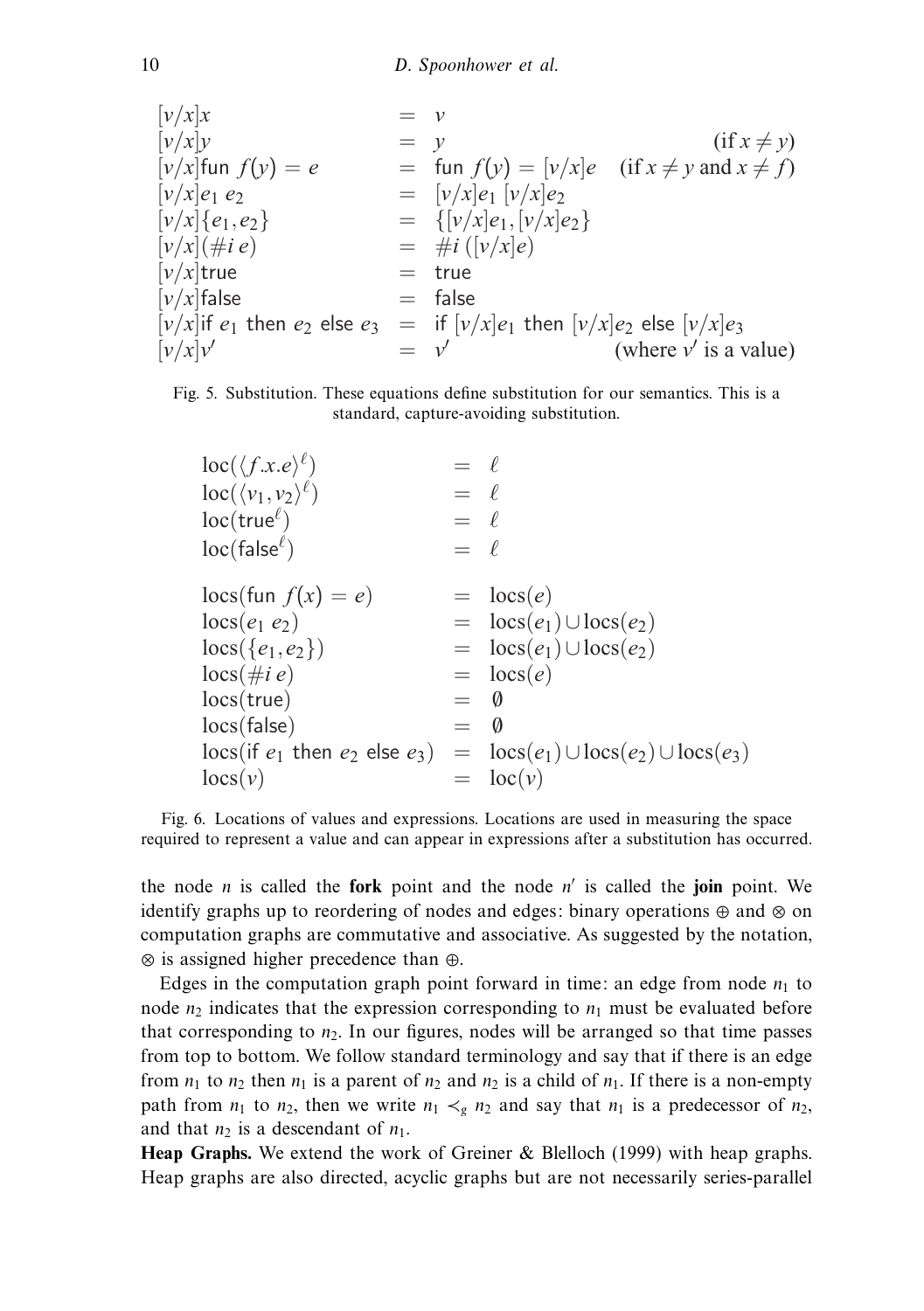| $[v/x]x$                                     | $= v$                              | $(if x \neq y)$              |
|----------------------------------------------|------------------------------------|------------------------------|
| $[v/x]fun f(y) = e$                          | $= \lim_{x \to 0} f(y) = [v/x]e$   | $(if x \neq y) and x \neq f$ |
| $[v/x]e_1 e_2$                               | $= [v/x]e_1 [v/x]e_2$              |                              |
| $[v/x](f + ie)$                              | $= \lim_{x \to 0} f(y) = [v/x]e$   |                              |
| $[v/x](f + ie)$                              | $= \lim_{x \to 0} f(y) = [v/x]e_2$ |                              |
| $[v/x](f + ie)$                              | $= \lim_{x \to 0} f(y) = [v/x]e_2$ |                              |
| $[v/x]true$                                  | $= \lim_{x \to 0} f(y) = [v/x]e_2$ |                              |
| $[v/x]true$                                  | $= \lim_{x \to 0} f(y) = [v/x]e_2$ |                              |
| $[v/x]true$                                  | $= \lim_{x \to 0} f(y) = [v/x]e_2$ |                              |
| $[v/x]true$                                  | $= \lim_{x \to 0} f(y) = [v/x]e_2$ |                              |
| $[v/x]true$                                  | $= \lim_{x \to 0} f(y) = [v/x]e_2$ |                              |
| $[v/x]g(x) = \lim_{x \to 0} f(y) = [v/x]e_2$ |                                    |                              |
| $[v/x]g(x) = \lim_{x \to$                    |                                    |                              |

Fig. 5. Substitution. These equations define substitution for our semantics. This is a standard, capture-avoiding substitution.

| $loc(\langle f.x.e \rangle^{\ell})$    |            |                                                                                                      |
|----------------------------------------|------------|------------------------------------------------------------------------------------------------------|
| $loc(\langle v_1, v_2 \rangle^{\ell})$ | $=$ $\ell$ |                                                                                                      |
| $loc(true^{\ell})$                     | $=$ $\ell$ |                                                                                                      |
| $loc(false^{\ell})$                    | $=$ $\ell$ |                                                                                                      |
|                                        |            |                                                                                                      |
| $\log(\text{fun } f(x) = e)$           |            | $= \log(e)$                                                                                          |
| $\log(e_1 \, e_2)$                     |            | $= \log(e_1) \cup \log(e_2)$                                                                         |
| $\log(\{e_1, e_2\})$                   |            | $= \log(e_1) \cup \log(e_2)$                                                                         |
| $\log(\#ie)$                           |            | $= \log(e)$                                                                                          |
| $\log(\text{true})$                    |            | $\emptyset$                                                                                          |
| locs(false)                            |            | Ø                                                                                                    |
|                                        |            | $\cos(\text{if } e_1 \text{ then } e_2 \text{ else } e_3) = \cos(e_1) \cup \cos(e_2) \cup \cos(e_3)$ |
| $\log(v)$                              |            | loc(v)                                                                                               |

Fig. 6. Locations of values and expressions. Locations are used in measuring the space required to represent a value and can appear in expressions after a substitution has occurred.

the node *n* is called the **fork** point and the node  $n'$  is called the **join** point. We identify graphs up to reordering of nodes and edges: binary operations ⊕ and ⊗ on computation graphs are commutative and associative. As suggested by the notation, ⊗ is assigned higher precedence than ⊕.

Edges in the computation graph point forward in time: an edge from node  $n_1$  to node  $n_2$  indicates that the expression corresponding to  $n_1$  must be evaluated before that corresponding to  $n_2$ . In our figures, nodes will be arranged so that time passes from top to bottom. We follow standard terminology and say that if there is an edge from  $n_1$  to  $n_2$  then  $n_1$  is a parent of  $n_2$  and  $n_2$  is a child of  $n_1$ . If there is a non-empty path from  $n_1$  to  $n_2$ , then we write  $n_1 \prec_g n_2$  and say that  $n_1$  is a predecessor of  $n_2$ , and that  $n_2$  is a descendant of  $n_1$ .

**Heap Graphs.** We extend the work of Greiner & Blelloch (1999) with heap graphs. Heap graphs are also directed, acyclic graphs but are not necessarily series-parallel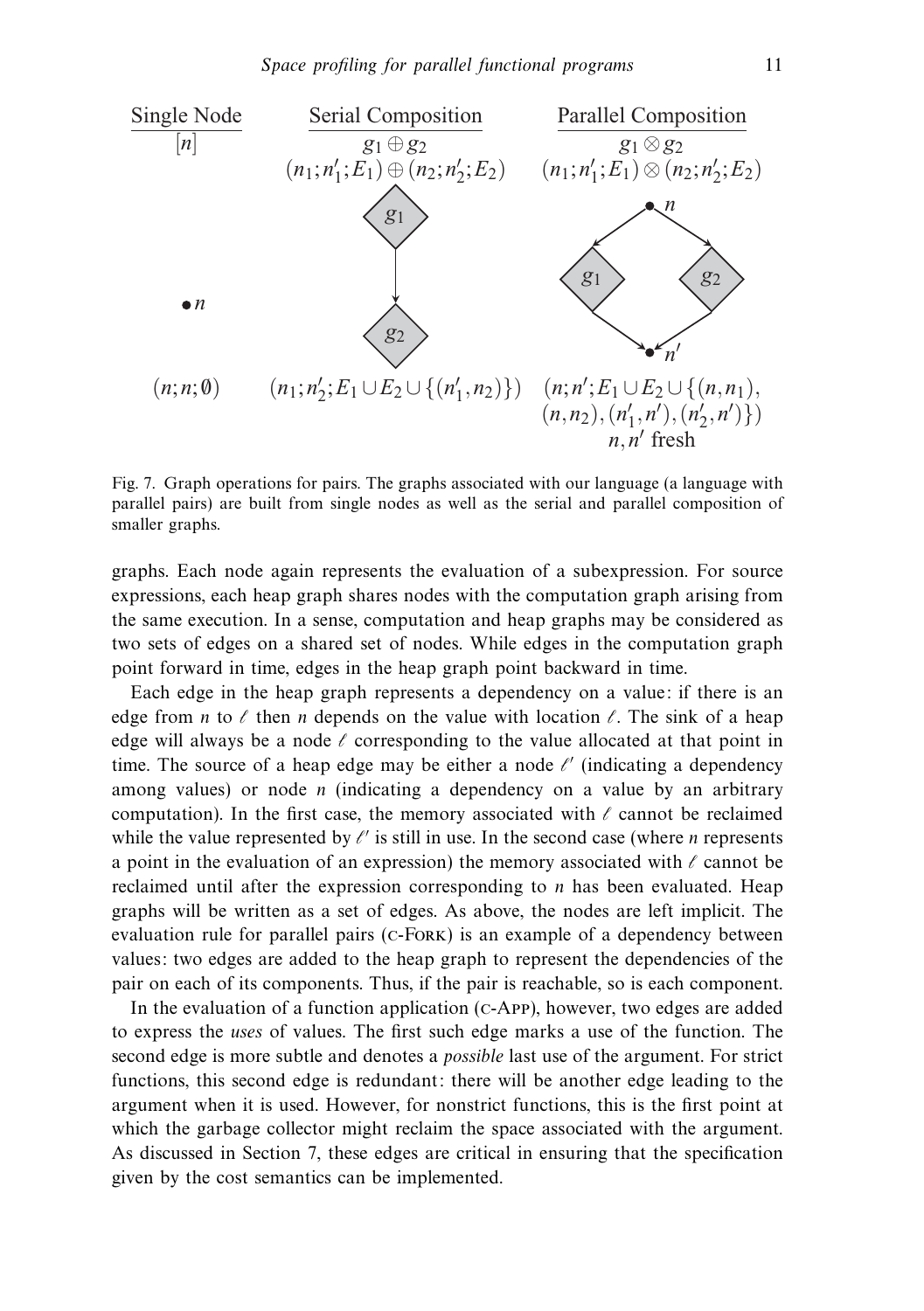

Fig. 7. Graph operations for pairs. The graphs associated with our language (a language with parallel pairs) are built from single nodes as well as the serial and parallel composition of smaller graphs.

graphs. Each node again represents the evaluation of a subexpression. For source expressions, each heap graph shares nodes with the computation graph arising from the same execution. In a sense, computation and heap graphs may be considered as two sets of edges on a shared set of nodes. While edges in the computation graph point forward in time, edges in the heap graph point backward in time.

Each edge in the heap graph represents a dependency on a value: if there is an edge from *n* to  $\ell$  then *n* depends on the value with location  $\ell$ . The sink of a heap edge will always be a node  $\ell$  corresponding to the value allocated at that point in time. The source of a heap edge may be either a node  $\ell'$  (indicating a dependency among values) or node *n* (indicating a dependency on a value by an arbitrary computation). In the first case, the memory associated with  $\ell$  cannot be reclaimed while the value represented by  $\ell'$  is still in use. In the second case (where *n* represents a point in the evaluation of an expression) the memory associated with *-* cannot be reclaimed until after the expression corresponding to *n* has been evaluated. Heap graphs will be written as a set of edges. As above, the nodes are left implicit. The evaluation rule for parallel pairs (c-Fork) is an example of a dependency between values: two edges are added to the heap graph to represent the dependencies of the pair on each of its components. Thus, if the pair is reachable, so is each component.

In the evaluation of a function application (c-App), however, two edges are added to express the uses of values. The first such edge marks a use of the function. The second edge is more subtle and denotes a possible last use of the argument. For strict functions, this second edge is redundant: there will be another edge leading to the argument when it is used. However, for nonstrict functions, this is the first point at which the garbage collector might reclaim the space associated with the argument. As discussed in Section 7, these edges are critical in ensuring that the specification given by the cost semantics can be implemented.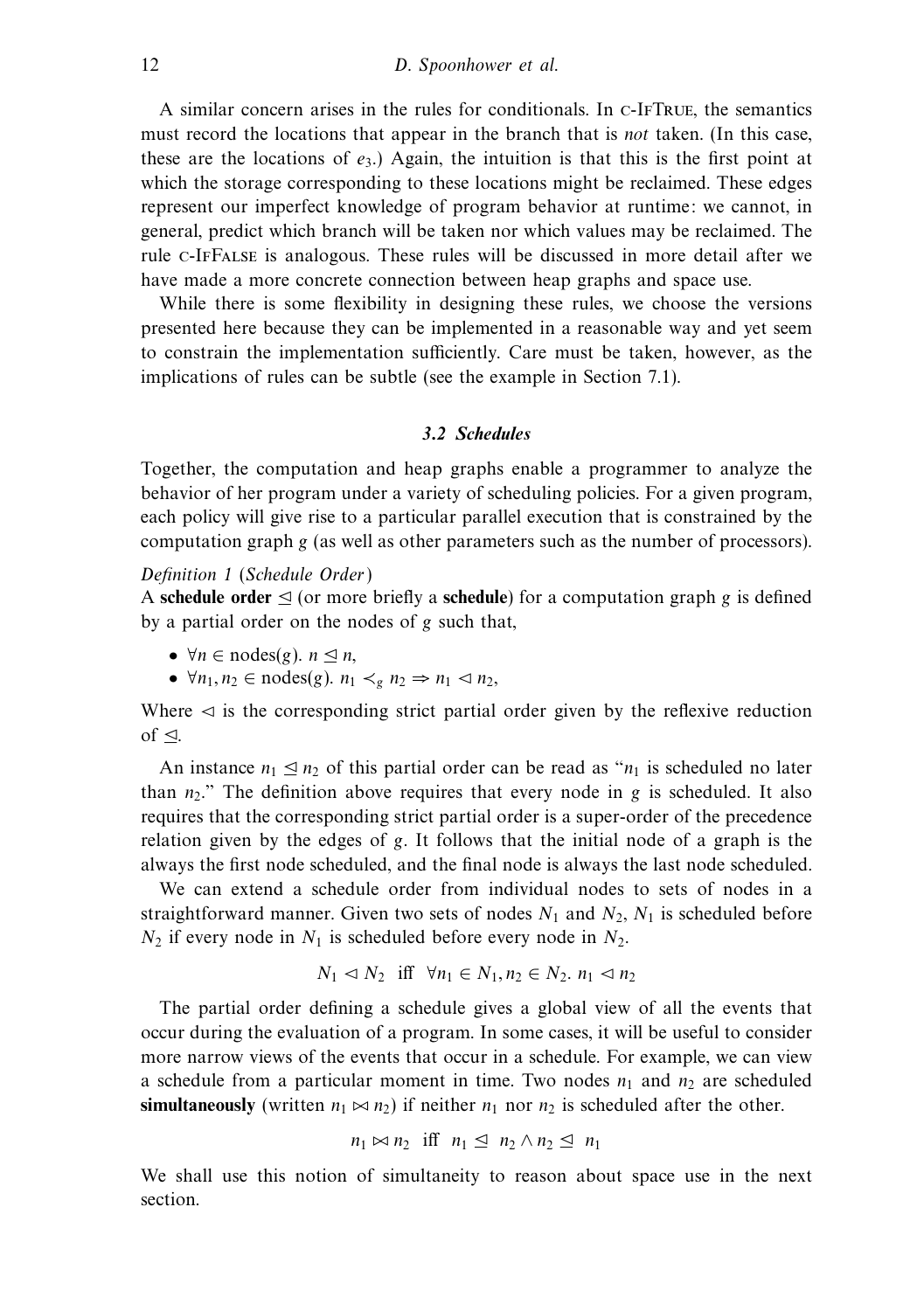A similar concern arises in the rules for conditionals. In c-IfTrue, the semantics must record the locations that appear in the branch that is *not* taken. (In this case, these are the locations of  $e_3$ .) Again, the intuition is that this is the first point at which the storage corresponding to these locations might be reclaimed. These edges represent our imperfect knowledge of program behavior at runtime: we cannot, in general, predict which branch will be taken nor which values may be reclaimed. The rule c-IfFalse is analogous. These rules will be discussed in more detail after we have made a more concrete connection between heap graphs and space use.

While there is some flexibility in designing these rules, we choose the versions presented here because they can be implemented in a reasonable way and yet seem to constrain the implementation sufficiently. Care must be taken, however, as the implications of rules can be subtle (see the example in Section 7.1).

## *3.2 Schedules*

Together, the computation and heap graphs enable a programmer to analyze the behavior of her program under a variety of scheduling policies. For a given program, each policy will give rise to a particular parallel execution that is constrained by the computation graph *g* (as well as other parameters such as the number of processors).

## Definition 1 (Schedule Order)

A **schedule order**  $\leq$  (or more briefly a **schedule**) for a computation graph *g* is defined by a partial order on the nodes of *g* such that,

- $\forall n \in \text{nodes}(g)$ .  $n \leq n$ ,
- $\forall n_1, n_2 \in \text{nodes}(g)$ *.*  $n_1 \prec_g n_2 \Rightarrow n_1 \prec n_2$ ,

Where  $\leq$  is the corresponding strict partial order given by the reflexive reduction of  $\leq$ .

An instance  $n_1 \leq n_2$  of this partial order can be read as " $n_1$  is scheduled no later than  $n_2$ ." The definition above requires that every node in *g* is scheduled. It also requires that the corresponding strict partial order is a super-order of the precedence relation given by the edges of *g*. It follows that the initial node of a graph is the always the first node scheduled, and the final node is always the last node scheduled.

We can extend a schedule order from individual nodes to sets of nodes in a straightforward manner. Given two sets of nodes  $N_1$  and  $N_2$ ,  $N_1$  is scheduled before  $N_2$  if every node in  $N_1$  is scheduled before every node in  $N_2$ .

$$
N_1 \lhd N_2
$$
 iff  $\forall n_1 \in N_1, n_2 \in N_2$ .  $n_1 \lhd n_2$ 

The partial order defining a schedule gives a global view of all the events that occur during the evaluation of a program. In some cases, it will be useful to consider more narrow views of the events that occur in a schedule. For example, we can view a schedule from a particular moment in time. Two nodes  $n_1$  and  $n_2$  are scheduled **simultaneously** (written  $n_1 \bowtie n_2$ ) if neither  $n_1$  nor  $n_2$  is scheduled after the other.

$$
n_1 \bowtie n_2 \quad \text{iff} \quad n_1 \leq n_2 \land n_2 \leq n_1
$$

We shall use this notion of simultaneity to reason about space use in the next section.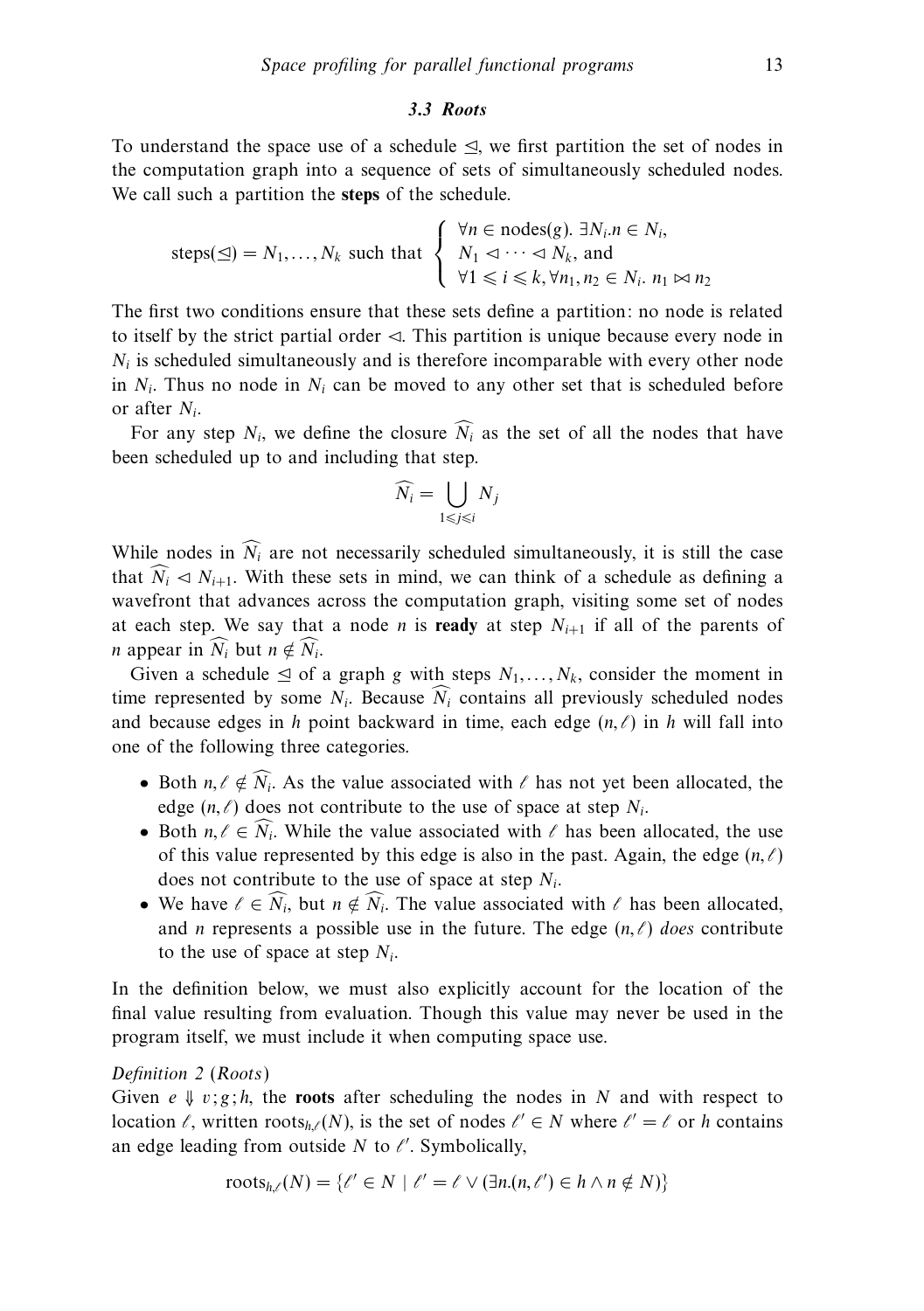#### *3.3 Roots*

To understand the space use of a schedule  $\leq$ , we first partition the set of nodes in the computation graph into a sequence of sets of simultaneously scheduled nodes. We call such a partition the **steps** of the schedule.

$$
\text{steps}(\preceq) = N_1, \dots, N_k \text{ such that } \begin{cases} \forall n \in \text{nodes}(g). \exists N_i. n \in N_i, \\ N_1 \lhd \cdots \lhd N_k, \text{ and} \\ \forall 1 \leq i \leq k, \forall n_1, n_2 \in N_i. n_1 \bowtie n_2 \end{cases}
$$

The first two conditions ensure that these sets define a partition: no node is related to itself by the strict partial order  $\leq$ . This partition is unique because every node in  $N_i$  is scheduled simultaneously and is therefore incomparable with every other node in  $N_i$ . Thus no node in  $N_i$  can be moved to any other set that is scheduled before or after *Ni*.

For any step  $N_i$ , we define the closure  $N_i$  as the set of all the nodes that have been scheduled up to and including that step.

$$
\widehat{N_i} = \bigcup_{1 \leq j \leq i} N_j
$$

While nodes in  $N_i$  are not necessarily scheduled simultaneously, it is still the case that  $N_i \leq N_{i+1}$ . With these sets in mind, we can think of a schedule as defining a wavefront that advances across the computation graph, visiting some set of nodes at each step. We say that a node *n* is **ready** at step  $N_{i+1}$  if all of the parents of *n* appear in  $N_i$  but  $n \notin N_i$ .

Given a schedule  $\leq$  of a graph *g* with steps  $N_1, \ldots, N_k$ , consider the moment in time represented by some  $N_i$ . Because  $N_i$  contains all previously scheduled nodes and because edges in *h* point backward in time, each edge  $(n, \ell)$  in *h* will fall into one of the following three categories.

- Both  $n, \ell \notin N_i$ . As the value associated with  $\ell$  has not yet been allocated, the edge  $(n, \ell)$  does not contribute to the use of space at step  $N_i$ .
- Both  $n, \ell \in N_i$ . While the value associated with  $\ell$  has been allocated, the use of this value represented by this edge is also in the past. Again, the edge  $(n, \ell)$ does not contribute to the use of space at step *Ni*.
- We have  $\ell \in N_i$ , but  $n \notin N_i$ . The value associated with  $\ell$  has been allocated, and *n* represents a possible use in the future. The edge  $(n, \ell)$  does contribute to the use of space at step *Ni*.

In the definition below, we must also explicitly account for the location of the final value resulting from evaluation. Though this value may never be used in the program itself, we must include it when computing space use.

## Definition 2 (Roots)

Given  $e \Downarrow v$ ;  $g$ ; *h*, the **roots** after scheduling the nodes in *N* and with respect to location  $\ell$ , written roots<sub>h, $\ell$ </sub>(N), is the set of nodes  $\ell' \in N$  where  $\ell' = \ell$  or *h* contains an edge leading from outside  $N$  to  $\ell'$ . Symbolically,

$$
\text{roots}_{h,\ell}(N) = \{ \ell' \in N \mid \ell' = \ell \vee (\exists n.(n,\ell') \in h \land n \notin N) \}
$$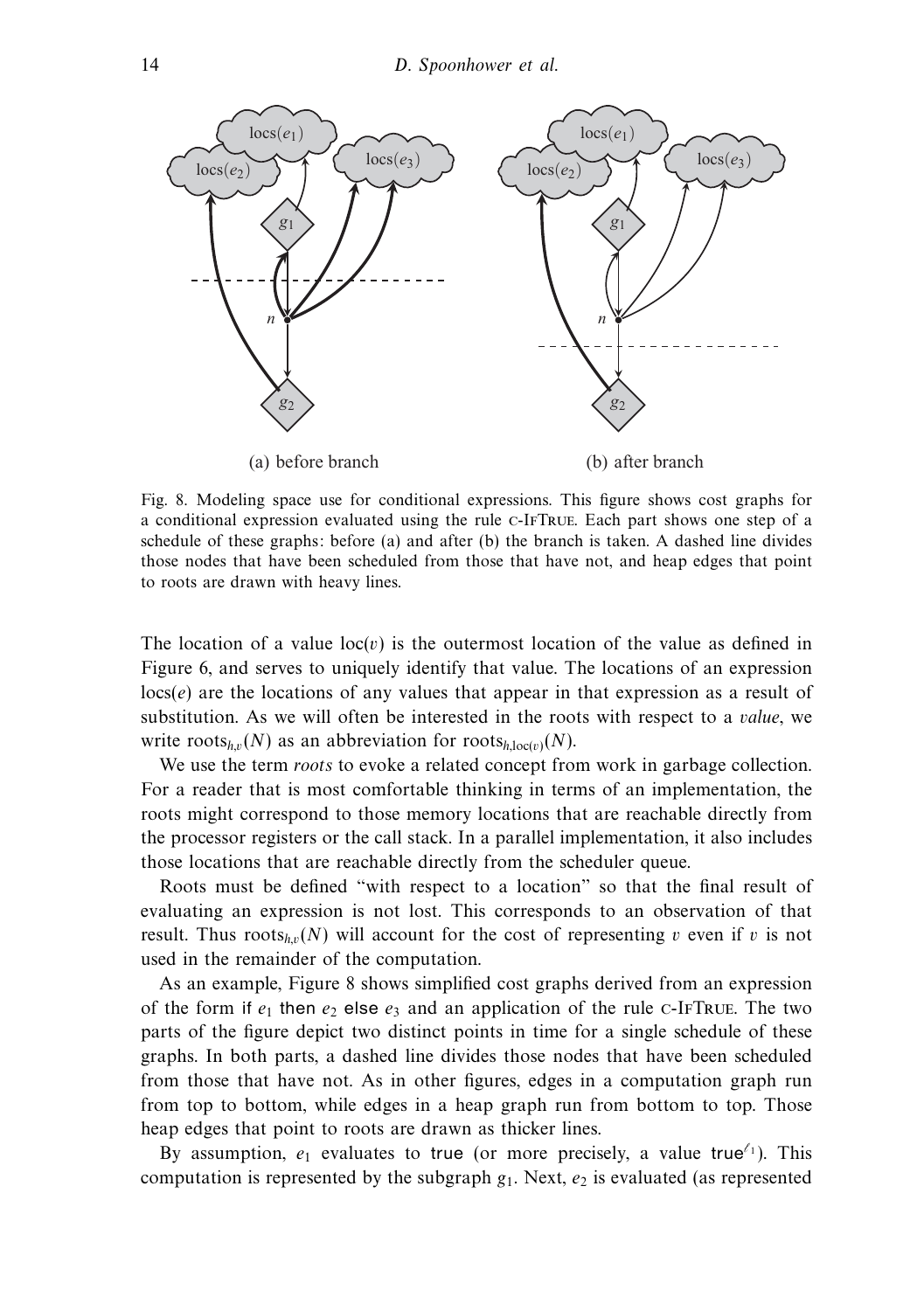

Fig. 8. Modeling space use for conditional expressions. This figure shows cost graphs for a conditional expression evaluated using the rule c-IfTrue. Each part shows one step of a schedule of these graphs: before (a) and after (b) the branch is taken. A dashed line divides those nodes that have been scheduled from those that have not, and heap edges that point to roots are drawn with heavy lines.

The location of a value  $loc(v)$  is the outermost location of the value as defined in Figure 6, and serves to uniquely identify that value. The locations of an expression locs(*e*) are the locations of any values that appear in that expression as a result of substitution. As we will often be interested in the roots with respect to a value, we write roots<sub>*hv*</sub> $(N)$  as an abbreviation for roots<sub>*h*</sub> $log(N)$ .

We use the term *roots* to evoke a related concept from work in garbage collection. For a reader that is most comfortable thinking in terms of an implementation, the roots might correspond to those memory locations that are reachable directly from the processor registers or the call stack. In a parallel implementation, it also includes those locations that are reachable directly from the scheduler queue.

Roots must be defined "with respect to a location" so that the final result of evaluating an expression is not lost. This corresponds to an observation of that result. Thus roots<sub>*h<sub>r</sub></sub>*(*N*) will account for the cost of representing *v* even if *v* is not</sub> used in the remainder of the computation.

As an example, Figure 8 shows simplified cost graphs derived from an expression of the form if  $e_1$  then  $e_2$  else  $e_3$  and an application of the rule c-IFTRUE. The two parts of the figure depict two distinct points in time for a single schedule of these graphs. In both parts, a dashed line divides those nodes that have been scheduled from those that have not. As in other figures, edges in a computation graph run from top to bottom, while edges in a heap graph run from bottom to top. Those heap edges that point to roots are drawn as thicker lines.

By assumption,  $e_1$  evaluates to true (or more precisely, a value true<sup> $\ell_1$ </sup>). This computation is represented by the subgraph  $g_1$ . Next,  $e_2$  is evaluated (as represented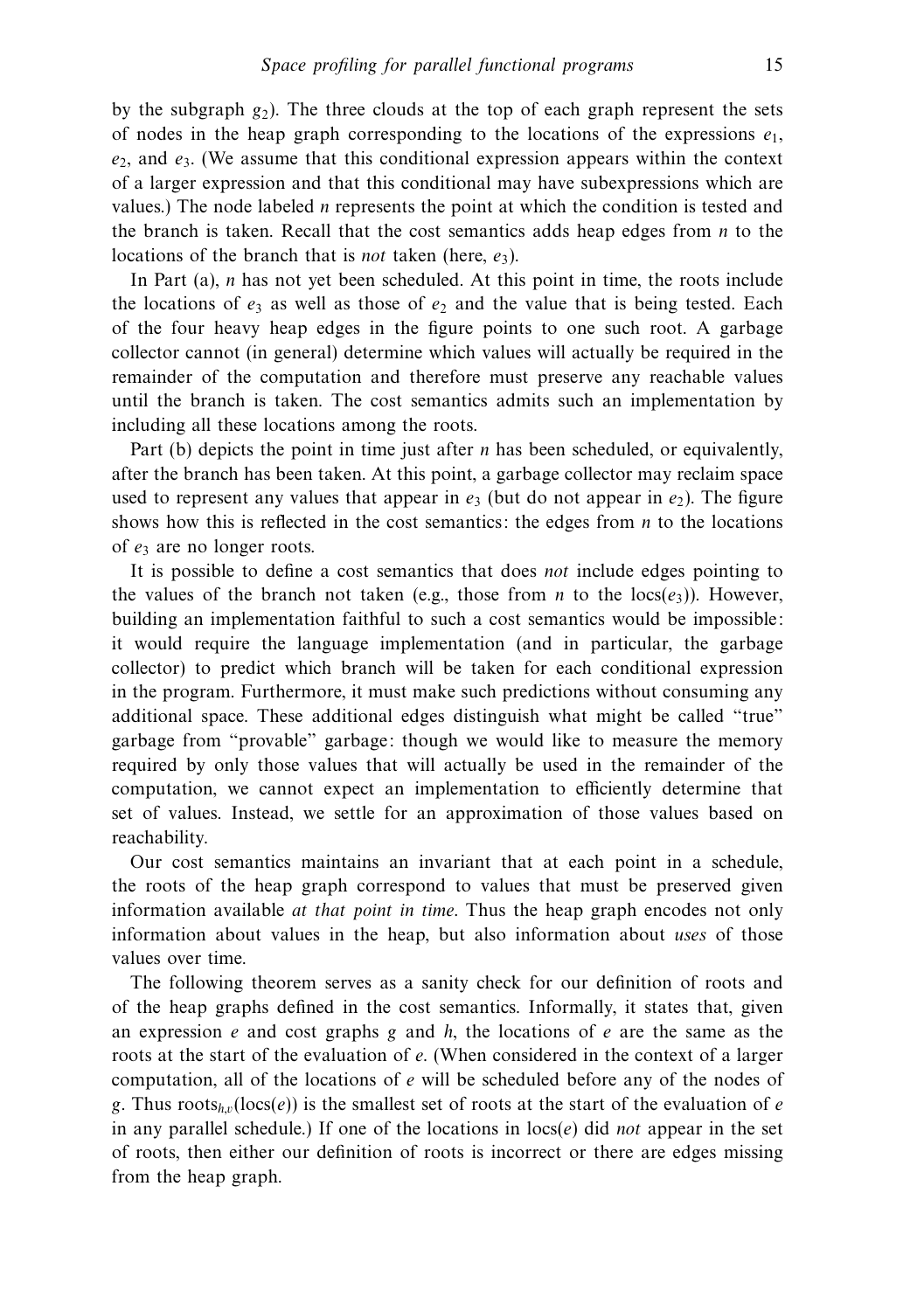by the subgraph  $g_2$ ). The three clouds at the top of each graph represent the sets of nodes in the heap graph corresponding to the locations of the expressions  $e_1$ , *e*2, and *e*3. (We assume that this conditional expression appears within the context of a larger expression and that this conditional may have subexpressions which are values.) The node labeled *n* represents the point at which the condition is tested and the branch is taken. Recall that the cost semantics adds heap edges from *n* to the locations of the branch that is *not* taken (here, *e*<sub>3</sub>).

In Part (a), *n* has not yet been scheduled. At this point in time, the roots include the locations of  $e_3$  as well as those of  $e_2$  and the value that is being tested. Each of the four heavy heap edges in the figure points to one such root. A garbage collector cannot (in general) determine which values will actually be required in the remainder of the computation and therefore must preserve any reachable values until the branch is taken. The cost semantics admits such an implementation by including all these locations among the roots.

Part (b) depicts the point in time just after *n* has been scheduled, or equivalently, after the branch has been taken. At this point, a garbage collector may reclaim space used to represent any values that appear in  $e_3$  (but do not appear in  $e_2$ ). The figure shows how this is reflected in the cost semantics: the edges from *n* to the locations of *e*<sup>3</sup> are no longer roots.

It is possible to define a cost semantics that does not include edges pointing to the values of the branch not taken (e.g., those from *n* to the  $\log(e_3)$ ). However, building an implementation faithful to such a cost semantics would be impossible: it would require the language implementation (and in particular, the garbage collector) to predict which branch will be taken for each conditional expression in the program. Furthermore, it must make such predictions without consuming any additional space. These additional edges distinguish what might be called "true" garbage from "provable" garbage: though we would like to measure the memory required by only those values that will actually be used in the remainder of the computation, we cannot expect an implementation to efficiently determine that set of values. Instead, we settle for an approximation of those values based on reachability.

Our cost semantics maintains an invariant that at each point in a schedule, the roots of the heap graph correspond to values that must be preserved given information available *at that point in time*. Thus the heap graph encodes not only information about values in the heap, but also information about uses of those values over time.

The following theorem serves as a sanity check for our definition of roots and of the heap graphs defined in the cost semantics. Informally, it states that, given an expression *e* and cost graphs *g* and *h*, the locations of *e* are the same as the roots at the start of the evaluation of *e*. (When considered in the context of a larger computation, all of the locations of *e* will be scheduled before any of the nodes of *g*. Thus roots<sub>h,v</sub>(locs(*e*)) is the smallest set of roots at the start of the evaluation of *e* in any parallel schedule.) If one of the locations in locs(*e*) did not appear in the set of roots, then either our definition of roots is incorrect or there are edges missing from the heap graph.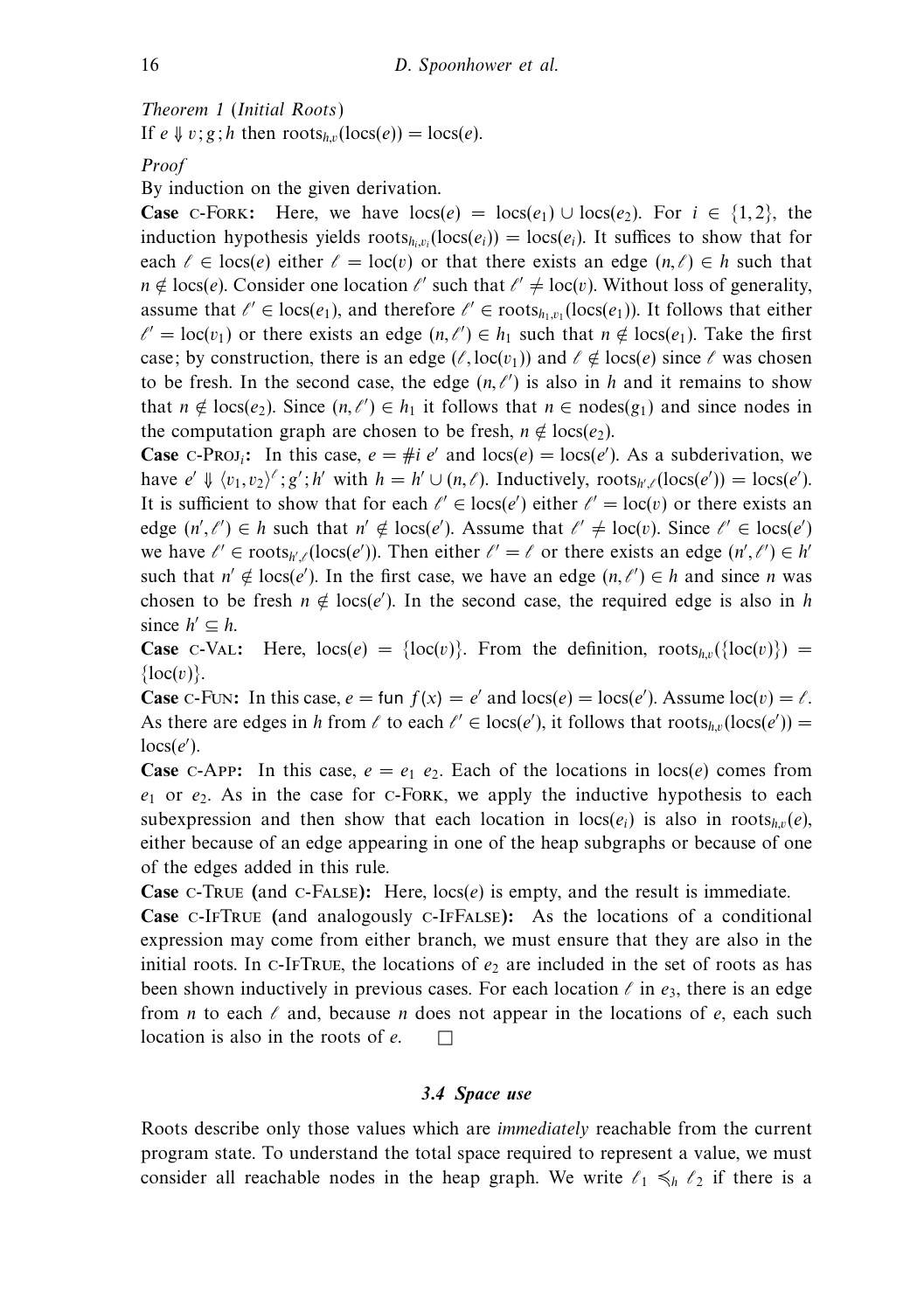Theorem 1 (Initial Roots) If  $e \Downarrow v$ ;  $g$ ; *h* then roots<sub>*h,v*</sub>(locs( $e$ )) = locs( $e$ ).

# Proof

By induction on the given derivation.

**Case** c-Fork: Here, we have  $\text{loss}(e) = \text{loss}(e_1) \cup \text{loss}(e_2)$ . For  $i \in \{1, 2\}$ , the induction hypothesis yields  $\text{roots}_{h_i,v_i}(\text{locs}(e_i)) = \text{locs}(e_i)$ . It suffices to show that for each  $\ell \in \text{locs}(e)$  either  $\ell = \text{loc}(v)$  or that there exists an edge  $(n, \ell) \in h$  such that  $n \notin \text{loc}(e)$ . Consider one location  $e'$  such that  $e' \neq \text{loc}(v)$ . Without loss of generality, assume that  $\ell' \in \text{locs}(e_1)$ , and therefore  $\ell' \in \text{roots}_{h_1, v_1}(\text{locs}(e_1))$ . It follows that either  $\ell' = \text{loc}(v_1)$  or there exists an edge  $(n, \ell') \in h_1$  such that  $n \notin \text{locs}(e_1)$ . Take the first case; by construction, there is an edge  $(\ell, \text{loc}(v_1))$  and  $\ell \notin \text{loc}(e)$  since  $\ell$  was chosen to be fresh. In the second case, the edge  $(n, \ell')$  is also in *h* and it remains to show that  $n \notin \text{locs}(e_2)$ . Since  $(n, \ell') \in h_1$  it follows that  $n \in \text{nodes}(g_1)$  and since nodes in the computation graph are chosen to be fresh,  $n \notin \text{locs}(e_2)$ .

**Case** c-Proj<sub>i</sub>: In this case,  $e = #i e'$  and  $\text{locs}(e) = \text{locs}(e')$ . As a subderivation, we have  $e' \Downarrow \langle v_1, v_2 \rangle^{\ell}$ ; *g'*; *h'* with  $h = h' \cup (n, \ell)$ . Inductively, roots<sub>*h',l*</sub>(locs(*e'*)) = locs(*e'*). It is sufficient to show that for each  $\ell' \in \text{loc}(e')$  either  $\ell' = \text{loc}(v)$  or there exists an edge  $(n', \ell') \in h$  such that  $n' \notin \text{loc}(e')$ . Assume that  $\ell' \neq \text{loc}(v)$ . Since  $\ell' \in \text{loc}(e')$ we have  $\ell' \in \text{roots}_{h',\ell}(\text{loss}(e'))$ . Then either  $\ell' = \ell$  or there exists an edge  $(n', \ell') \in h'$ such that  $n' \notin \text{locs}(e')$ . In the first case, we have an edge  $(n, \ell') \in h$  and since *n* was chosen to be fresh  $n \notin \text{locs}(e')$ . In the second case, the required edge is also in *h* since  $h' \subseteq h$ .

**Case** c-VAL: Here,  $\text{loc}(e) = {\text{loc}(v)}$ . From the definition,  $\text{roots}_{h,v}({\text{loc}(v)}) =$  $\{loc(v)\}.$ 

**Case** c-Fun: In this case,  $e = \tan f(x) = e'$  and  $\ln(\cos(e)) = \ln(\cos(e'))$ . Assume  $\ln(\cos(e)) = \ell$ . As there are edges in *h* from *l* to each  $l' \in \text{locs}(e')$ , it follows that roots<sub>*h*,*v*</sub> (locs(*e'*)) =  $\text{locs}(e').$ 

**Case** c-App: In this case,  $e = e_1 \cdot e_2$ . Each of the locations in locs(*e*) comes from *e*<sup>1</sup> or *e*2. As in the case for c-Fork, we apply the inductive hypothesis to each subexpression and then show that each location in  $\text{locs}(e_i)$  is also in  $\text{roots}_{h,v}(e)$ , either because of an edge appearing in one of the heap subgraphs or because of one of the edges added in this rule.

**Case** c-True **(**and c-False**):** Here, locs(*e*) is empty, and the result is immediate.

**Case** c-IfTrue **(**and analogously c-IfFalse**):** As the locations of a conditional expression may come from either branch, we must ensure that they are also in the initial roots. In  $c$ -IfTRUE, the locations of  $e_2$  are included in the set of roots as has been shown inductively in previous cases. For each location  $\ell$  in  $e_3$ , there is an edge from *n* to each  $\ell$  and, because *n* does not appear in the locations of  $e$ , each such location is also in the roots of *e*.  $\Box$ 

## *3.4 Space use*

Roots describe only those values which are *immediately* reachable from the current program state. To understand the total space required to represent a value, we must consider all reachable nodes in the heap graph. We write  $\ell_1 \leq h \ell_2$  if there is a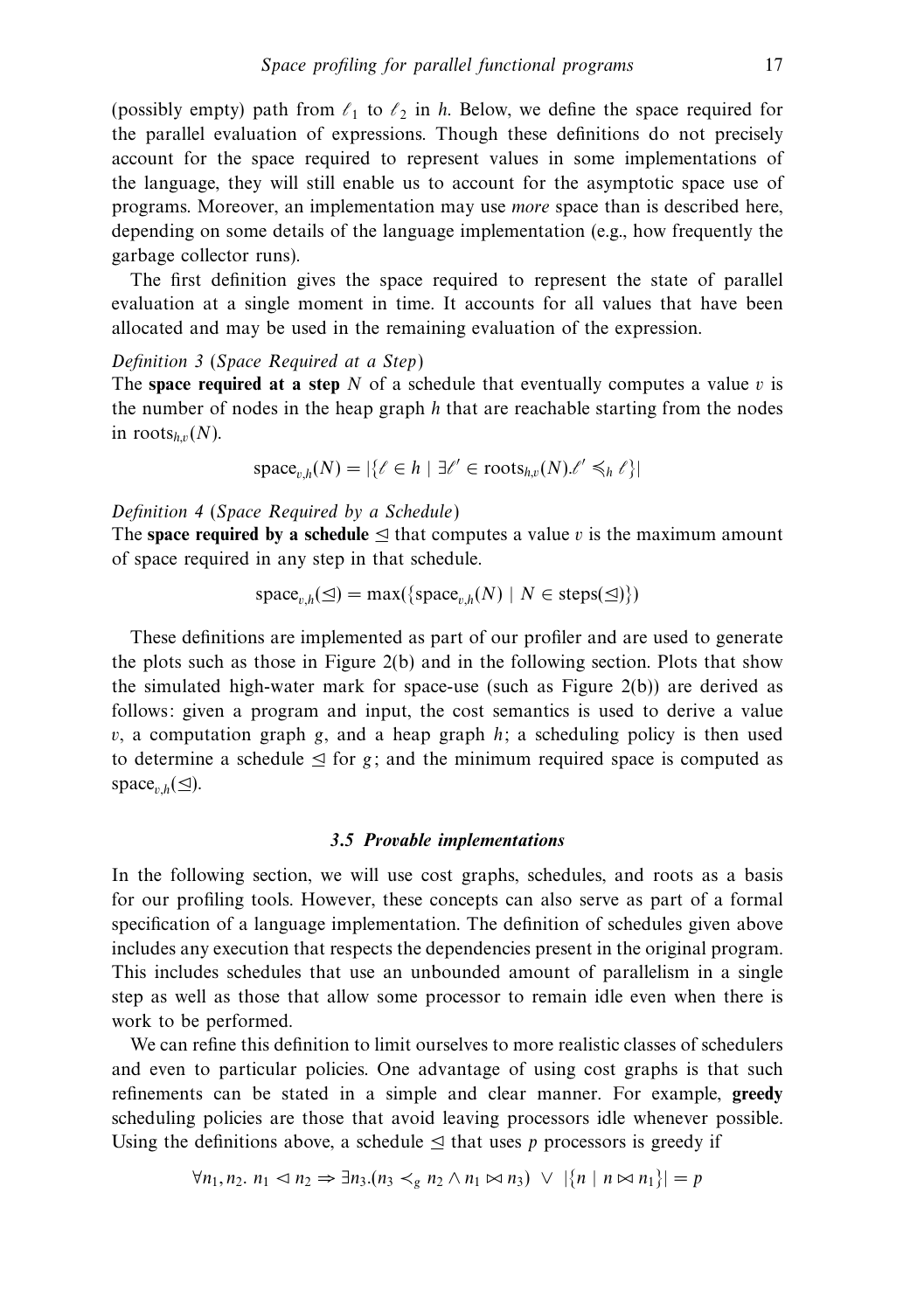(possibly empty) path from  $\ell_1$  to  $\ell_2$  in *h*. Below, we define the space required for the parallel evaluation of expressions. Though these definitions do not precisely account for the space required to represent values in some implementations of the language, they will still enable us to account for the asymptotic space use of programs. Moreover, an implementation may use more space than is described here, depending on some details of the language implementation (e.g., how frequently the garbage collector runs).

The first definition gives the space required to represent the state of parallel evaluation at a single moment in time. It accounts for all values that have been allocated and may be used in the remaining evaluation of the expression.

## Definition 3 (Space Required at a Step)

The **space required at a step** *N* of a schedule that eventually computes a value *v* is the number of nodes in the heap graph *h* that are reachable starting from the nodes in roots $_{h,v}(N)$ .

$$
\mathrm{space}_{v,h}(N) = |\{ \ell \in h \mid \exists \ell' \in \mathrm{roots}_{h,v}(N). \ell' \leq_h \ell \}|
$$

# Definition 4 (Space Required by a Schedule)

The **space required by a schedule**  $\leq$  that computes a value *v* is the maximum amount of space required in any step in that schedule.

$$
\text{space}_{v,h}(\trianglelefteq) = \max(\{\text{space}_{v,h}(N) \mid N \in \text{steps}(\trianglelefteq)\})
$$

These definitions are implemented as part of our profiler and are used to generate the plots such as those in Figure 2(b) and in the following section. Plots that show the simulated high-water mark for space-use (such as Figure  $2(b)$ ) are derived as follows: given a program and input, the cost semantics is used to derive a value *v*, a computation graph *g*, and a heap graph *h*; a scheduling policy is then used to determine a schedule  $\leq$  for *g*; and the minimum required space is computed as  $space_{v,h}(\trianglelefteq)$ .

#### *3.5 Provable implementations*

In the following section, we will use cost graphs, schedules, and roots as a basis for our profiling tools. However, these concepts can also serve as part of a formal specification of a language implementation. The definition of schedules given above includes any execution that respects the dependencies present in the original program. This includes schedules that use an unbounded amount of parallelism in a single step as well as those that allow some processor to remain idle even when there is work to be performed.

We can refine this definition to limit ourselves to more realistic classes of schedulers and even to particular policies. One advantage of using cost graphs is that such refinements can be stated in a simple and clear manner. For example, **greedy** scheduling policies are those that avoid leaving processors idle whenever possible. Using the definitions above, a schedule  $\leq$  that uses p processors is greedy if

$$
\forall n_1, n_2. n_1 \lhd n_2 \Rightarrow \exists n_3. (n_3 \prec_g n_2 \land n_1 \bowtie n_3) \lor |\{n \mid n \bowtie n_1\}| = p
$$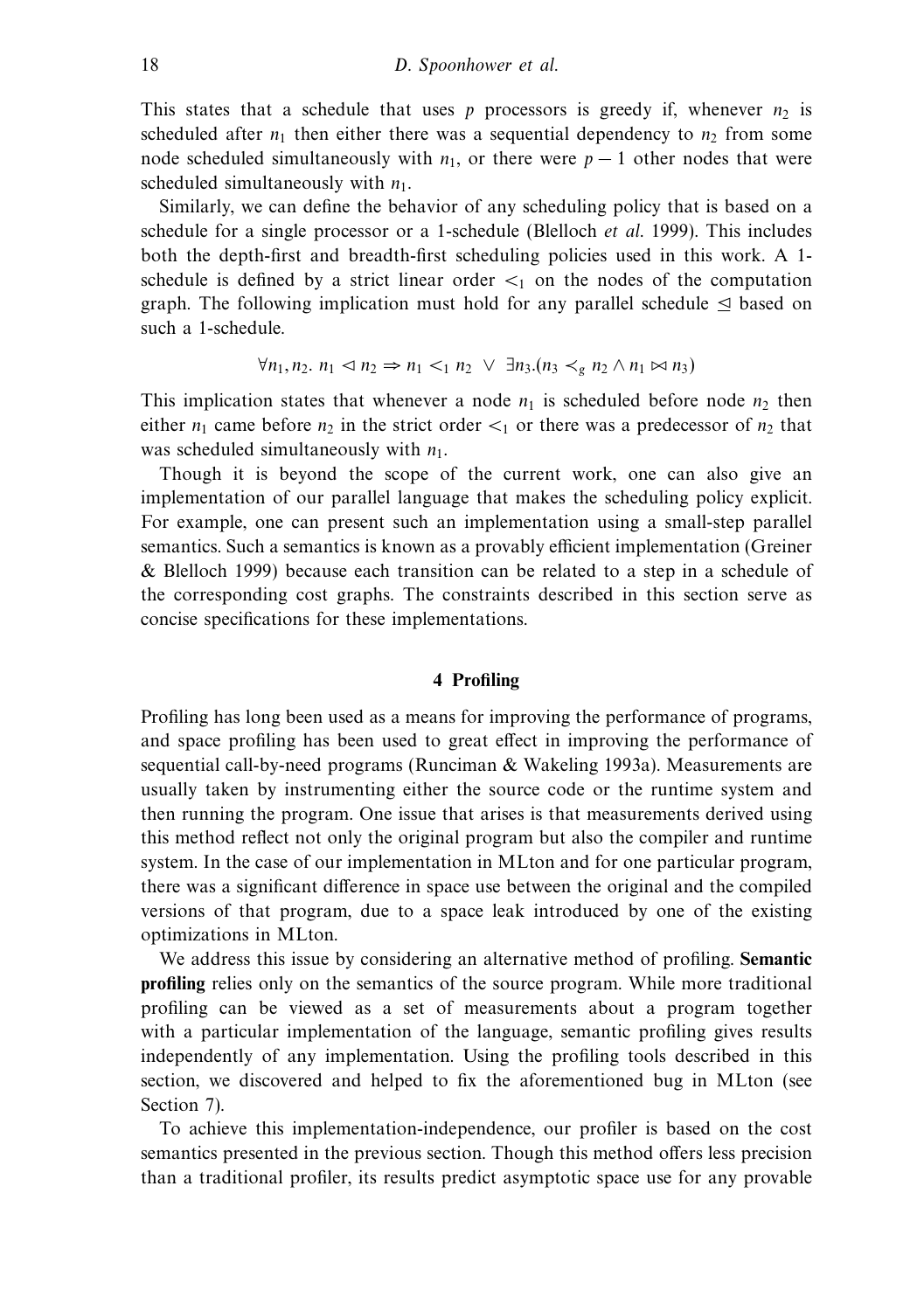This states that a schedule that uses  $p$  processors is greedy if, whenever  $n_2$  is scheduled after  $n_1$  then either there was a sequential dependency to  $n_2$  from some node scheduled simultaneously with  $n_1$ , or there were  $p-1$  other nodes that were scheduled simultaneously with  $n_1$ .

Similarly, we can define the behavior of any scheduling policy that is based on a schedule for a single processor or a 1-schedule (Blelloch et al. 1999). This includes both the depth-first and breadth-first scheduling policies used in this work. A 1 schedule is defined by a strict linear order  $\lt_1$  on the nodes of the computation graph. The following implication must hold for any parallel schedule  $\leq$  based on such a 1-schedule.

$$
\forall n_1, n_2. n_1 \triangleleft n_2 \Rightarrow n_1 \lt_1 n_2 \vee \exists n_3.(n_3 \lt_g n_2 \wedge n_1 \bowtie n_3)
$$

This implication states that whenever a node  $n_1$  is scheduled before node  $n_2$  then either  $n_1$  came before  $n_2$  in the strict order  $\lt_1$  or there was a predecessor of  $n_2$  that was scheduled simultaneously with  $n_1$ .

Though it is beyond the scope of the current work, one can also give an implementation of our parallel language that makes the scheduling policy explicit. For example, one can present such an implementation using a small-step parallel semantics. Such a semantics is known as a provably efficient implementation (Greiner & Blelloch 1999) because each transition can be related to a step in a schedule of the corresponding cost graphs. The constraints described in this section serve as concise specifications for these implementations.

# **4 Profiling**

Profiling has long been used as a means for improving the performance of programs, and space profiling has been used to great effect in improving the performance of sequential call-by-need programs (Runciman & Wakeling 1993a). Measurements are usually taken by instrumenting either the source code or the runtime system and then running the program. One issue that arises is that measurements derived using this method reflect not only the original program but also the compiler and runtime system. In the case of our implementation in MLton and for one particular program, there was a significant difference in space use between the original and the compiled versions of that program, due to a space leak introduced by one of the existing optimizations in MLton.

We address this issue by considering an alternative method of profiling. **Semantic profiling** relies only on the semantics of the source program. While more traditional profiling can be viewed as a set of measurements about a program together with a particular implementation of the language, semantic profiling gives results independently of any implementation. Using the profiling tools described in this section, we discovered and helped to fix the aforementioned bug in MLton (see Section 7).

To achieve this implementation-independence, our profiler is based on the cost semantics presented in the previous section. Though this method offers less precision than a traditional profiler, its results predict asymptotic space use for any provable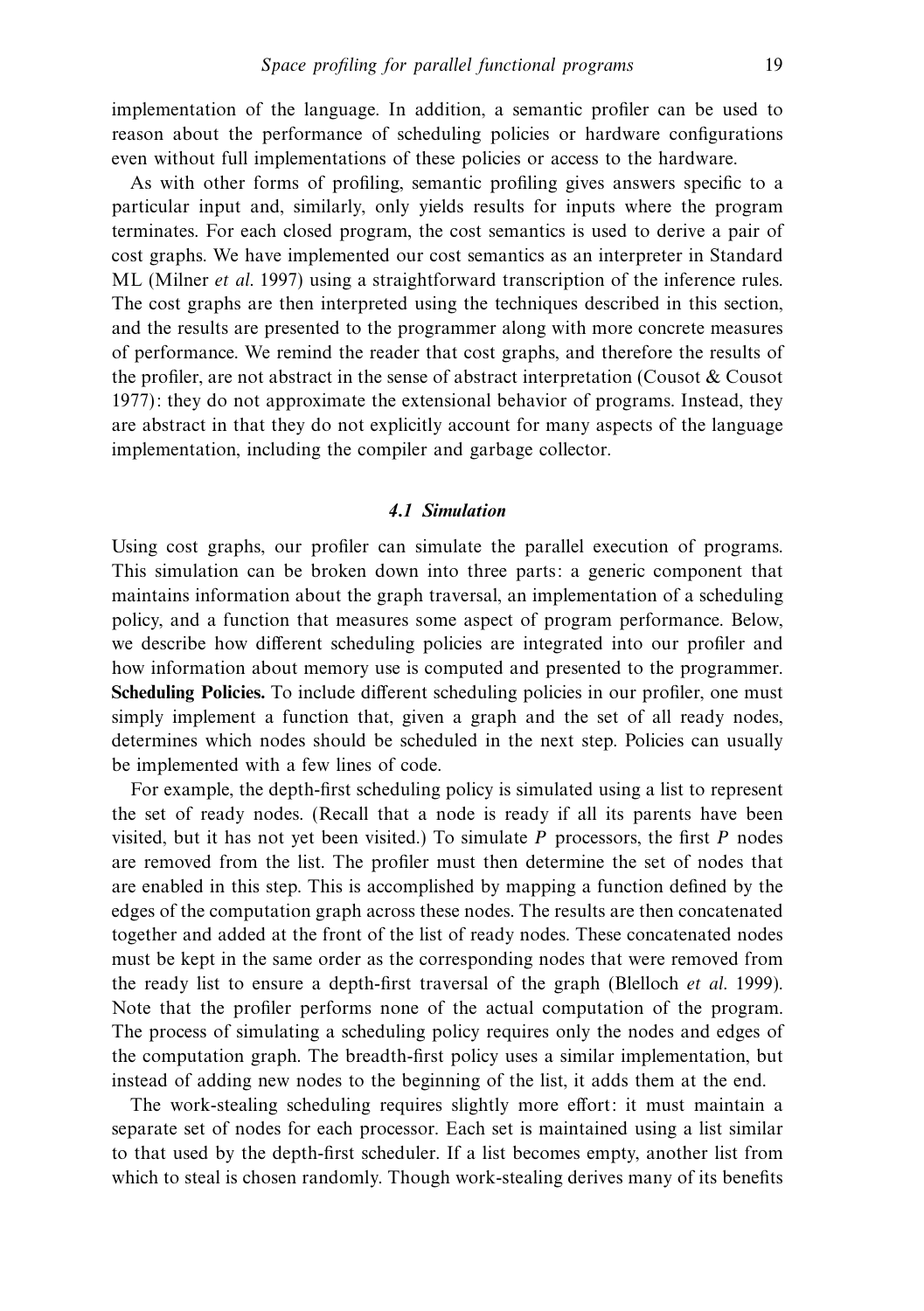implementation of the language. In addition, a semantic profiler can be used to reason about the performance of scheduling policies or hardware configurations even without full implementations of these policies or access to the hardware.

As with other forms of profiling, semantic profiling gives answers specific to a particular input and, similarly, only yields results for inputs where the program terminates. For each closed program, the cost semantics is used to derive a pair of cost graphs. We have implemented our cost semantics as an interpreter in Standard ML (Milner et al. 1997) using a straightforward transcription of the inference rules. The cost graphs are then interpreted using the techniques described in this section, and the results are presented to the programmer along with more concrete measures of performance. We remind the reader that cost graphs, and therefore the results of the profiler, are not abstract in the sense of abstract interpretation (Cousot  $\&$  Cousot 1977): they do not approximate the extensional behavior of programs. Instead, they are abstract in that they do not explicitly account for many aspects of the language implementation, including the compiler and garbage collector.

## *4.1 Simulation*

Using cost graphs, our profiler can simulate the parallel execution of programs. This simulation can be broken down into three parts: a generic component that maintains information about the graph traversal, an implementation of a scheduling policy, and a function that measures some aspect of program performance. Below, we describe how different scheduling policies are integrated into our profiler and how information about memory use is computed and presented to the programmer. **Scheduling Policies.** To include different scheduling policies in our profiler, one must simply implement a function that, given a graph and the set of all ready nodes, determines which nodes should be scheduled in the next step. Policies can usually be implemented with a few lines of code.

For example, the depth-first scheduling policy is simulated using a list to represent the set of ready nodes. (Recall that a node is ready if all its parents have been visited, but it has not yet been visited.) To simulate *P* processors, the first *P* nodes are removed from the list. The profiler must then determine the set of nodes that are enabled in this step. This is accomplished by mapping a function defined by the edges of the computation graph across these nodes. The results are then concatenated together and added at the front of the list of ready nodes. These concatenated nodes must be kept in the same order as the corresponding nodes that were removed from the ready list to ensure a depth-first traversal of the graph (Blelloch et al. 1999). Note that the profiler performs none of the actual computation of the program. The process of simulating a scheduling policy requires only the nodes and edges of the computation graph. The breadth-first policy uses a similar implementation, but instead of adding new nodes to the beginning of the list, it adds them at the end.

The work-stealing scheduling requires slightly more effort: it must maintain a separate set of nodes for each processor. Each set is maintained using a list similar to that used by the depth-first scheduler. If a list becomes empty, another list from which to steal is chosen randomly. Though work-stealing derives many of its benefits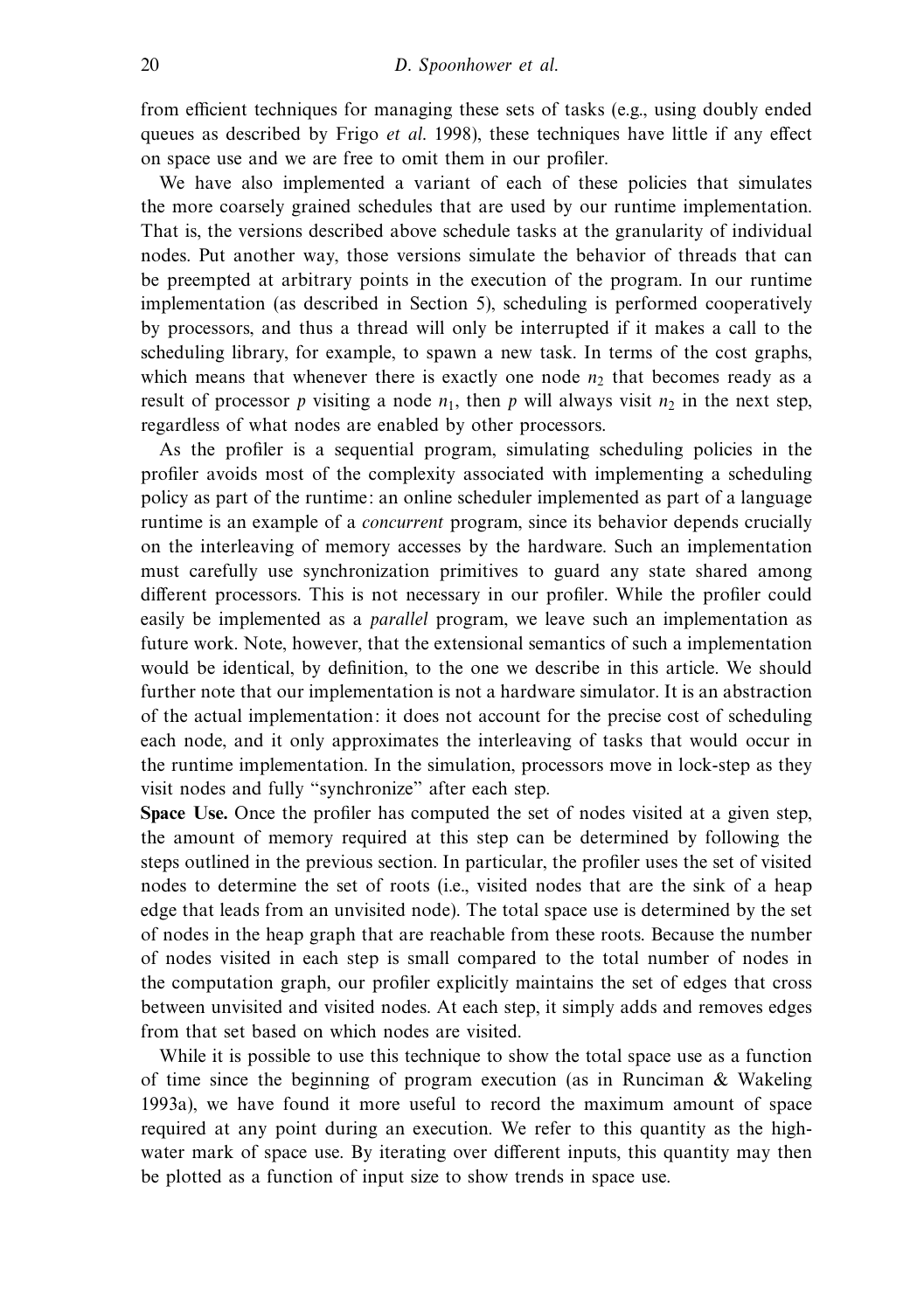from efficient techniques for managing these sets of tasks (e.g., using doubly ended queues as described by Frigo *et al.* 1998), these techniques have little if any effect on space use and we are free to omit them in our profiler.

We have also implemented a variant of each of these policies that simulates the more coarsely grained schedules that are used by our runtime implementation. That is, the versions described above schedule tasks at the granularity of individual nodes. Put another way, those versions simulate the behavior of threads that can be preempted at arbitrary points in the execution of the program. In our runtime implementation (as described in Section 5), scheduling is performed cooperatively by processors, and thus a thread will only be interrupted if it makes a call to the scheduling library, for example, to spawn a new task. In terms of the cost graphs, which means that whenever there is exactly one node  $n_2$  that becomes ready as a result of processor *p* visiting a node  $n_1$ , then *p* will always visit  $n_2$  in the next step, regardless of what nodes are enabled by other processors.

As the profiler is a sequential program, simulating scheduling policies in the profiler avoids most of the complexity associated with implementing a scheduling policy as part of the runtime: an online scheduler implemented as part of a language runtime is an example of a *concurrent* program, since its behavior depends crucially on the interleaving of memory accesses by the hardware. Such an implementation must carefully use synchronization primitives to guard any state shared among different processors. This is not necessary in our profiler. While the profiler could easily be implemented as a parallel program, we leave such an implementation as future work. Note, however, that the extensional semantics of such a implementation would be identical, by definition, to the one we describe in this article. We should further note that our implementation is not a hardware simulator. It is an abstraction of the actual implementation: it does not account for the precise cost of scheduling each node, and it only approximates the interleaving of tasks that would occur in the runtime implementation. In the simulation, processors move in lock-step as they visit nodes and fully "synchronize" after each step.

**Space Use.** Once the profiler has computed the set of nodes visited at a given step, the amount of memory required at this step can be determined by following the steps outlined in the previous section. In particular, the profiler uses the set of visited nodes to determine the set of roots (i.e., visited nodes that are the sink of a heap edge that leads from an unvisited node). The total space use is determined by the set of nodes in the heap graph that are reachable from these roots. Because the number of nodes visited in each step is small compared to the total number of nodes in the computation graph, our profiler explicitly maintains the set of edges that cross between unvisited and visited nodes. At each step, it simply adds and removes edges from that set based on which nodes are visited.

While it is possible to use this technique to show the total space use as a function of time since the beginning of program execution (as in Runciman & Wakeling 1993a), we have found it more useful to record the maximum amount of space required at any point during an execution. We refer to this quantity as the highwater mark of space use. By iterating over different inputs, this quantity may then be plotted as a function of input size to show trends in space use.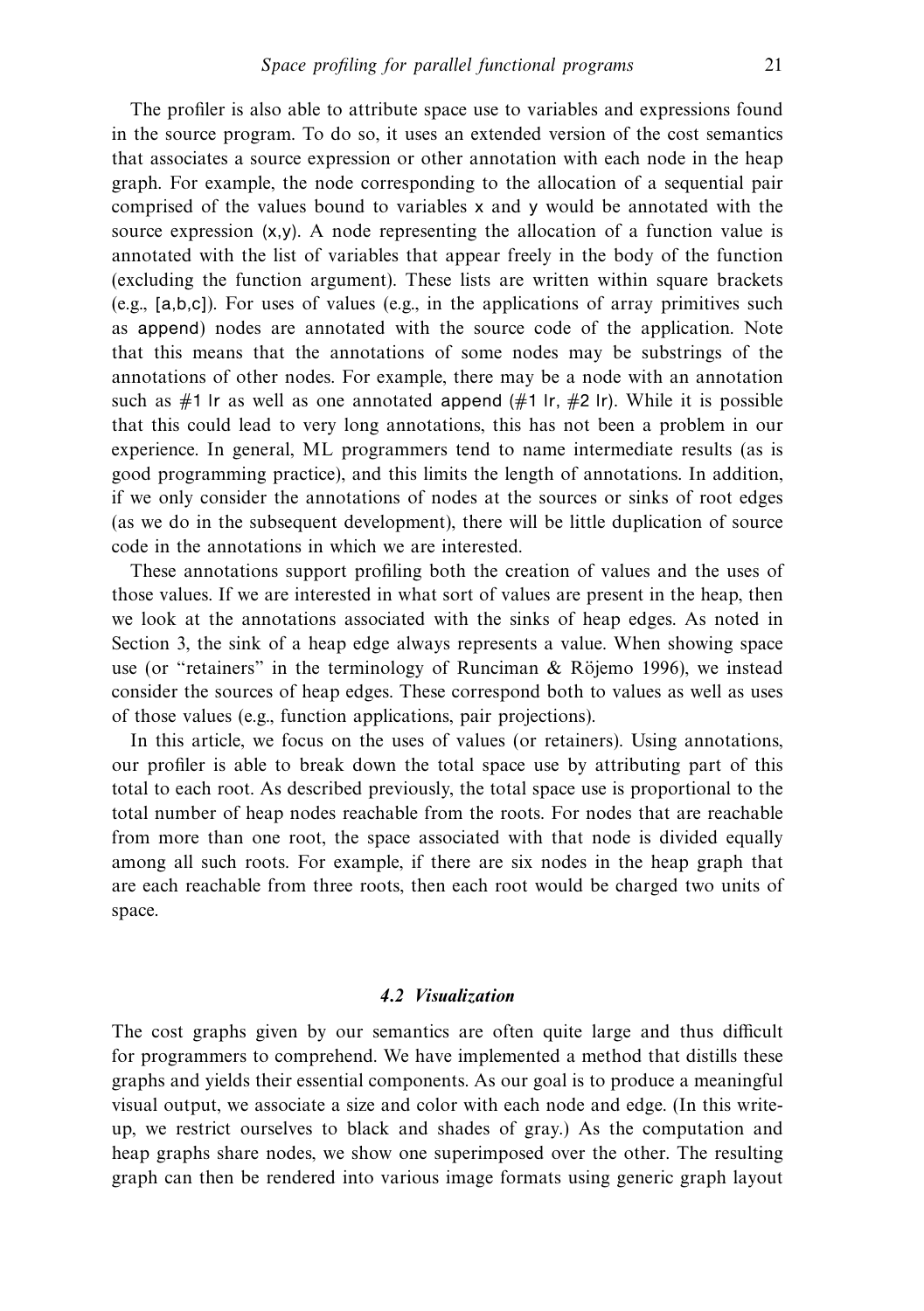The profiler is also able to attribute space use to variables and expressions found in the source program. To do so, it uses an extended version of the cost semantics that associates a source expression or other annotation with each node in the heap graph. For example, the node corresponding to the allocation of a sequential pair comprised of the values bound to variables x and y would be annotated with the source expression  $(x,y)$ . A node representing the allocation of a function value is annotated with the list of variables that appear freely in the body of the function (excluding the function argument). These lists are written within square brackets  $(e.g., [a,b,c])$ . For uses of values  $(e.g., in the applications of array primitives such$ as append) nodes are annotated with the source code of the application. Note that this means that the annotations of some nodes may be substrings of the annotations of other nodes. For example, there may be a node with an annotation such as  $\#1$  lr as well as one annotated append ( $\#1$  lr,  $\#2$  lr). While it is possible that this could lead to very long annotations, this has not been a problem in our experience. In general, ML programmers tend to name intermediate results (as is good programming practice), and this limits the length of annotations. In addition, if we only consider the annotations of nodes at the sources or sinks of root edges (as we do in the subsequent development), there will be little duplication of source code in the annotations in which we are interested.

These annotations support profiling both the creation of values and the uses of those values. If we are interested in what sort of values are present in the heap, then we look at the annotations associated with the sinks of heap edges. As noted in Section 3, the sink of a heap edge always represents a value. When showing space use (or "retainers" in the terminology of Runciman & Röjemo 1996), we instead consider the sources of heap edges. These correspond both to values as well as uses of those values (e.g., function applications, pair projections).

In this article, we focus on the uses of values (or retainers). Using annotations, our profiler is able to break down the total space use by attributing part of this total to each root. As described previously, the total space use is proportional to the total number of heap nodes reachable from the roots. For nodes that are reachable from more than one root, the space associated with that node is divided equally among all such roots. For example, if there are six nodes in the heap graph that are each reachable from three roots, then each root would be charged two units of space.

# *4.2 Visualization*

The cost graphs given by our semantics are often quite large and thus difficult for programmers to comprehend. We have implemented a method that distills these graphs and yields their essential components. As our goal is to produce a meaningful visual output, we associate a size and color with each node and edge. (In this writeup, we restrict ourselves to black and shades of gray.) As the computation and heap graphs share nodes, we show one superimposed over the other. The resulting graph can then be rendered into various image formats using generic graph layout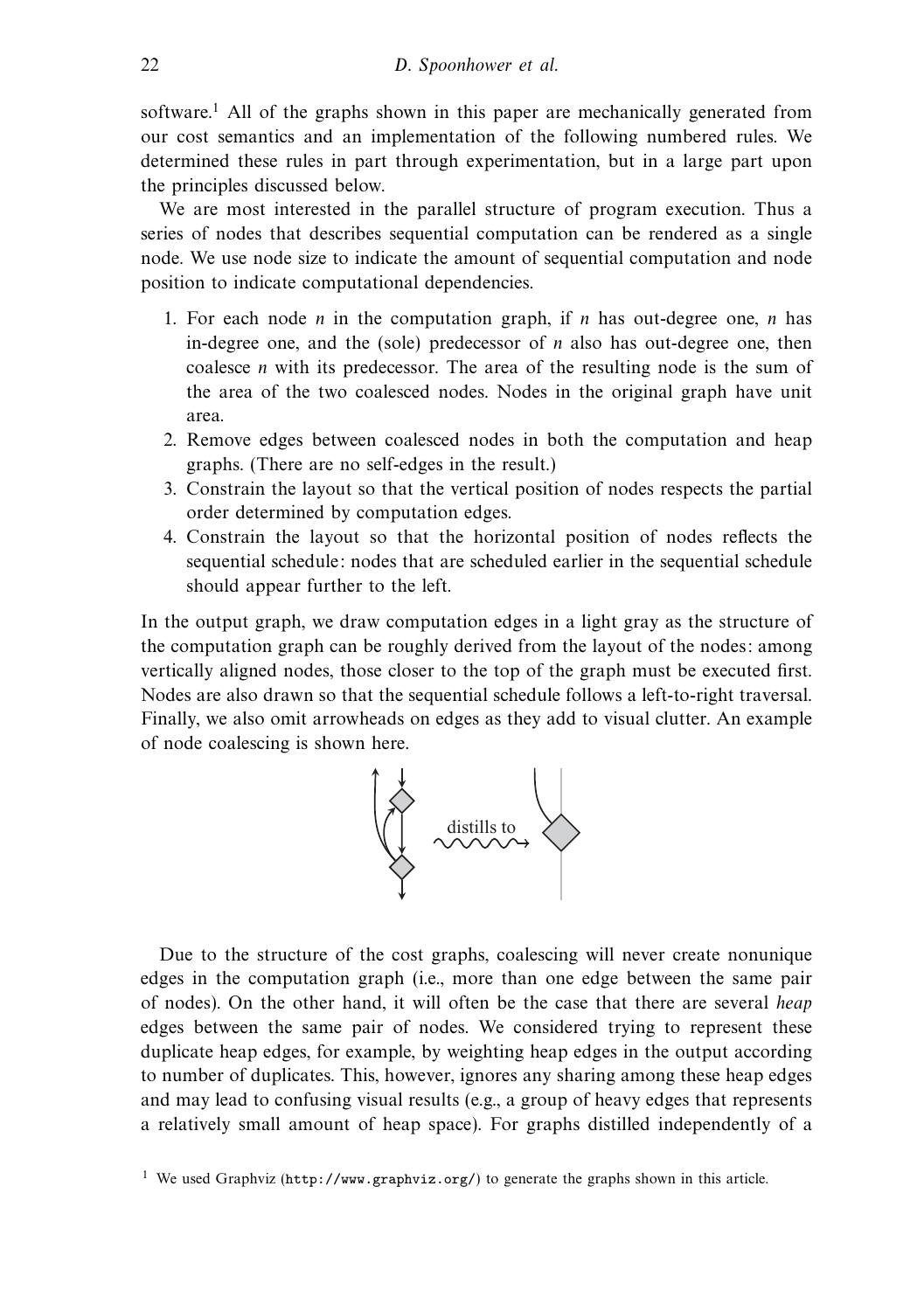software.<sup>1</sup> All of the graphs shown in this paper are mechanically generated from our cost semantics and an implementation of the following numbered rules. We determined these rules in part through experimentation, but in a large part upon the principles discussed below.

We are most interested in the parallel structure of program execution. Thus a series of nodes that describes sequential computation can be rendered as a single node. We use node size to indicate the amount of sequential computation and node position to indicate computational dependencies.

- 1. For each node *n* in the computation graph, if *n* has out-degree one, *n* has in-degree one, and the (sole) predecessor of *n* also has out-degree one, then coalesce *n* with its predecessor. The area of the resulting node is the sum of the area of the two coalesced nodes. Nodes in the original graph have unit area.
- 2. Remove edges between coalesced nodes in both the computation and heap graphs. (There are no self-edges in the result.)
- 3. Constrain the layout so that the vertical position of nodes respects the partial order determined by computation edges.
- 4. Constrain the layout so that the horizontal position of nodes reflects the sequential schedule: nodes that are scheduled earlier in the sequential schedule should appear further to the left.

In the output graph, we draw computation edges in a light gray as the structure of the computation graph can be roughly derived from the layout of the nodes: among vertically aligned nodes, those closer to the top of the graph must be executed first. Nodes are also drawn so that the sequential schedule follows a left-to-right traversal. Finally, we also omit arrowheads on edges as they add to visual clutter. An example of node coalescing is shown here.



Due to the structure of the cost graphs, coalescing will never create nonunique edges in the computation graph (i.e., more than one edge between the same pair of nodes). On the other hand, it will often be the case that there are several heap edges between the same pair of nodes. We considered trying to represent these duplicate heap edges, for example, by weighting heap edges in the output according to number of duplicates. This, however, ignores any sharing among these heap edges and may lead to confusing visual results (e.g., a group of heavy edges that represents a relatively small amount of heap space). For graphs distilled independently of a

<sup>&</sup>lt;sup>1</sup> We used Graphviz (http://www.graphviz.org/) to generate the graphs shown in this article.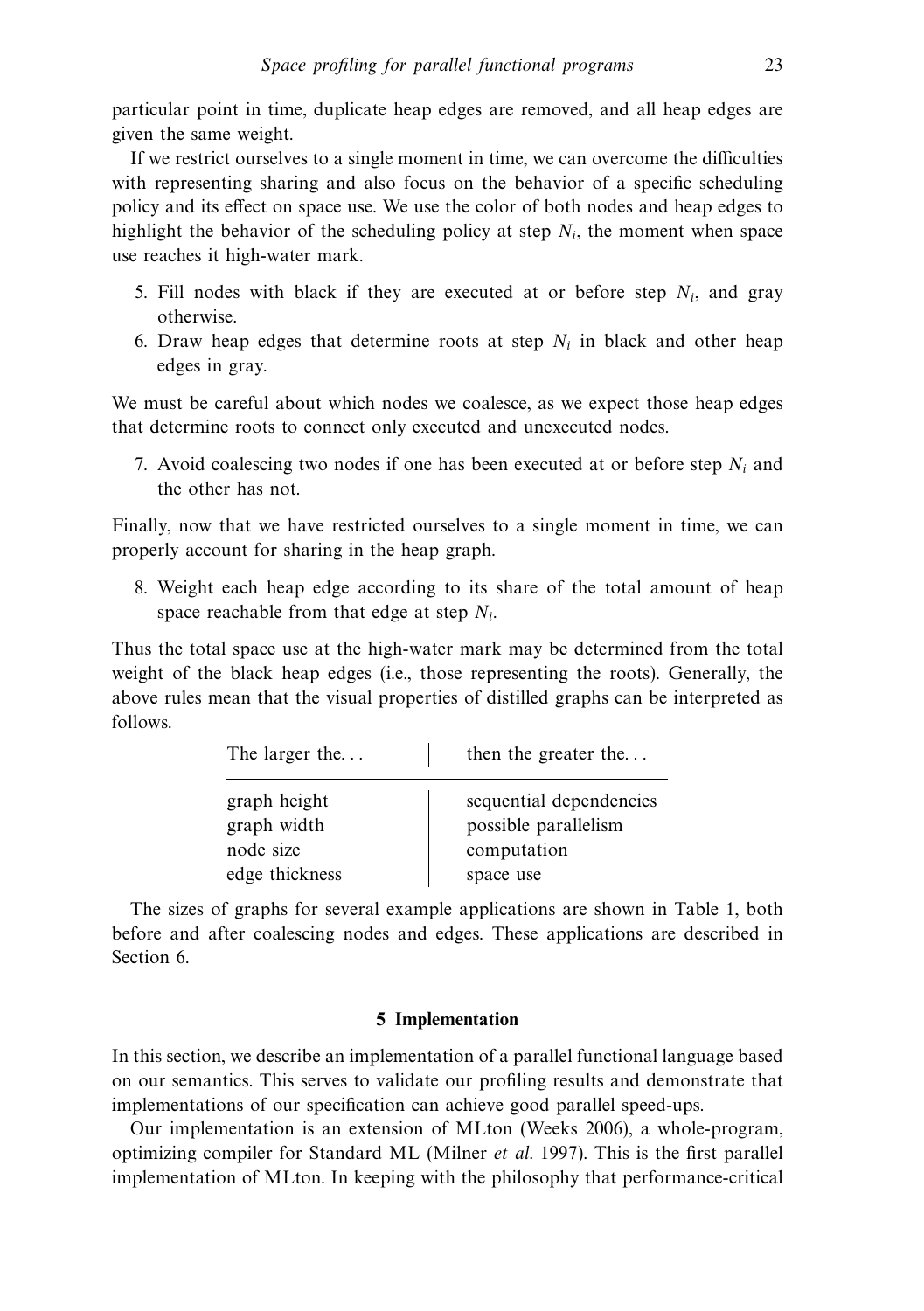particular point in time, duplicate heap edges are removed, and all heap edges are given the same weight.

If we restrict ourselves to a single moment in time, we can overcome the difficulties with representing sharing and also focus on the behavior of a specific scheduling policy and its effect on space use. We use the color of both nodes and heap edges to highlight the behavior of the scheduling policy at step  $N_i$ , the moment when space use reaches it high-water mark.

- 5. Fill nodes with black if they are executed at or before step  $N_i$ , and gray otherwise.
- 6. Draw heap edges that determine roots at step  $N_i$  in black and other heap edges in gray.

We must be careful about which nodes we coalesce, as we expect those heap edges that determine roots to connect only executed and unexecuted nodes.

7. Avoid coalescing two nodes if one has been executed at or before step  $N_i$  and the other has not.

Finally, now that we have restricted ourselves to a single moment in time, we can properly account for sharing in the heap graph.

8. Weight each heap edge according to its share of the total amount of heap space reachable from that edge at step *Ni*.

Thus the total space use at the high-water mark may be determined from the total weight of the black heap edges (i.e., those representing the roots). Generally, the above rules mean that the visual properties of distilled graphs can be interpreted as follows.

| The larger the | then the greater the    |
|----------------|-------------------------|
| graph height   | sequential dependencies |
| graph width    | possible parallelism    |
| node size      | computation             |
| edge thickness | space use               |

The sizes of graphs for several example applications are shown in Table 1, both before and after coalescing nodes and edges. These applications are described in Section 6.

## **5 Implementation**

In this section, we describe an implementation of a parallel functional language based on our semantics. This serves to validate our profiling results and demonstrate that implementations of our specification can achieve good parallel speed-ups.

Our implementation is an extension of MLton (Weeks 2006), a whole-program, optimizing compiler for Standard ML (Milner et al. 1997). This is the first parallel implementation of MLton. In keeping with the philosophy that performance-critical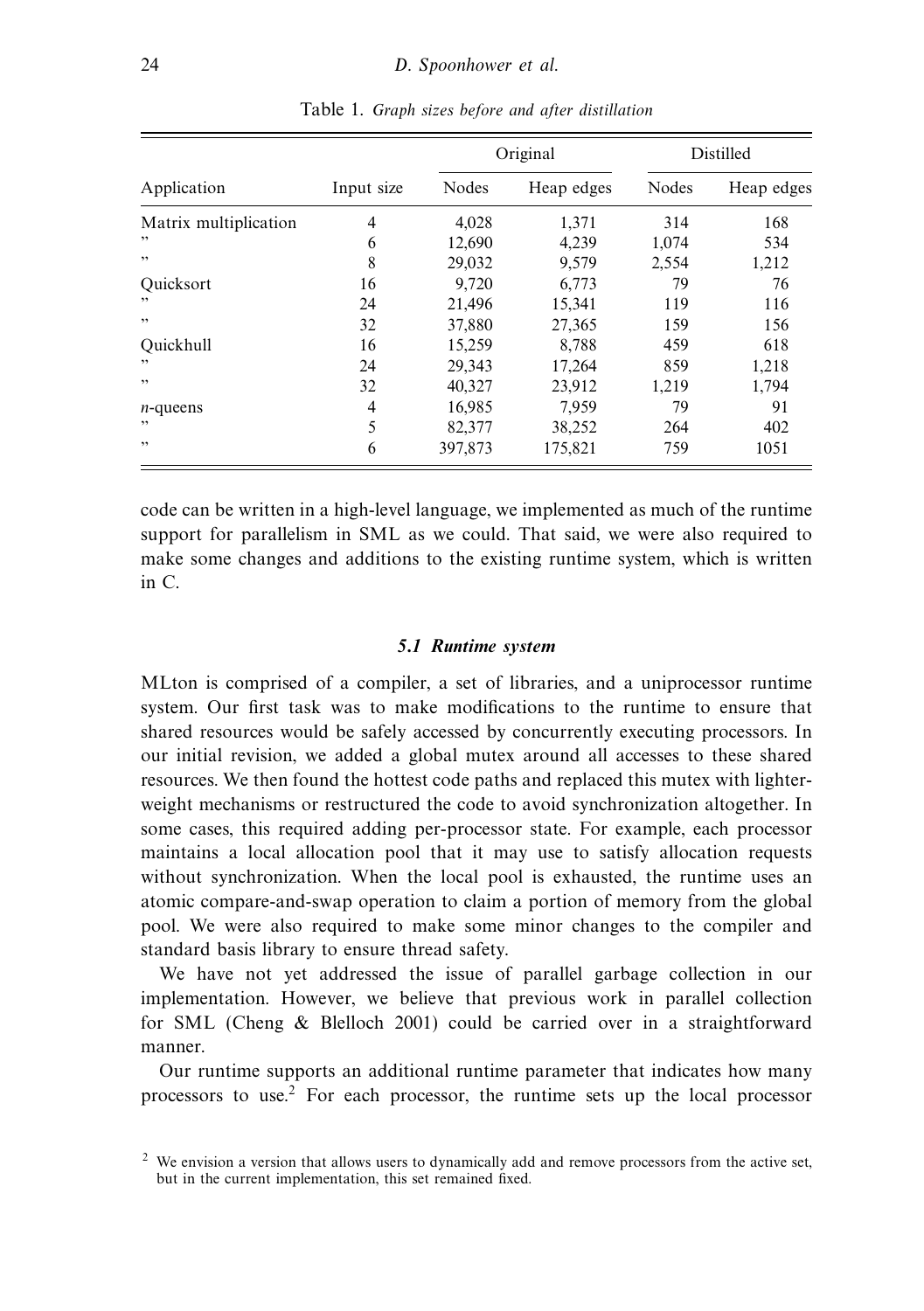| Application           | Input size |         | Original   | Distilled |            |  |
|-----------------------|------------|---------|------------|-----------|------------|--|
|                       |            | Nodes   | Heap edges | Nodes     | Heap edges |  |
| Matrix multiplication | 4          | 4,028   | 1,371      | 314       | 168        |  |
| , ,                   | 6          | 12,690  | 4,239      | 1,074     | 534        |  |
| , ,                   | 8          | 29,032  | 9,579      | 2,554     | 1,212      |  |
| Ouicksort             | 16         | 9.720   | 6.773      | 79        | 76         |  |
| $, \,$                | 24         | 21,496  | 15,341     | 119       | 116        |  |
| , ,                   | 32         | 37,880  | 27,365     | 159       | 156        |  |
| Quickhull             | 16         | 15,259  | 8,788      | 459       | 618        |  |
| ,,                    | 24         | 29.343  | 17.264     | 859       | 1,218      |  |
| , ,                   | 32         | 40,327  | 23,912     | 1,219     | 1,794      |  |
| $n$ -queens           | 4          | 16,985  | 7,959      | 79        | 91         |  |
| , ,                   | 5          | 82,377  | 38,252     | 264       | 402        |  |
| , ,                   | 6          | 397,873 | 175,821    | 759       | 1051       |  |

Table 1. Graph sizes before and after distillation

code can be written in a high-level language, we implemented as much of the runtime support for parallelism in SML as we could. That said, we were also required to make some changes and additions to the existing runtime system, which is written in C.

#### *5.1 Runtime system*

MLton is comprised of a compiler, a set of libraries, and a uniprocessor runtime system. Our first task was to make modifications to the runtime to ensure that shared resources would be safely accessed by concurrently executing processors. In our initial revision, we added a global mutex around all accesses to these shared resources. We then found the hottest code paths and replaced this mutex with lighterweight mechanisms or restructured the code to avoid synchronization altogether. In some cases, this required adding per-processor state. For example, each processor maintains a local allocation pool that it may use to satisfy allocation requests without synchronization. When the local pool is exhausted, the runtime uses an atomic compare-and-swap operation to claim a portion of memory from the global pool. We were also required to make some minor changes to the compiler and standard basis library to ensure thread safety.

We have not yet addressed the issue of parallel garbage collection in our implementation. However, we believe that previous work in parallel collection for SML (Cheng & Blelloch 2001) could be carried over in a straightforward manner.

Our runtime supports an additional runtime parameter that indicates how many processors to use.<sup>2</sup> For each processor, the runtime sets up the local processor

<sup>&</sup>lt;sup>2</sup> We envision a version that allows users to dynamically add and remove processors from the active set, but in the current implementation, this set remained fixed.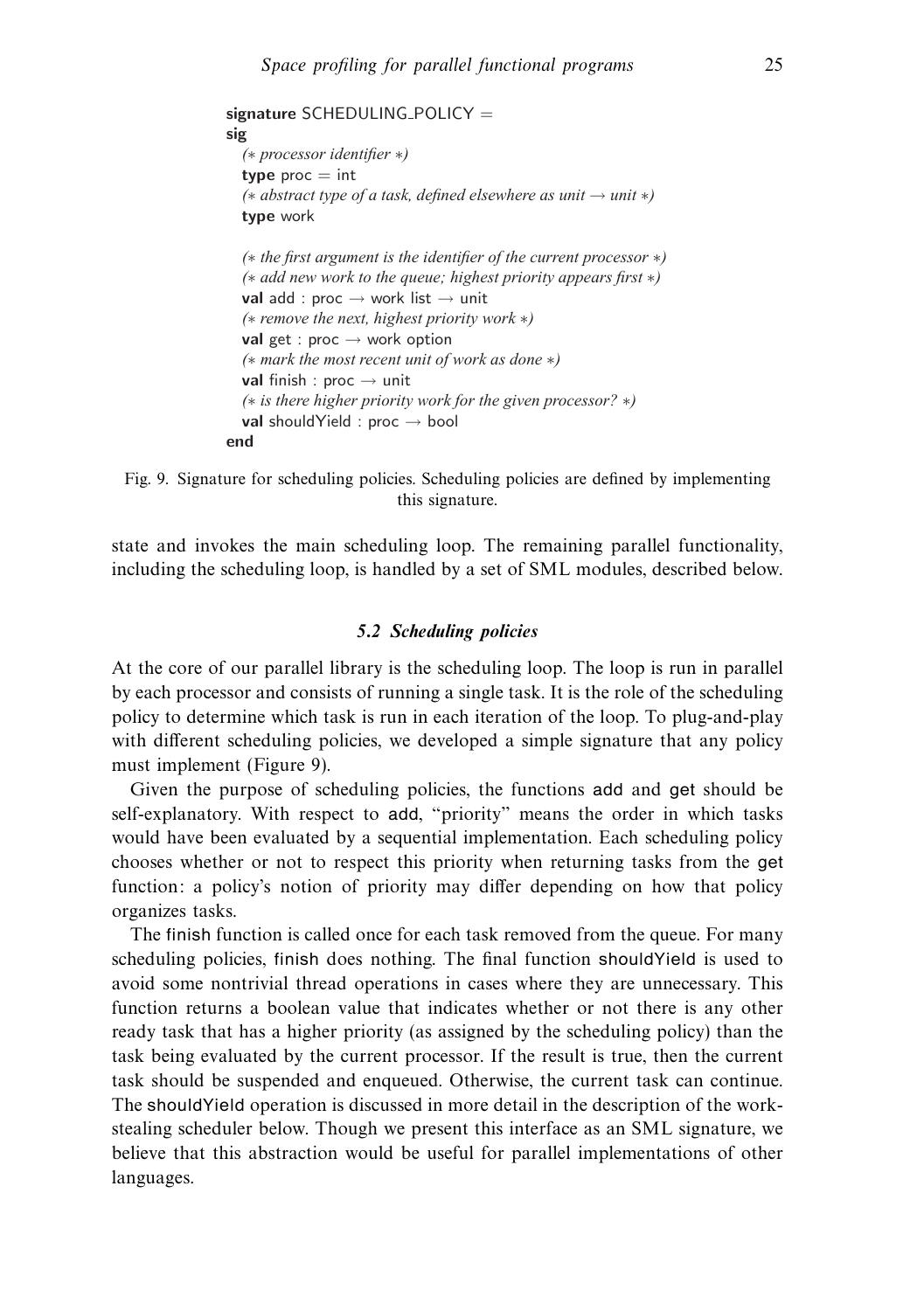```
signature SCHEDULING_POLICY =
sig
  (∗ processor identifier ∗)
  type proc = int
  (∗ abstract type of a task, defined elsewhere as unit → unit ∗)
  type work
  (∗ the first argument is the identifier of the current processor ∗)
  (∗ add new work to the queue; highest priority appears first ∗)
  val add : proc → work list → unit
  (∗ remove the next, highest priority work ∗)
  val get : proc → work option
  (∗ mark the most recent unit of work as done ∗)
  val finish : proc → unit
  (∗ is there higher priority work for the given processor? ∗)
  val shouldYield : proc → bool
end
```

```
Fig. 9. Signature for scheduling policies. Scheduling policies are defined by implementing
                                      this signature.
```
state and invokes the main scheduling loop. The remaining parallel functionality, including the scheduling loop, is handled by a set of SML modules, described below.

## *5.2 Scheduling policies*

At the core of our parallel library is the scheduling loop. The loop is run in parallel by each processor and consists of running a single task. It is the role of the scheduling policy to determine which task is run in each iteration of the loop. To plug-and-play with different scheduling policies, we developed a simple signature that any policy must implement (Figure 9).

Given the purpose of scheduling policies, the functions add and get should be self-explanatory. With respect to add, "priority" means the order in which tasks would have been evaluated by a sequential implementation. Each scheduling policy chooses whether or not to respect this priority when returning tasks from the get function: a policy's notion of priority may differ depending on how that policy organizes tasks.

The finish function is called once for each task removed from the queue. For many scheduling policies, finish does nothing. The final function shouldYield is used to avoid some nontrivial thread operations in cases where they are unnecessary. This function returns a boolean value that indicates whether or not there is any other ready task that has a higher priority (as assigned by the scheduling policy) than the task being evaluated by the current processor. If the result is true, then the current task should be suspended and enqueued. Otherwise, the current task can continue. The shouldYield operation is discussed in more detail in the description of the workstealing scheduler below. Though we present this interface as an SML signature, we believe that this abstraction would be useful for parallel implementations of other languages.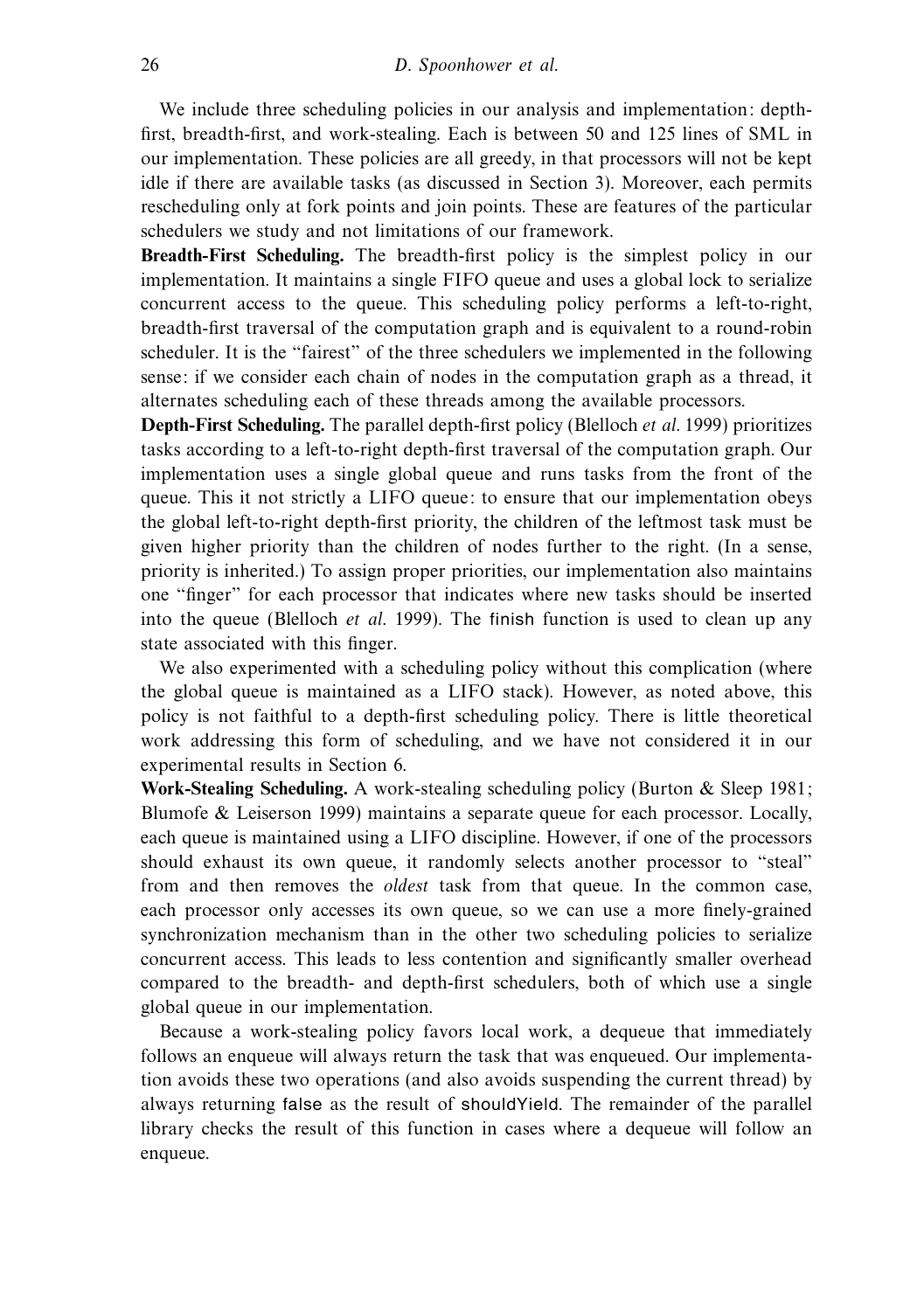We include three scheduling policies in our analysis and implementation: depthfirst, breadth-first, and work-stealing. Each is between 50 and 125 lines of SML in our implementation. These policies are all greedy, in that processors will not be kept idle if there are available tasks (as discussed in Section 3). Moreover, each permits rescheduling only at fork points and join points. These are features of the particular schedulers we study and not limitations of our framework.

**Breadth-First Scheduling.** The breadth-first policy is the simplest policy in our implementation. It maintains a single FIFO queue and uses a global lock to serialize concurrent access to the queue. This scheduling policy performs a left-to-right, breadth-first traversal of the computation graph and is equivalent to a round-robin scheduler. It is the "fairest" of the three schedulers we implemented in the following sense: if we consider each chain of nodes in the computation graph as a thread, it alternates scheduling each of these threads among the available processors.

**Depth-First Scheduling.** The parallel depth-first policy (Blelloch et al. 1999) prioritizes tasks according to a left-to-right depth-first traversal of the computation graph. Our implementation uses a single global queue and runs tasks from the front of the queue. This it not strictly a LIFO queue: to ensure that our implementation obeys the global left-to-right depth-first priority, the children of the leftmost task must be given higher priority than the children of nodes further to the right. (In a sense, priority is inherited.) To assign proper priorities, our implementation also maintains one "finger" for each processor that indicates where new tasks should be inserted into the queue (Blelloch et al. 1999). The finish function is used to clean up any state associated with this finger.

We also experimented with a scheduling policy without this complication (where the global queue is maintained as a LIFO stack). However, as noted above, this policy is not faithful to a depth-first scheduling policy. There is little theoretical work addressing this form of scheduling, and we have not considered it in our experimental results in Section 6.

**Work-Stealing Scheduling.** A work-stealing scheduling policy (Burton & Sleep 1981; Blumofe & Leiserson 1999) maintains a separate queue for each processor. Locally, each queue is maintained using a LIFO discipline. However, if one of the processors should exhaust its own queue, it randomly selects another processor to "steal" from and then removes the oldest task from that queue. In the common case, each processor only accesses its own queue, so we can use a more finely-grained synchronization mechanism than in the other two scheduling policies to serialize concurrent access. This leads to less contention and significantly smaller overhead compared to the breadth- and depth-first schedulers, both of which use a single global queue in our implementation.

Because a work-stealing policy favors local work, a dequeue that immediately follows an enqueue will always return the task that was enqueued. Our implementation avoids these two operations (and also avoids suspending the current thread) by always returning false as the result of shouldYield. The remainder of the parallel library checks the result of this function in cases where a dequeue will follow an enqueue.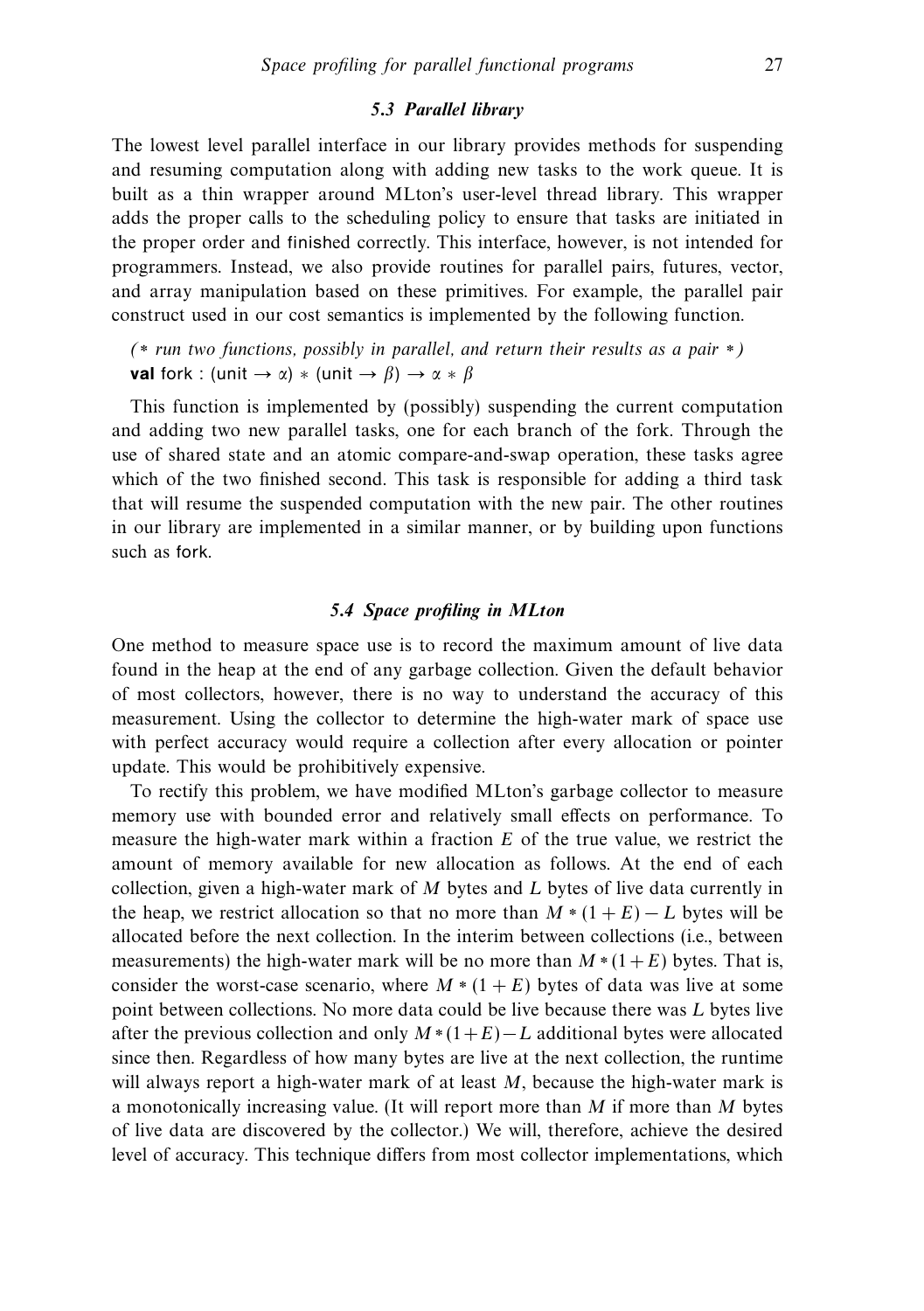## *5.3 Parallel library*

The lowest level parallel interface in our library provides methods for suspending and resuming computation along with adding new tasks to the work queue. It is built as a thin wrapper around MLton's user-level thread library. This wrapper adds the proper calls to the scheduling policy to ensure that tasks are initiated in the proper order and finished correctly. This interface, however, is not intended for programmers. Instead, we also provide routines for parallel pairs, futures, vector, and array manipulation based on these primitives. For example, the parallel pair construct used in our cost semantics is implemented by the following function.

(∗ run two functions, possibly in parallel, and return their results as a pair ∗) **val** fork : (unit  $\rightarrow \alpha$ ) \* (unit  $\rightarrow \beta$ )  $\rightarrow \alpha * \beta$ 

This function is implemented by (possibly) suspending the current computation and adding two new parallel tasks, one for each branch of the fork. Through the use of shared state and an atomic compare-and-swap operation, these tasks agree which of the two finished second. This task is responsible for adding a third task that will resume the suspended computation with the new pair. The other routines in our library are implemented in a similar manner, or by building upon functions such as fork.

# *5.4 Space profiling in MLton*

One method to measure space use is to record the maximum amount of live data found in the heap at the end of any garbage collection. Given the default behavior of most collectors, however, there is no way to understand the accuracy of this measurement. Using the collector to determine the high-water mark of space use with perfect accuracy would require a collection after every allocation or pointer update. This would be prohibitively expensive.

To rectify this problem, we have modified MLton's garbage collector to measure memory use with bounded error and relatively small effects on performance. To measure the high-water mark within a fraction *E* of the true value, we restrict the amount of memory available for new allocation as follows. At the end of each collection, given a high-water mark of *M* bytes and *L* bytes of live data currently in the heap, we restrict allocation so that no more than  $M * (1 + E) - L$  bytes will be allocated before the next collection. In the interim between collections (i.e., between measurements) the high-water mark will be no more than  $M*(1+E)$  bytes. That is, consider the worst-case scenario, where  $M * (1 + E)$  bytes of data was live at some point between collections. No more data could be live because there was *L* bytes live after the previous collection and only *M* ∗(1+*E*)−*L* additional bytes were allocated since then. Regardless of how many bytes are live at the next collection, the runtime will always report a high-water mark of at least *M*, because the high-water mark is a monotonically increasing value. (It will report more than *M* if more than *M* bytes of live data are discovered by the collector.) We will, therefore, achieve the desired level of accuracy. This technique differs from most collector implementations, which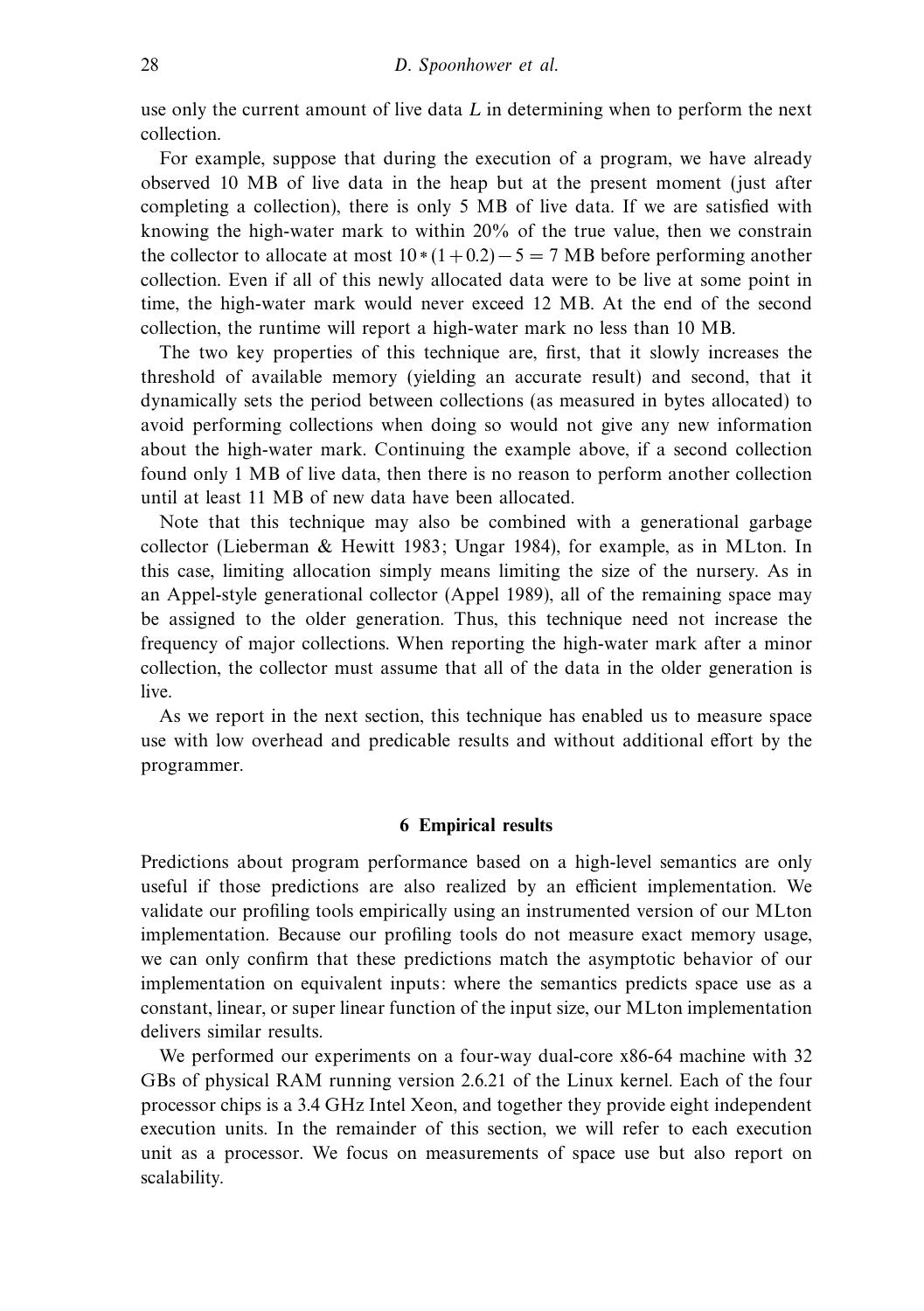use only the current amount of live data *L* in determining when to perform the next collection.

For example, suppose that during the execution of a program, we have already observed 10 MB of live data in the heap but at the present moment (just after completing a collection), there is only 5 MB of live data. If we are satisfied with knowing the high-water mark to within 20% of the true value, then we constrain the collector to allocate at most  $10*(1+0.2)-5=7$  MB before performing another collection. Even if all of this newly allocated data were to be live at some point in time, the high-water mark would never exceed 12 MB. At the end of the second collection, the runtime will report a high-water mark no less than 10 MB.

The two key properties of this technique are, first, that it slowly increases the threshold of available memory (yielding an accurate result) and second, that it dynamically sets the period between collections (as measured in bytes allocated) to avoid performing collections when doing so would not give any new information about the high-water mark. Continuing the example above, if a second collection found only 1 MB of live data, then there is no reason to perform another collection until at least 11 MB of new data have been allocated.

Note that this technique may also be combined with a generational garbage collector (Lieberman & Hewitt 1983; Ungar 1984), for example, as in MLton. In this case, limiting allocation simply means limiting the size of the nursery. As in an Appel-style generational collector (Appel 1989), all of the remaining space may be assigned to the older generation. Thus, this technique need not increase the frequency of major collections. When reporting the high-water mark after a minor collection, the collector must assume that all of the data in the older generation is live.

As we report in the next section, this technique has enabled us to measure space use with low overhead and predicable results and without additional effort by the programmer.

# **6 Empirical results**

Predictions about program performance based on a high-level semantics are only useful if those predictions are also realized by an efficient implementation. We validate our profiling tools empirically using an instrumented version of our MLton implementation. Because our profiling tools do not measure exact memory usage, we can only confirm that these predictions match the asymptotic behavior of our implementation on equivalent inputs: where the semantics predicts space use as a constant, linear, or super linear function of the input size, our MLton implementation delivers similar results.

We performed our experiments on a four-way dual-core x86-64 machine with 32 GBs of physical RAM running version 2.6.21 of the Linux kernel. Each of the four processor chips is a 3.4 GHz Intel Xeon, and together they provide eight independent execution units. In the remainder of this section, we will refer to each execution unit as a processor. We focus on measurements of space use but also report on scalability.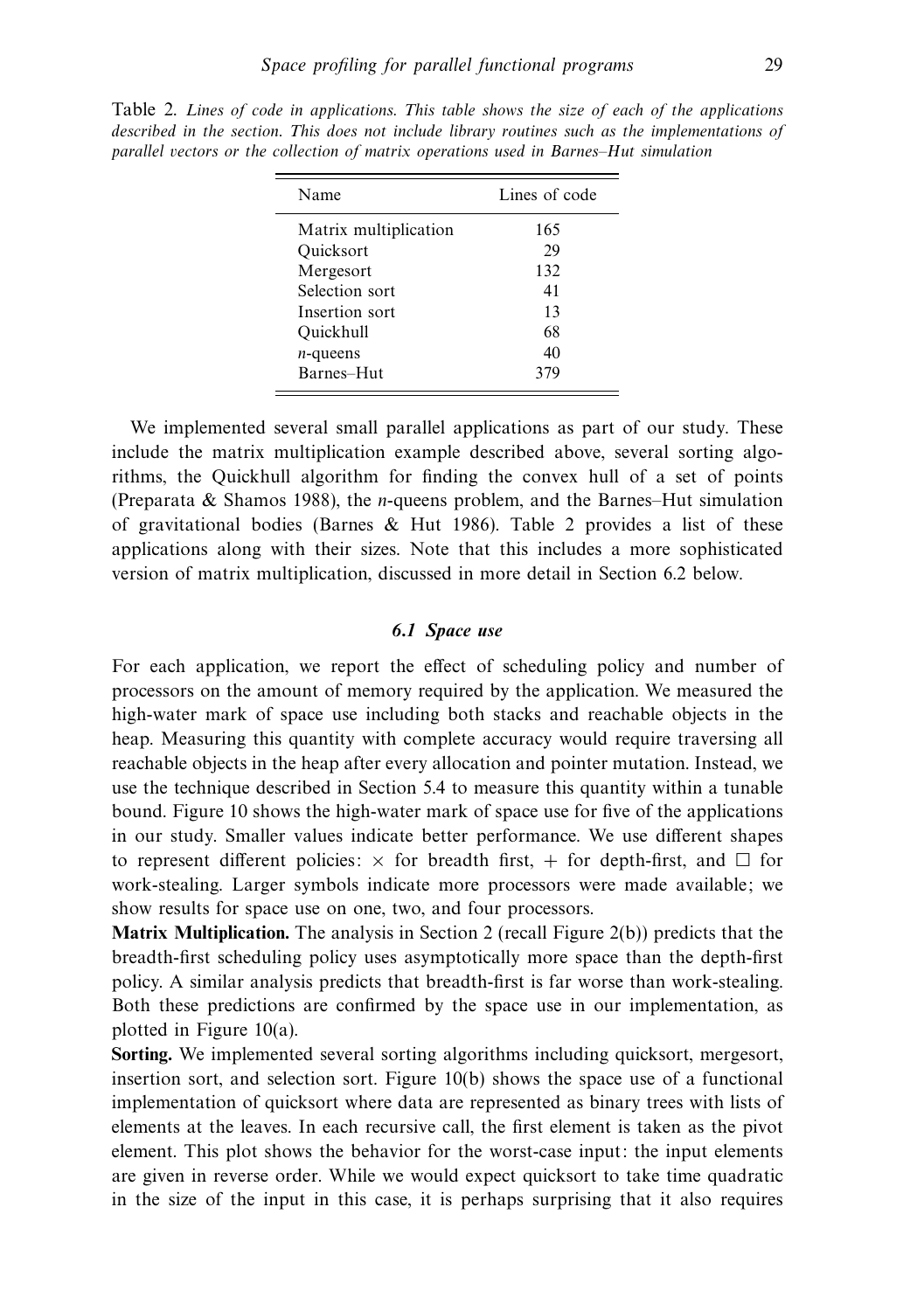| Name                  | Lines of code |
|-----------------------|---------------|
| Matrix multiplication | 165           |
| Quicksort             | 29            |
| Mergesort             | 132           |
| Selection sort        | 41            |
| Insertion sort        | 13            |
| Ouickhull             | 68            |
| $n$ -queens           | 40            |
| Barnes–Hut            | 379           |

Table 2. Lines of code in applications. This table shows the size of each of the applications described in the section. This does not include library routines such as the implementations of parallel vectors or the collection of matrix operations used in Barnes–Hut simulation

We implemented several small parallel applications as part of our study. These include the matrix multiplication example described above, several sorting algorithms, the Quickhull algorithm for finding the convex hull of a set of points (Preparata & Shamos 1988), the *n*-queens problem, and the Barnes–Hut simulation of gravitational bodies (Barnes & Hut 1986). Table 2 provides a list of these applications along with their sizes. Note that this includes a more sophisticated version of matrix multiplication, discussed in more detail in Section 6.2 below.

## *6.1 Space use*

For each application, we report the effect of scheduling policy and number of processors on the amount of memory required by the application. We measured the high-water mark of space use including both stacks and reachable objects in the heap. Measuring this quantity with complete accuracy would require traversing all reachable objects in the heap after every allocation and pointer mutation. Instead, we use the technique described in Section 5.4 to measure this quantity within a tunable bound. Figure 10 shows the high-water mark of space use for five of the applications in our study. Smaller values indicate better performance. We use different shapes to represent different policies:  $\times$  for breadth first, + for depth-first, and  $\Box$  for work-stealing. Larger symbols indicate more processors were made available; we show results for space use on one, two, and four processors.

**Matrix Multiplication.** The analysis in Section 2 (recall Figure 2(b)) predicts that the breadth-first scheduling policy uses asymptotically more space than the depth-first policy. A similar analysis predicts that breadth-first is far worse than work-stealing. Both these predictions are confirmed by the space use in our implementation, as plotted in Figure 10(a).

**Sorting.** We implemented several sorting algorithms including quicksort, mergesort, insertion sort, and selection sort. Figure 10(b) shows the space use of a functional implementation of quicksort where data are represented as binary trees with lists of elements at the leaves. In each recursive call, the first element is taken as the pivot element. This plot shows the behavior for the worst-case input: the input elements are given in reverse order. While we would expect quicksort to take time quadratic in the size of the input in this case, it is perhaps surprising that it also requires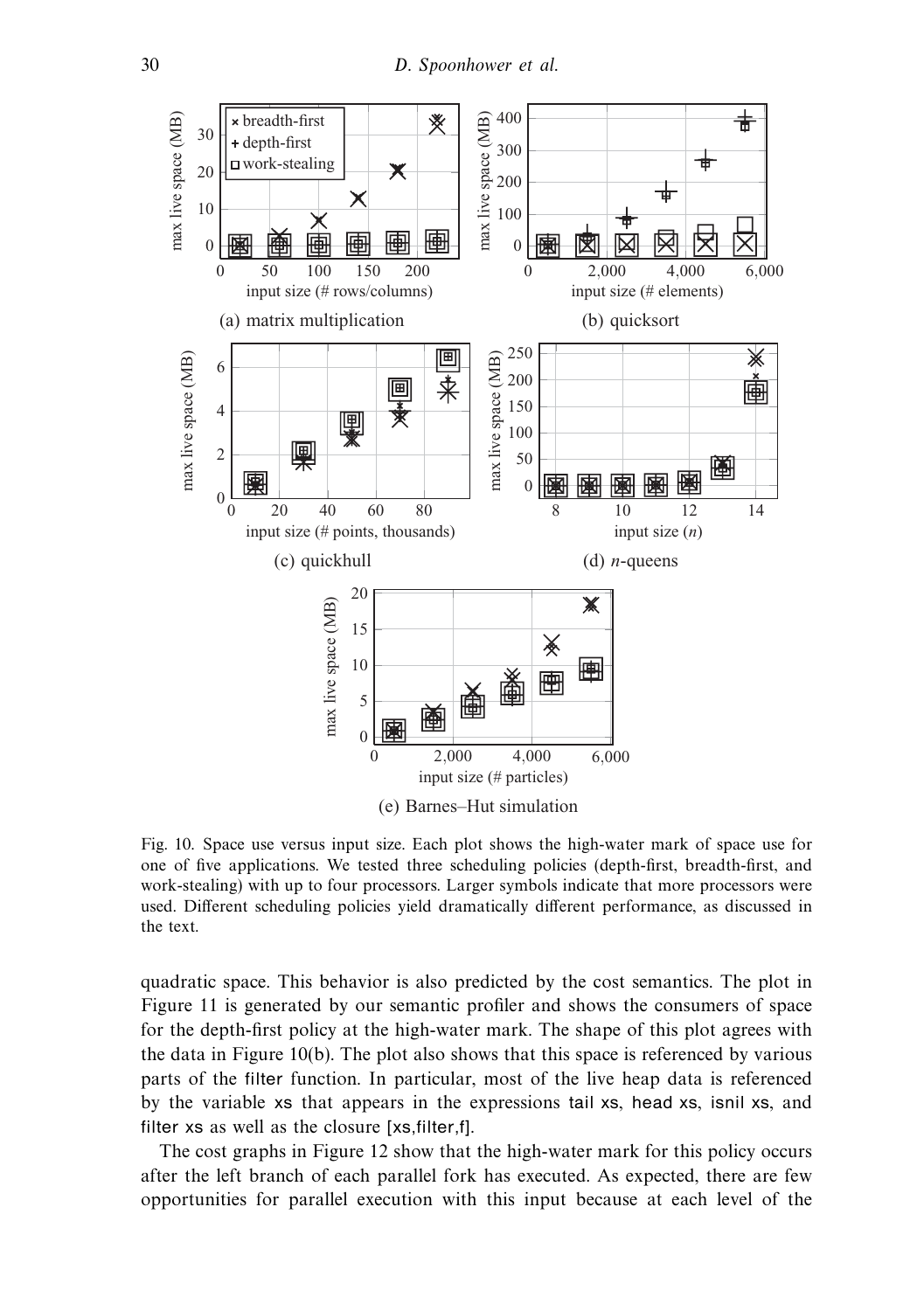

Fig. 10. Space use versus input size. Each plot shows the high-water mark of space use for one of five applications. We tested three scheduling policies (depth-first, breadth-first, and work-stealing) with up to four processors. Larger symbols indicate that more processors were used. Different scheduling policies yield dramatically different performance, as discussed in the text.

quadratic space. This behavior is also predicted by the cost semantics. The plot in Figure 11 is generated by our semantic profiler and shows the consumers of space for the depth-first policy at the high-water mark. The shape of this plot agrees with the data in Figure 10(b). The plot also shows that this space is referenced by various parts of the filter function. In particular, most of the live heap data is referenced by the variable xs that appears in the expressions tail xs, head xs, isnil xs, and filter xs as well as the closure [xs,filter,f].

The cost graphs in Figure 12 show that the high-water mark for this policy occurs after the left branch of each parallel fork has executed. As expected, there are few opportunities for parallel execution with this input because at each level of the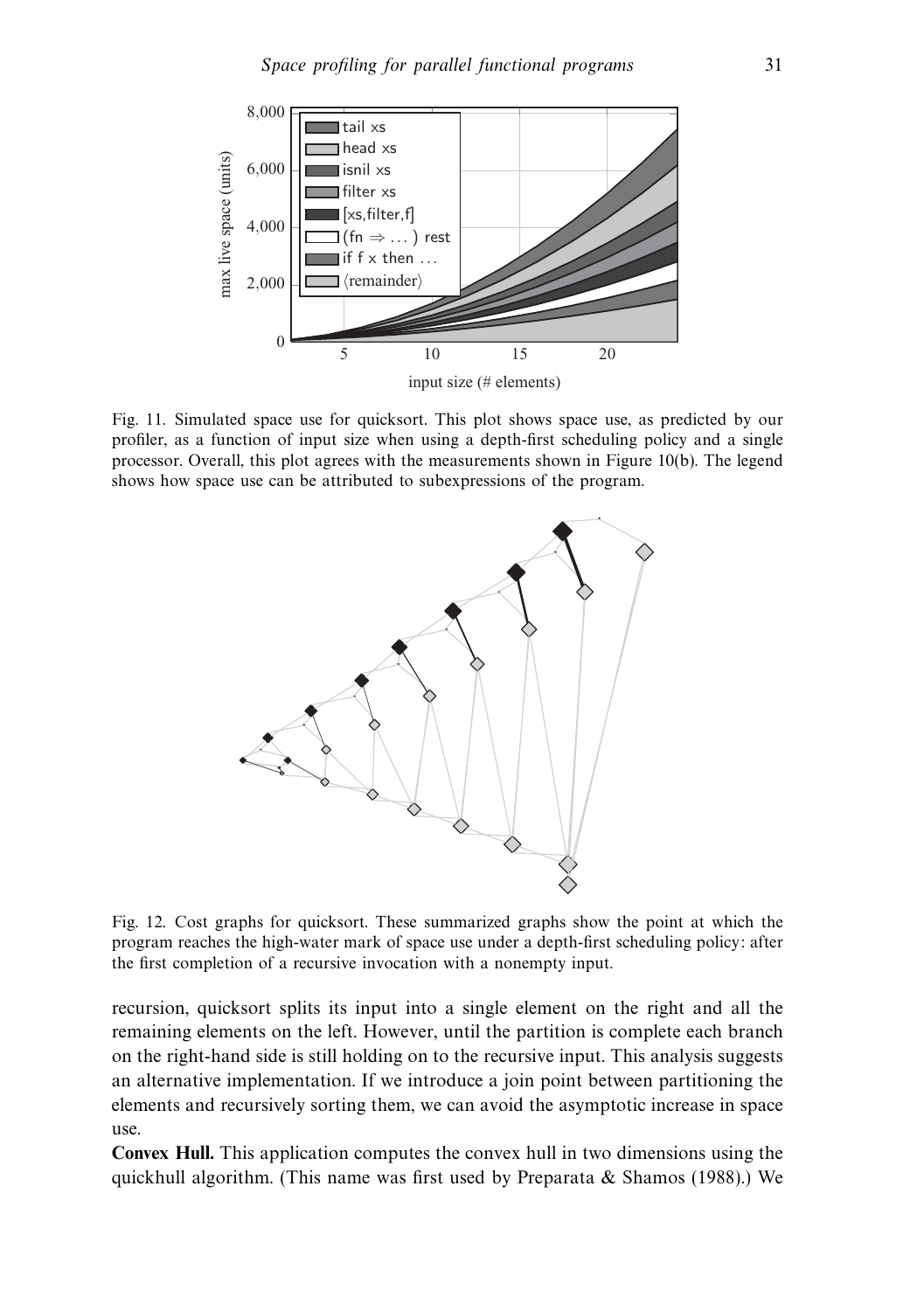

Fig. 11. Simulated space use for quicksort. This plot shows space use, as predicted by our profiler, as a function of input size when using a depth-first scheduling policy and a single processor. Overall, this plot agrees with the measurements shown in Figure 10(b). The legend shows how space use can be attributed to subexpressions of the program.



Fig. 12. Cost graphs for quicksort. These summarized graphs show the point at which the program reaches the high-water mark of space use under a depth-first scheduling policy: after the first completion of a recursive invocation with a nonempty input.

recursion, quicksort splits its input into a single element on the right and all the remaining elements on the left. However, until the partition is complete each branch on the right-hand side is still holding on to the recursive input. This analysis suggests an alternative implementation. If we introduce a join point between partitioning the elements and recursively sorting them, we can avoid the asymptotic increase in space use.

**Convex Hull.** This application computes the convex hull in two dimensions using the quickhull algorithm. (This name was first used by Preparata  $\&$  Shamos (1988).) We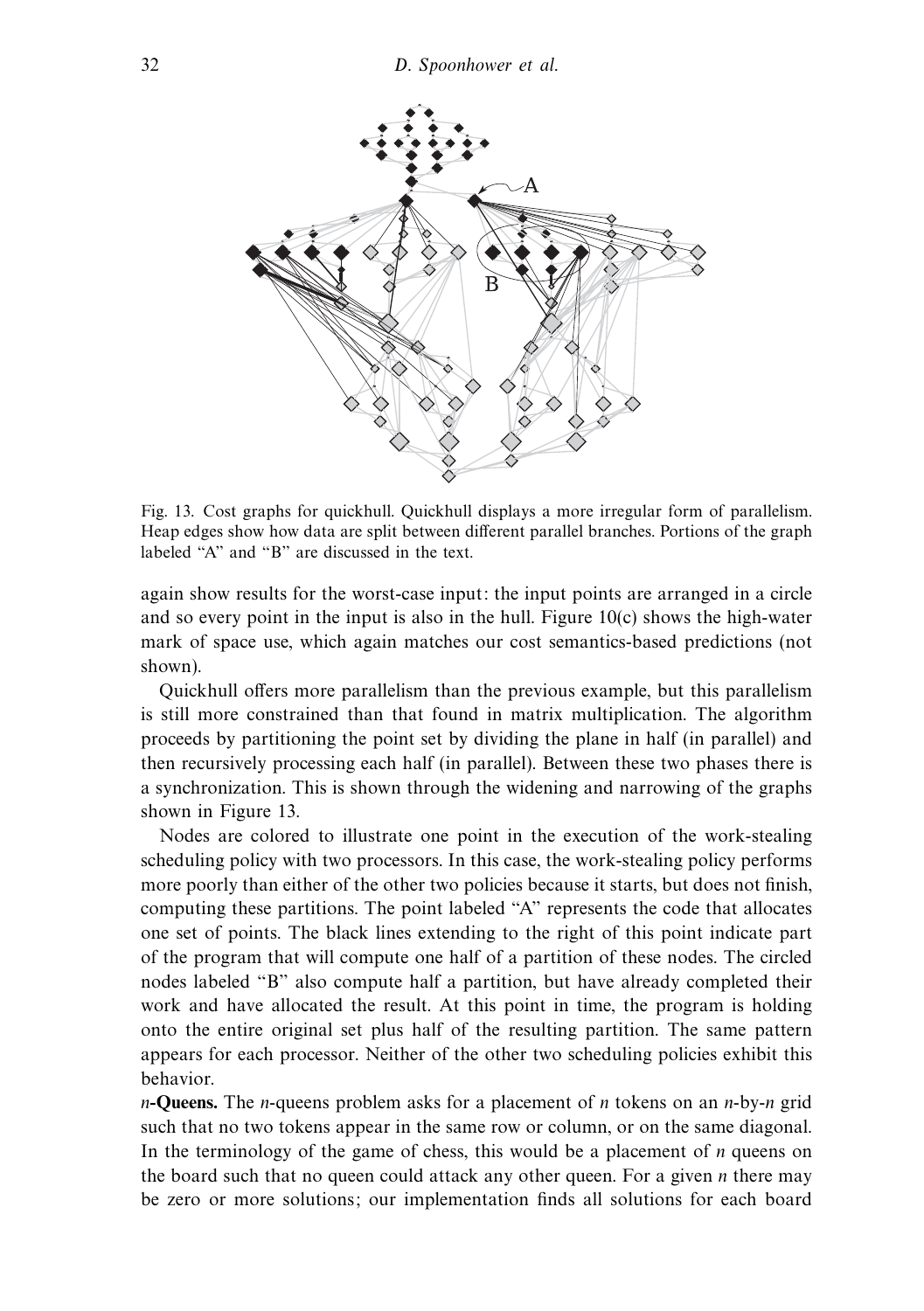

Fig. 13. Cost graphs for quickhull. Quickhull displays a more irregular form of parallelism. Heap edges show how data are split between different parallel branches. Portions of the graph labeled "A" and "B" are discussed in the text.

again show results for the worst-case input: the input points are arranged in a circle and so every point in the input is also in the hull. Figure 10(c) shows the high-water mark of space use, which again matches our cost semantics-based predictions (not shown).

Quickhull offers more parallelism than the previous example, but this parallelism is still more constrained than that found in matrix multiplication. The algorithm proceeds by partitioning the point set by dividing the plane in half (in parallel) and then recursively processing each half (in parallel). Between these two phases there is a synchronization. This is shown through the widening and narrowing of the graphs shown in Figure 13.

Nodes are colored to illustrate one point in the execution of the work-stealing scheduling policy with two processors. In this case, the work-stealing policy performs more poorly than either of the other two policies because it starts, but does not finish, computing these partitions. The point labeled "A" represents the code that allocates one set of points. The black lines extending to the right of this point indicate part of the program that will compute one half of a partition of these nodes. The circled nodes labeled "B" also compute half a partition, but have already completed their work and have allocated the result. At this point in time, the program is holding onto the entire original set plus half of the resulting partition. The same pattern appears for each processor. Neither of the other two scheduling policies exhibit this behavior.

*n***-Queens.** The *n*-queens problem asks for a placement of *n* tokens on an *n*-by-*n* grid such that no two tokens appear in the same row or column, or on the same diagonal. In the terminology of the game of chess, this would be a placement of *n* queens on the board such that no queen could attack any other queen. For a given *n* there may be zero or more solutions; our implementation finds all solutions for each board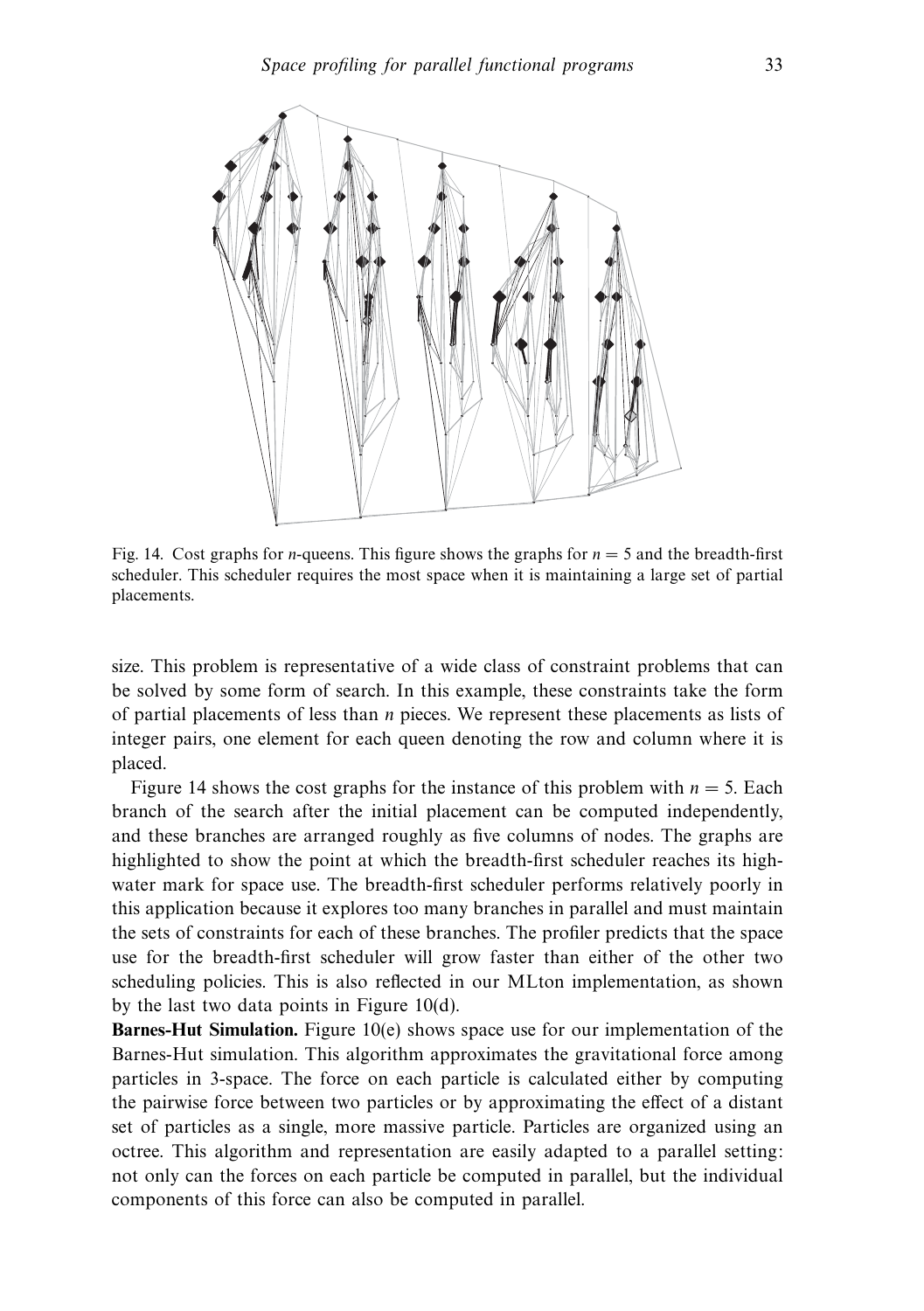

Fig. 14. Cost graphs for *n*-queens. This figure shows the graphs for  $n = 5$  and the breadth-first scheduler. This scheduler requires the most space when it is maintaining a large set of partial placements.

size. This problem is representative of a wide class of constraint problems that can be solved by some form of search. In this example, these constraints take the form of partial placements of less than *n* pieces. We represent these placements as lists of integer pairs, one element for each queen denoting the row and column where it is placed.

Figure 14 shows the cost graphs for the instance of this problem with  $n = 5$ . Each branch of the search after the initial placement can be computed independently, and these branches are arranged roughly as five columns of nodes. The graphs are highlighted to show the point at which the breadth-first scheduler reaches its highwater mark for space use. The breadth-first scheduler performs relatively poorly in this application because it explores too many branches in parallel and must maintain the sets of constraints for each of these branches. The profiler predicts that the space use for the breadth-first scheduler will grow faster than either of the other two scheduling policies. This is also reflected in our MLton implementation, as shown by the last two data points in Figure 10(d).

**Barnes-Hut Simulation.** Figure 10(e) shows space use for our implementation of the Barnes-Hut simulation. This algorithm approximates the gravitational force among particles in 3-space. The force on each particle is calculated either by computing the pairwise force between two particles or by approximating the effect of a distant set of particles as a single, more massive particle. Particles are organized using an octree. This algorithm and representation are easily adapted to a parallel setting: not only can the forces on each particle be computed in parallel, but the individual components of this force can also be computed in parallel.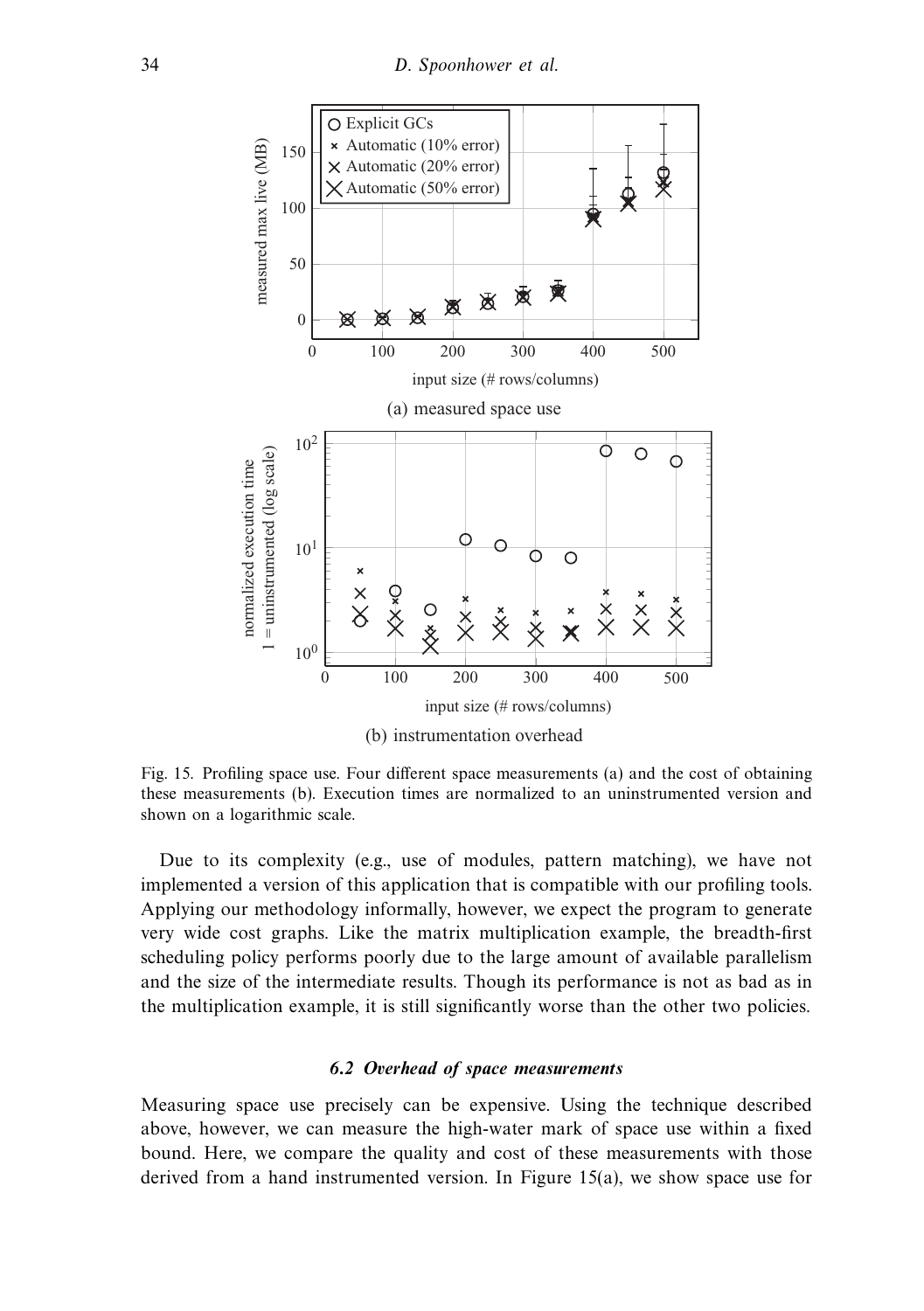

Fig. 15. Profiling space use. Four different space measurements (a) and the cost of obtaining these measurements (b). Execution times are normalized to an uninstrumented version and shown on a logarithmic scale.

Due to its complexity (e.g., use of modules, pattern matching), we have not implemented a version of this application that is compatible with our profiling tools. Applying our methodology informally, however, we expect the program to generate very wide cost graphs. Like the matrix multiplication example, the breadth-first scheduling policy performs poorly due to the large amount of available parallelism and the size of the intermediate results. Though its performance is not as bad as in the multiplication example, it is still significantly worse than the other two policies.

# *6.2 Overhead of space measurements*

Measuring space use precisely can be expensive. Using the technique described above, however, we can measure the high-water mark of space use within a fixed bound. Here, we compare the quality and cost of these measurements with those derived from a hand instrumented version. In Figure 15(a), we show space use for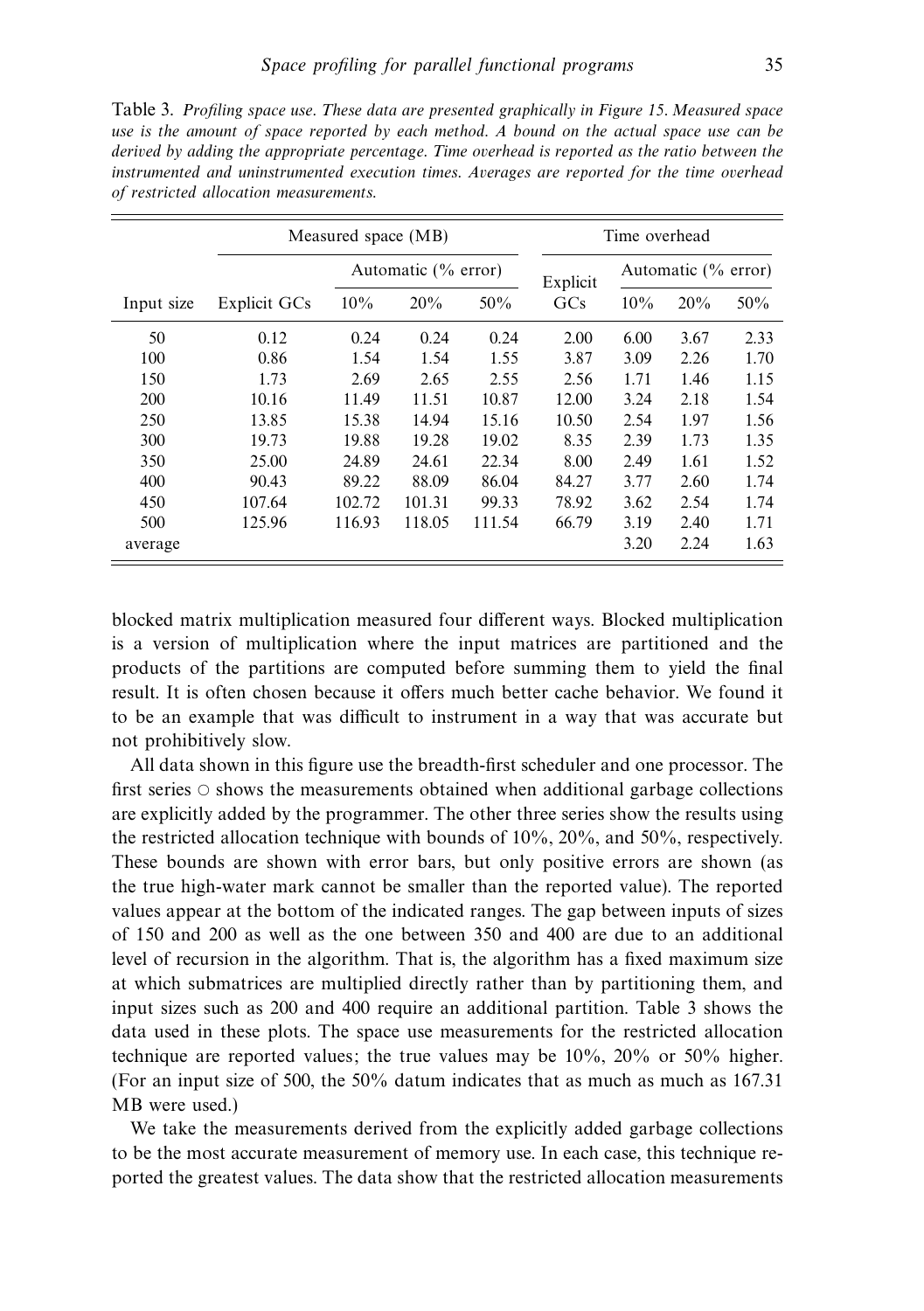|            |              | Measured space (MB)    |        |        | Time overhead |                     |      |      |
|------------|--------------|------------------------|--------|--------|---------------|---------------------|------|------|
|            |              | Automatic $(\%$ error) |        |        | Explicit      | Automatic (% error) |      |      |
| Input size | Explicit GCs | 10%                    | 20%    | 50%    | GCs           | 10%                 | 20%  | 50%  |
| 50         | 0.12         | 0.24                   | 0.24   | 0.24   | 2.00          | 6.00                | 3.67 | 2.33 |
| 100        | 0.86         | 1.54                   | 1.54   | 1.55   | 3.87          | 3.09                | 2.26 | 1.70 |
| 150        | 1.73         | 2.69                   | 2.65   | 2.55   | 2.56          | 1.71                | 1.46 | 1.15 |
| 200        | 10.16        | 11.49                  | 11.51  | 10.87  | 12.00         | 3.24                | 2.18 | 1.54 |
| 250        | 13.85        | 15.38                  | 14.94  | 15.16  | 10.50         | 2.54                | 1.97 | 1.56 |
| 300        | 19.73        | 19.88                  | 19.28  | 19.02  | 8.35          | 2.39                | 1.73 | 1.35 |
| 350        | 25.00        | 24.89                  | 24.61  | 22.34  | 8.00          | 2.49                | 1.61 | 1.52 |
| 400        | 90.43        | 89.22                  | 88.09  | 86.04  | 84.27         | 3.77                | 2.60 | 1.74 |
| 450        | 107.64       | 102.72                 | 101.31 | 99.33  | 78.92         | 3.62                | 2.54 | 1.74 |
| 500        | 125.96       | 116.93                 | 118.05 | 111.54 | 66.79         | 3.19                | 2.40 | 1.71 |
| average    |              |                        |        |        |               | 3.20                | 2.24 | 1.63 |

Table 3. Profiling space use. These data are presented graphically in Figure 15. Measured space use is the amount of space reported by each method. A bound on the actual space use can be derived by adding the appropriate percentage. Time overhead is reported as the ratio between the instrumented and uninstrumented execution times. Averages are reported for the time overhead of restricted allocation measurements.

blocked matrix multiplication measured four different ways. Blocked multiplication is a version of multiplication where the input matrices are partitioned and the products of the partitions are computed before summing them to yield the final result. It is often chosen because it offers much better cache behavior. We found it to be an example that was difficult to instrument in a way that was accurate but not prohibitively slow.

All data shown in this figure use the breadth-first scheduler and one processor. The first series  $\circ$  shows the measurements obtained when additional garbage collections are explicitly added by the programmer. The other three series show the results using the restricted allocation technique with bounds of 10%, 20%, and 50%, respectively. These bounds are shown with error bars, but only positive errors are shown (as the true high-water mark cannot be smaller than the reported value). The reported values appear at the bottom of the indicated ranges. The gap between inputs of sizes of 150 and 200 as well as the one between 350 and 400 are due to an additional level of recursion in the algorithm. That is, the algorithm has a fixed maximum size at which submatrices are multiplied directly rather than by partitioning them, and input sizes such as 200 and 400 require an additional partition. Table 3 shows the data used in these plots. The space use measurements for the restricted allocation technique are reported values; the true values may be 10%, 20% or 50% higher. (For an input size of 500, the 50% datum indicates that as much as much as 167.31 MB were used.)

We take the measurements derived from the explicitly added garbage collections to be the most accurate measurement of memory use. In each case, this technique reported the greatest values. The data show that the restricted allocation measurements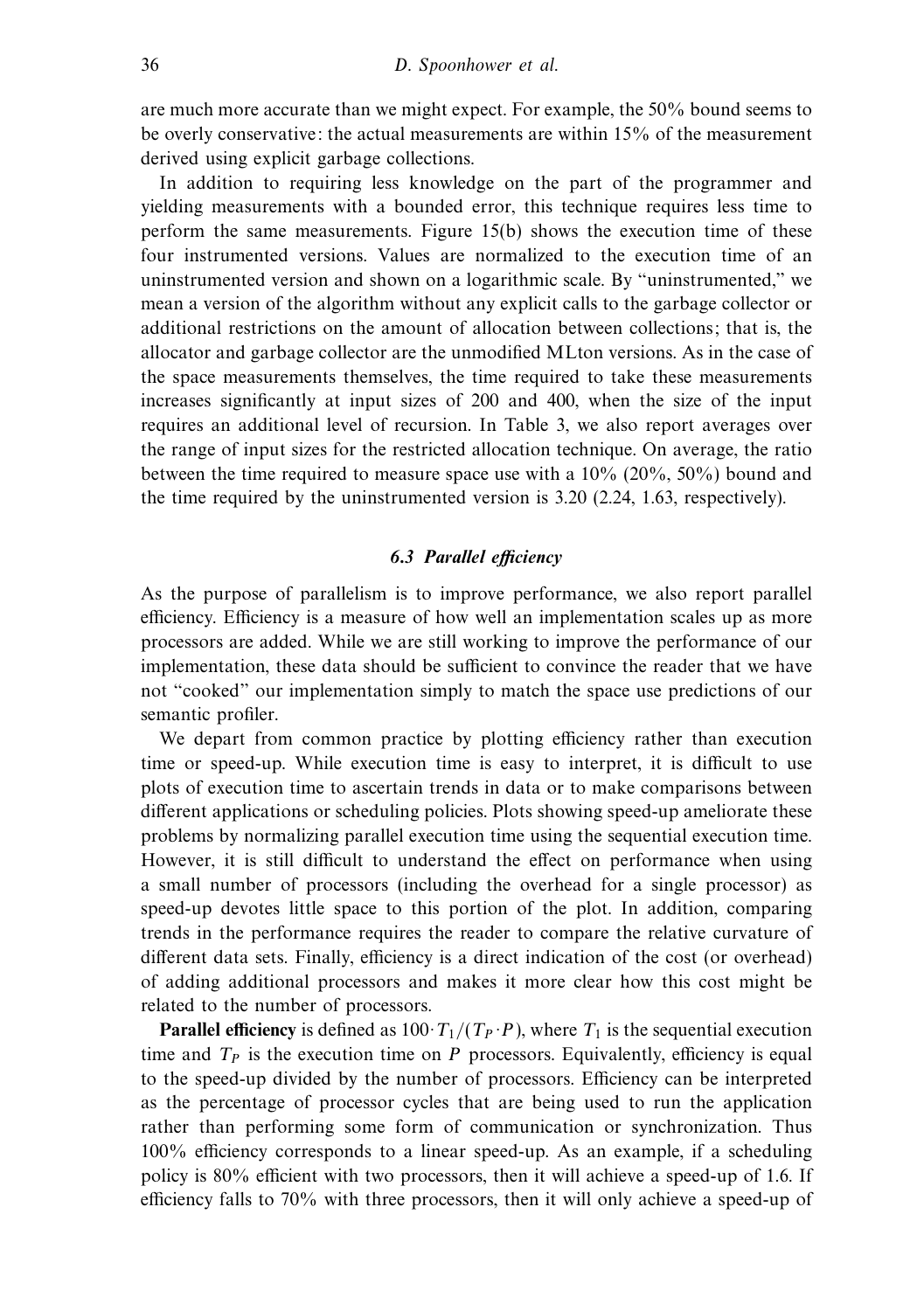are much more accurate than we might expect. For example, the 50% bound seems to be overly conservative: the actual measurements are within 15% of the measurement derived using explicit garbage collections.

In addition to requiring less knowledge on the part of the programmer and yielding measurements with a bounded error, this technique requires less time to perform the same measurements. Figure 15(b) shows the execution time of these four instrumented versions. Values are normalized to the execution time of an uninstrumented version and shown on a logarithmic scale. By "uninstrumented," we mean a version of the algorithm without any explicit calls to the garbage collector or additional restrictions on the amount of allocation between collections; that is, the allocator and garbage collector are the unmodified MLton versions. As in the case of the space measurements themselves, the time required to take these measurements increases significantly at input sizes of 200 and 400, when the size of the input requires an additional level of recursion. In Table 3, we also report averages over the range of input sizes for the restricted allocation technique. On average, the ratio between the time required to measure space use with a 10% (20%, 50%) bound and the time required by the uninstrumented version is 3.20 (2.24, 1.63, respectively).

## *6.3 Parallel efficiency*

As the purpose of parallelism is to improve performance, we also report parallel efficiency. Efficiency is a measure of how well an implementation scales up as more processors are added. While we are still working to improve the performance of our implementation, these data should be sufficient to convince the reader that we have not "cooked" our implementation simply to match the space use predictions of our semantic profiler.

We depart from common practice by plotting efficiency rather than execution time or speed-up. While execution time is easy to interpret, it is difficult to use plots of execution time to ascertain trends in data or to make comparisons between different applications or scheduling policies. Plots showing speed-up ameliorate these problems by normalizing parallel execution time using the sequential execution time. However, it is still difficult to understand the effect on performance when using a small number of processors (including the overhead for a single processor) as speed-up devotes little space to this portion of the plot. In addition, comparing trends in the performance requires the reader to compare the relative curvature of different data sets. Finally, efficiency is a direct indication of the cost (or overhead) of adding additional processors and makes it more clear how this cost might be related to the number of processors.

**Parallel efficiency** is defined as 100 $\cdot T_1 / (T_P \cdot P)$ , where  $T_1$  is the sequential execution time and  $T_p$  is the execution time on  $P$  processors. Equivalently, efficiency is equal to the speed-up divided by the number of processors. Efficiency can be interpreted as the percentage of processor cycles that are being used to run the application rather than performing some form of communication or synchronization. Thus 100% efficiency corresponds to a linear speed-up. As an example, if a scheduling policy is 80% efficient with two processors, then it will achieve a speed-up of 1.6. If efficiency falls to 70% with three processors, then it will only achieve a speed-up of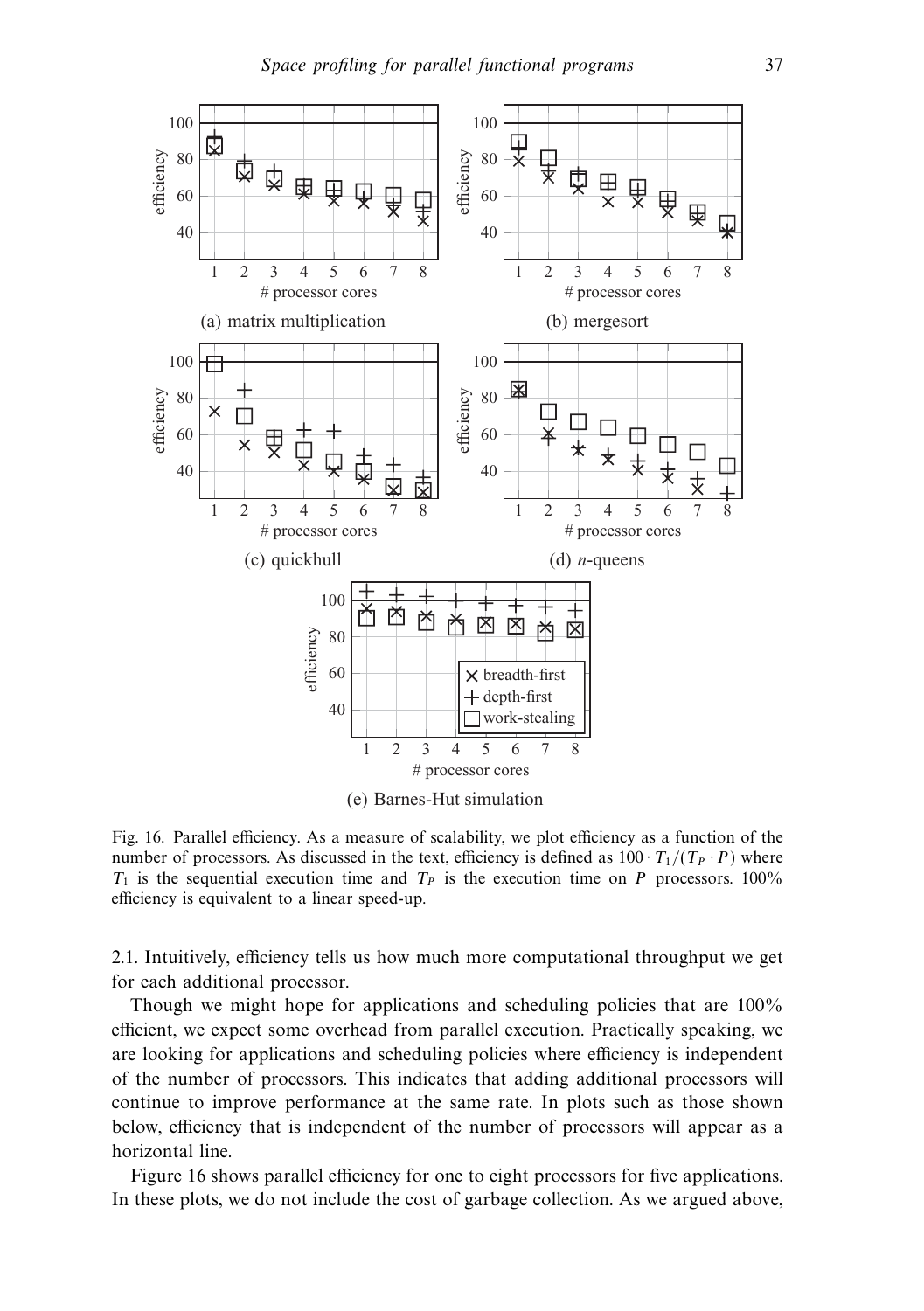

Fig. 16. Parallel efficiency. As a measure of scalability, we plot efficiency as a function of the number of processors. As discussed in the text, efficiency is defined as  $100 \cdot T_1/(T_P \cdot P)$  where  $T_1$  is the sequential execution time and  $T_P$  is the execution time on *P* processors. 100% efficiency is equivalent to a linear speed-up.

2.1. Intuitively, efficiency tells us how much more computational throughput we get for each additional processor.

Though we might hope for applications and scheduling policies that are 100% efficient, we expect some overhead from parallel execution. Practically speaking, we are looking for applications and scheduling policies where efficiency is independent of the number of processors. This indicates that adding additional processors will continue to improve performance at the same rate. In plots such as those shown below, efficiency that is independent of the number of processors will appear as a horizontal line.

Figure 16 shows parallel efficiency for one to eight processors for five applications. In these plots, we do not include the cost of garbage collection. As we argued above,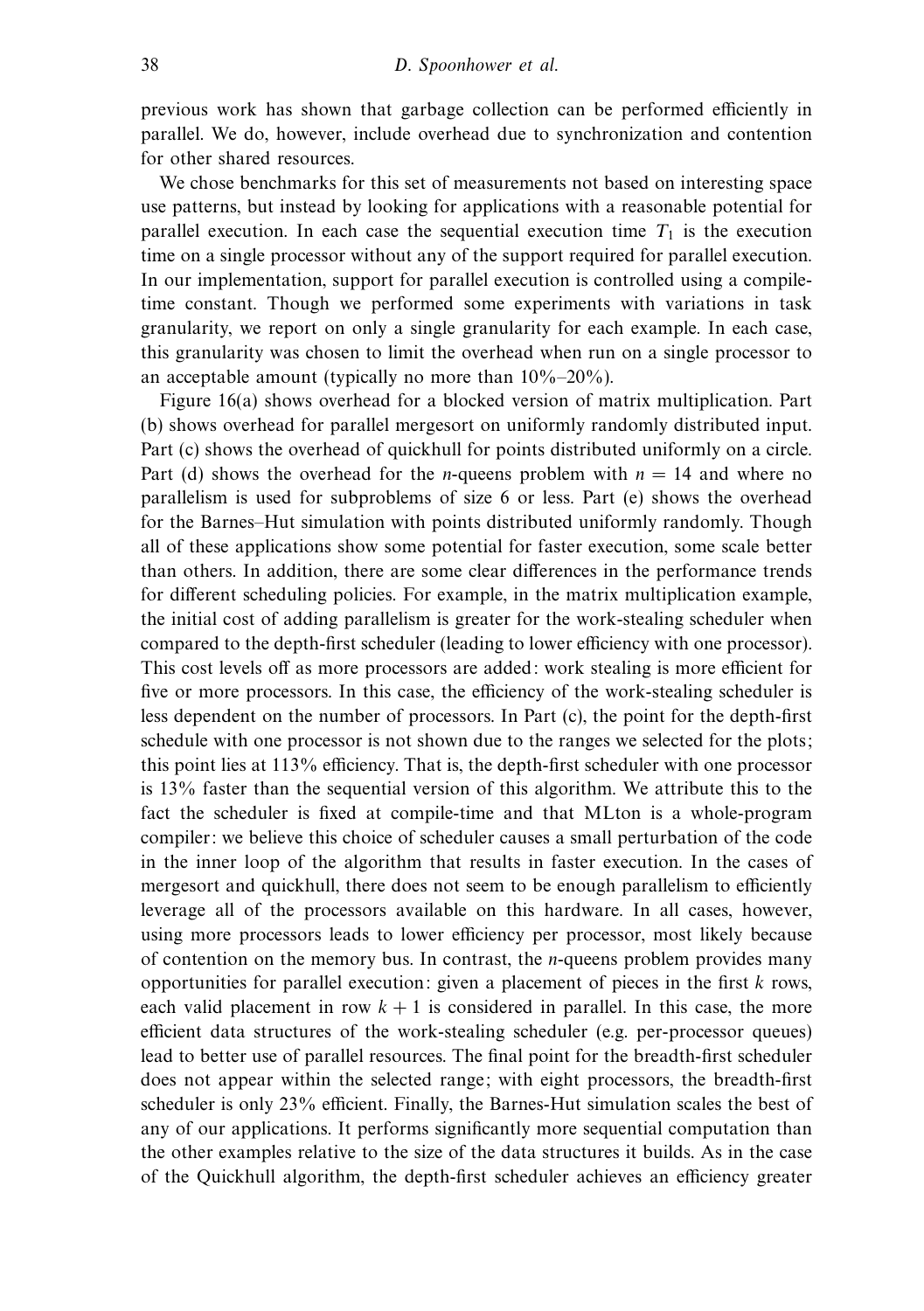previous work has shown that garbage collection can be performed efficiently in parallel. We do, however, include overhead due to synchronization and contention for other shared resources.

We chose benchmarks for this set of measurements not based on interesting space use patterns, but instead by looking for applications with a reasonable potential for parallel execution. In each case the sequential execution time  $T_1$  is the execution time on a single processor without any of the support required for parallel execution. In our implementation, support for parallel execution is controlled using a compiletime constant. Though we performed some experiments with variations in task granularity, we report on only a single granularity for each example. In each case, this granularity was chosen to limit the overhead when run on a single processor to an acceptable amount (typically no more than  $10\% - 20\%$ ).

Figure 16(a) shows overhead for a blocked version of matrix multiplication. Part (b) shows overhead for parallel mergesort on uniformly randomly distributed input. Part (c) shows the overhead of quickhull for points distributed uniformly on a circle. Part (d) shows the overhead for the *n*-queens problem with  $n = 14$  and where no parallelism is used for subproblems of size 6 or less. Part (e) shows the overhead for the Barnes–Hut simulation with points distributed uniformly randomly. Though all of these applications show some potential for faster execution, some scale better than others. In addition, there are some clear differences in the performance trends for different scheduling policies. For example, in the matrix multiplication example, the initial cost of adding parallelism is greater for the work-stealing scheduler when compared to the depth-first scheduler (leading to lower efficiency with one processor). This cost levels off as more processors are added: work stealing is more efficient for five or more processors. In this case, the efficiency of the work-stealing scheduler is less dependent on the number of processors. In Part (c), the point for the depth-first schedule with one processor is not shown due to the ranges we selected for the plots; this point lies at 113% efficiency. That is, the depth-first scheduler with one processor is 13% faster than the sequential version of this algorithm. We attribute this to the fact the scheduler is fixed at compile-time and that MLton is a whole-program compiler: we believe this choice of scheduler causes a small perturbation of the code in the inner loop of the algorithm that results in faster execution. In the cases of mergesort and quickhull, there does not seem to be enough parallelism to efficiently leverage all of the processors available on this hardware. In all cases, however, using more processors leads to lower efficiency per processor, most likely because of contention on the memory bus. In contrast, the *n*-queens problem provides many opportunities for parallel execution: given a placement of pieces in the first *k* rows, each valid placement in row  $k + 1$  is considered in parallel. In this case, the more efficient data structures of the work-stealing scheduler (e.g. per-processor queues) lead to better use of parallel resources. The final point for the breadth-first scheduler does not appear within the selected range; with eight processors, the breadth-first scheduler is only 23% efficient. Finally, the Barnes-Hut simulation scales the best of any of our applications. It performs significantly more sequential computation than the other examples relative to the size of the data structures it builds. As in the case of the Quickhull algorithm, the depth-first scheduler achieves an efficiency greater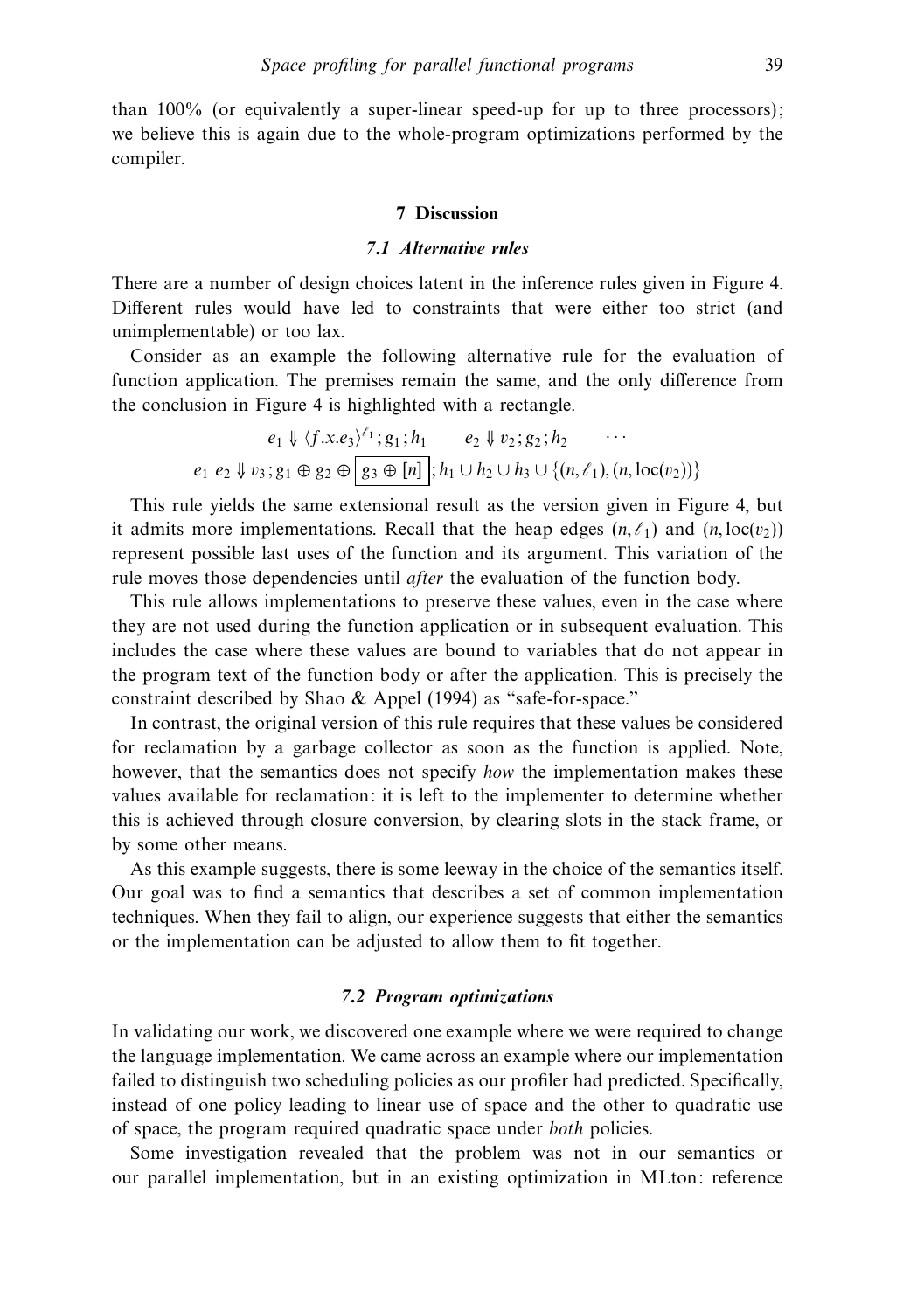than 100% (or equivalently a super-linear speed-up for up to three processors); we believe this is again due to the whole-program optimizations performed by the compiler.

#### **7 Discussion**

# *7.1 Alternative rules*

There are a number of design choices latent in the inference rules given in Figure 4. Different rules would have led to constraints that were either too strict (and unimplementable) or too lax.

Consider as an example the following alternative rule for the evaluation of function application. The premises remain the same, and the only difference from the conclusion in Figure 4 is highlighted with a rectangle.

$$
e_1 \Downarrow \langle f.x.e_3 \rangle^{\ell_1}; g_1; h_1 \quad e_2 \Downarrow v_2; g_2; h_2 \quad \cdots e_1 \ e_2 \Downarrow v_3; g_1 \oplus g_2 \oplus \boxed{g_3 \oplus [n]}; h_1 \cup h_2 \cup h_3 \cup \{(n,\ell_1), (n,\text{loc}(v_2))\}
$$

This rule yields the same extensional result as the version given in Figure 4, but it admits more implementations. Recall that the heap edges  $(n, \ell_1)$  and  $(n, \text{loc}(v_2))$ represent possible last uses of the function and its argument. This variation of the rule moves those dependencies until after the evaluation of the function body.

This rule allows implementations to preserve these values, even in the case where they are not used during the function application or in subsequent evaluation. This includes the case where these values are bound to variables that do not appear in the program text of the function body or after the application. This is precisely the constraint described by Shao & Appel (1994) as "safe-for-space."

In contrast, the original version of this rule requires that these values be considered for reclamation by a garbage collector as soon as the function is applied. Note, however, that the semantics does not specify how the implementation makes these values available for reclamation: it is left to the implementer to determine whether this is achieved through closure conversion, by clearing slots in the stack frame, or by some other means.

As this example suggests, there is some leeway in the choice of the semantics itself. Our goal was to find a semantics that describes a set of common implementation techniques. When they fail to align, our experience suggests that either the semantics or the implementation can be adjusted to allow them to fit together.

## *7.2 Program optimizations*

In validating our work, we discovered one example where we were required to change the language implementation. We came across an example where our implementation failed to distinguish two scheduling policies as our profiler had predicted. Specifically, instead of one policy leading to linear use of space and the other to quadratic use of space, the program required quadratic space under both policies.

Some investigation revealed that the problem was not in our semantics or our parallel implementation, but in an existing optimization in MLton: reference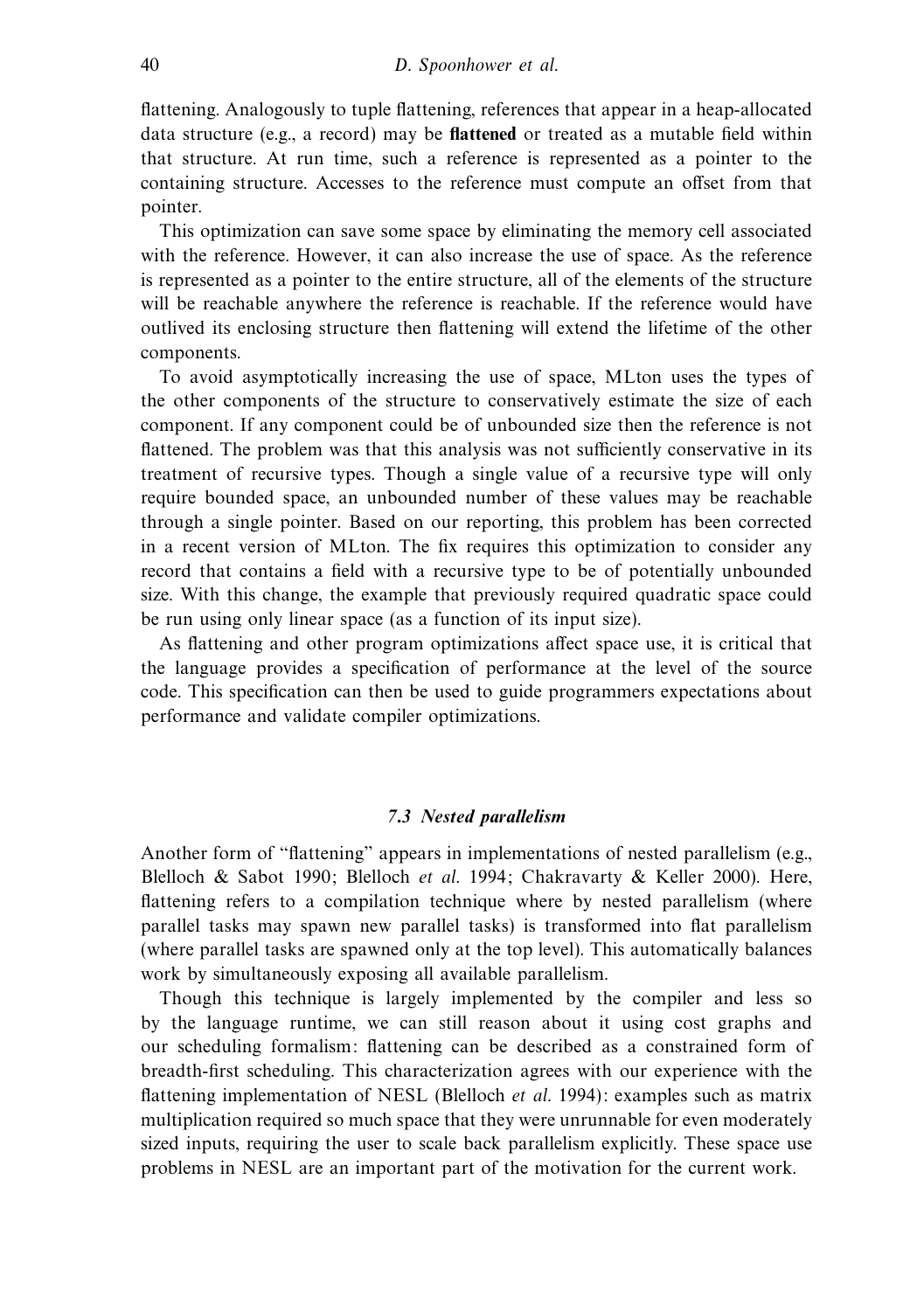flattening. Analogously to tuple flattening, references that appear in a heap-allocated data structure (e.g., a record) may be **flattened** or treated as a mutable field within that structure. At run time, such a reference is represented as a pointer to the containing structure. Accesses to the reference must compute an offset from that pointer.

This optimization can save some space by eliminating the memory cell associated with the reference. However, it can also increase the use of space. As the reference is represented as a pointer to the entire structure, all of the elements of the structure will be reachable anywhere the reference is reachable. If the reference would have outlived its enclosing structure then flattening will extend the lifetime of the other components.

To avoid asymptotically increasing the use of space, MLton uses the types of the other components of the structure to conservatively estimate the size of each component. If any component could be of unbounded size then the reference is not flattened. The problem was that this analysis was not sufficiently conservative in its treatment of recursive types. Though a single value of a recursive type will only require bounded space, an unbounded number of these values may be reachable through a single pointer. Based on our reporting, this problem has been corrected in a recent version of MLton. The fix requires this optimization to consider any record that contains a field with a recursive type to be of potentially unbounded size. With this change, the example that previously required quadratic space could be run using only linear space (as a function of its input size).

As flattening and other program optimizations affect space use, it is critical that the language provides a specification of performance at the level of the source code. This specification can then be used to guide programmers expectations about performance and validate compiler optimizations.

## *7.3 Nested parallelism*

Another form of "flattening" appears in implementations of nested parallelism (e.g., Blelloch & Sabot 1990; Blelloch et al. 1994; Chakravarty & Keller 2000). Here, flattening refers to a compilation technique where by nested parallelism (where parallel tasks may spawn new parallel tasks) is transformed into flat parallelism (where parallel tasks are spawned only at the top level). This automatically balances work by simultaneously exposing all available parallelism.

Though this technique is largely implemented by the compiler and less so by the language runtime, we can still reason about it using cost graphs and our scheduling formalism: flattening can be described as a constrained form of breadth-first scheduling. This characterization agrees with our experience with the flattening implementation of NESL (Blelloch *et al.* 1994): examples such as matrix multiplication required so much space that they were unrunnable for even moderately sized inputs, requiring the user to scale back parallelism explicitly. These space use problems in NESL are an important part of the motivation for the current work.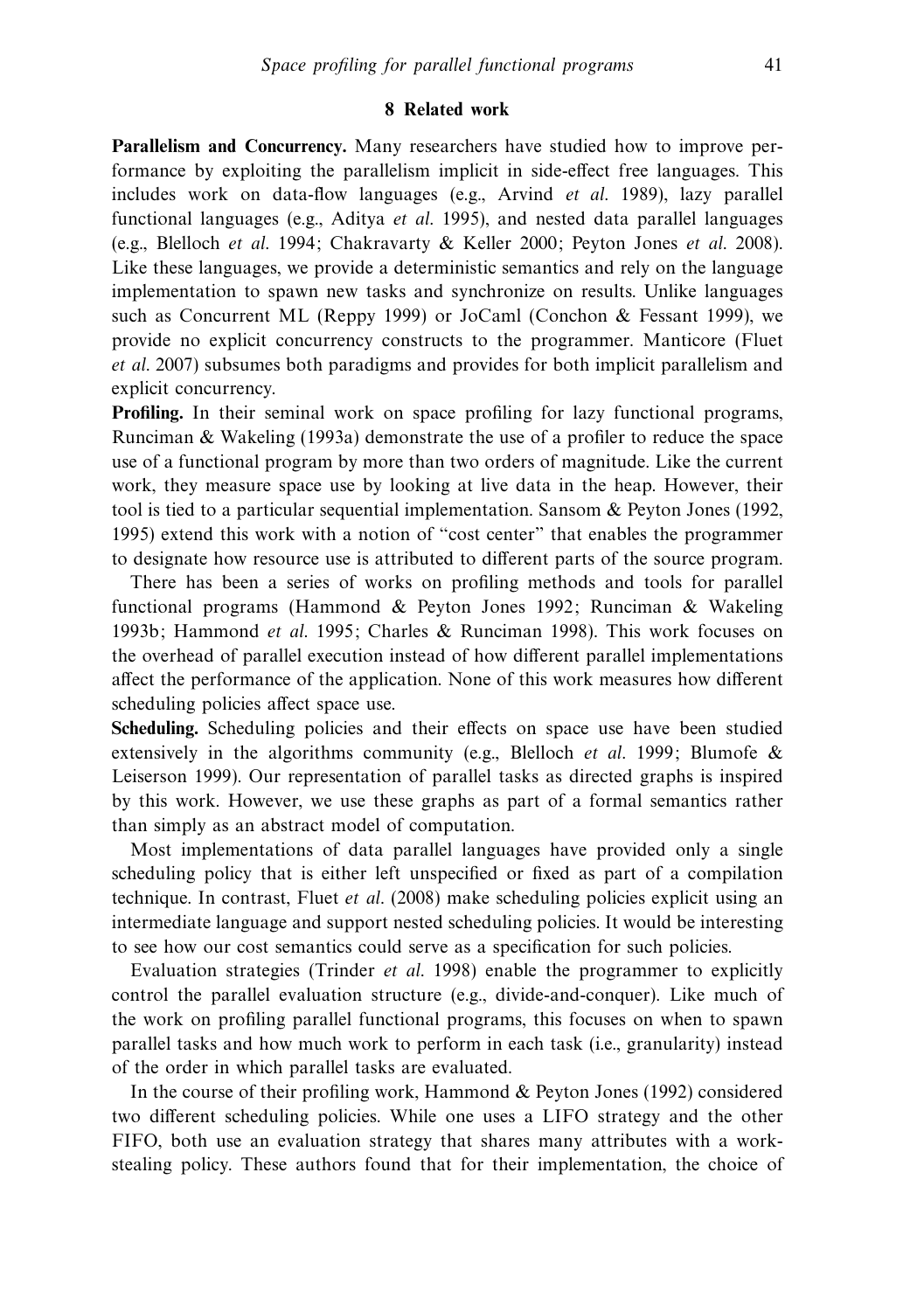#### **8 Related work**

**Parallelism and Concurrency.** Many researchers have studied how to improve performance by exploiting the parallelism implicit in side-effect free languages. This includes work on data-flow languages (e.g., Arvind et al. 1989), lazy parallel functional languages (e.g., Aditya *et al.* 1995), and nested data parallel languages (e.g., Blelloch et al. 1994; Chakravarty & Keller 2000; Peyton Jones et al. 2008). Like these languages, we provide a deterministic semantics and rely on the language implementation to spawn new tasks and synchronize on results. Unlike languages such as Concurrent ML (Reppy 1999) or JoCaml (Conchon & Fessant 1999), we provide no explicit concurrency constructs to the programmer. Manticore (Fluet et al. 2007) subsumes both paradigms and provides for both implicit parallelism and explicit concurrency.

**Profiling.** In their seminal work on space profiling for lazy functional programs, Runciman & Wakeling (1993a) demonstrate the use of a profiler to reduce the space use of a functional program by more than two orders of magnitude. Like the current work, they measure space use by looking at live data in the heap. However, their tool is tied to a particular sequential implementation. Sansom & Peyton Jones (1992, 1995) extend this work with a notion of "cost center" that enables the programmer to designate how resource use is attributed to different parts of the source program.

There has been a series of works on profiling methods and tools for parallel functional programs (Hammond & Peyton Jones 1992; Runciman & Wakeling 1993b; Hammond et al. 1995; Charles & Runciman 1998). This work focuses on the overhead of parallel execution instead of how different parallel implementations affect the performance of the application. None of this work measures how different scheduling policies affect space use.

Scheduling. Scheduling policies and their effects on space use have been studied extensively in the algorithms community (e.g., Blelloch et al. 1999; Blumofe  $\&$ Leiserson 1999). Our representation of parallel tasks as directed graphs is inspired by this work. However, we use these graphs as part of a formal semantics rather than simply as an abstract model of computation.

Most implementations of data parallel languages have provided only a single scheduling policy that is either left unspecified or fixed as part of a compilation technique. In contrast, Fluet et al. (2008) make scheduling policies explicit using an intermediate language and support nested scheduling policies. It would be interesting to see how our cost semantics could serve as a specification for such policies.

Evaluation strategies (Trinder et al. 1998) enable the programmer to explicitly control the parallel evaluation structure (e.g., divide-and-conquer). Like much of the work on profiling parallel functional programs, this focuses on when to spawn parallel tasks and how much work to perform in each task (i.e., granularity) instead of the order in which parallel tasks are evaluated.

In the course of their profiling work, Hammond & Peyton Jones (1992) considered two different scheduling policies. While one uses a LIFO strategy and the other FIFO, both use an evaluation strategy that shares many attributes with a workstealing policy. These authors found that for their implementation, the choice of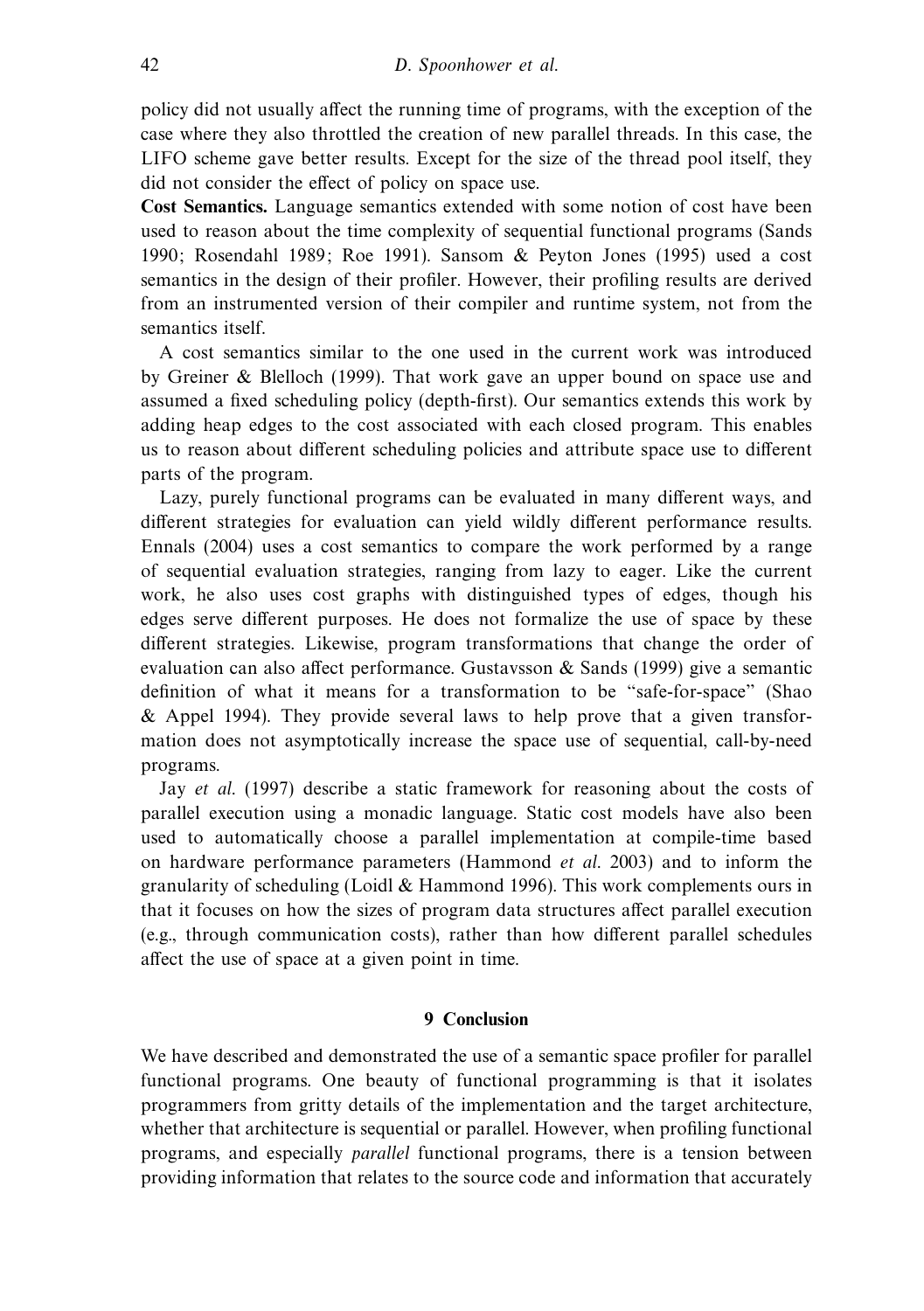policy did not usually affect the running time of programs, with the exception of the case where they also throttled the creation of new parallel threads. In this case, the LIFO scheme gave better results. Except for the size of the thread pool itself, they did not consider the effect of policy on space use.

**Cost Semantics.** Language semantics extended with some notion of cost have been used to reason about the time complexity of sequential functional programs (Sands 1990; Rosendahl 1989; Roe 1991). Sansom & Peyton Jones (1995) used a cost semantics in the design of their profiler. However, their profiling results are derived from an instrumented version of their compiler and runtime system, not from the semantics itself.

A cost semantics similar to the one used in the current work was introduced by Greiner & Blelloch (1999). That work gave an upper bound on space use and assumed a fixed scheduling policy (depth-first). Our semantics extends this work by adding heap edges to the cost associated with each closed program. This enables us to reason about different scheduling policies and attribute space use to different parts of the program.

Lazy, purely functional programs can be evaluated in many different ways, and different strategies for evaluation can yield wildly different performance results. Ennals (2004) uses a cost semantics to compare the work performed by a range of sequential evaluation strategies, ranging from lazy to eager. Like the current work, he also uses cost graphs with distinguished types of edges, though his edges serve different purposes. He does not formalize the use of space by these different strategies. Likewise, program transformations that change the order of evaluation can also affect performance. Gustavsson  $\&$  Sands (1999) give a semantic definition of what it means for a transformation to be "safe-for-space" (Shao & Appel 1994). They provide several laws to help prove that a given transformation does not asymptotically increase the space use of sequential, call-by-need programs.

Jay et al. (1997) describe a static framework for reasoning about the costs of parallel execution using a monadic language. Static cost models have also been used to automatically choose a parallel implementation at compile-time based on hardware performance parameters (Hammond et al. 2003) and to inform the granularity of scheduling (Loidl & Hammond 1996). This work complements ours in that it focuses on how the sizes of program data structures affect parallel execution (e.g., through communication costs), rather than how different parallel schedules affect the use of space at a given point in time.

# **9 Conclusion**

We have described and demonstrated the use of a semantic space profiler for parallel functional programs. One beauty of functional programming is that it isolates programmers from gritty details of the implementation and the target architecture, whether that architecture is sequential or parallel. However, when profiling functional programs, and especially parallel functional programs, there is a tension between providing information that relates to the source code and information that accurately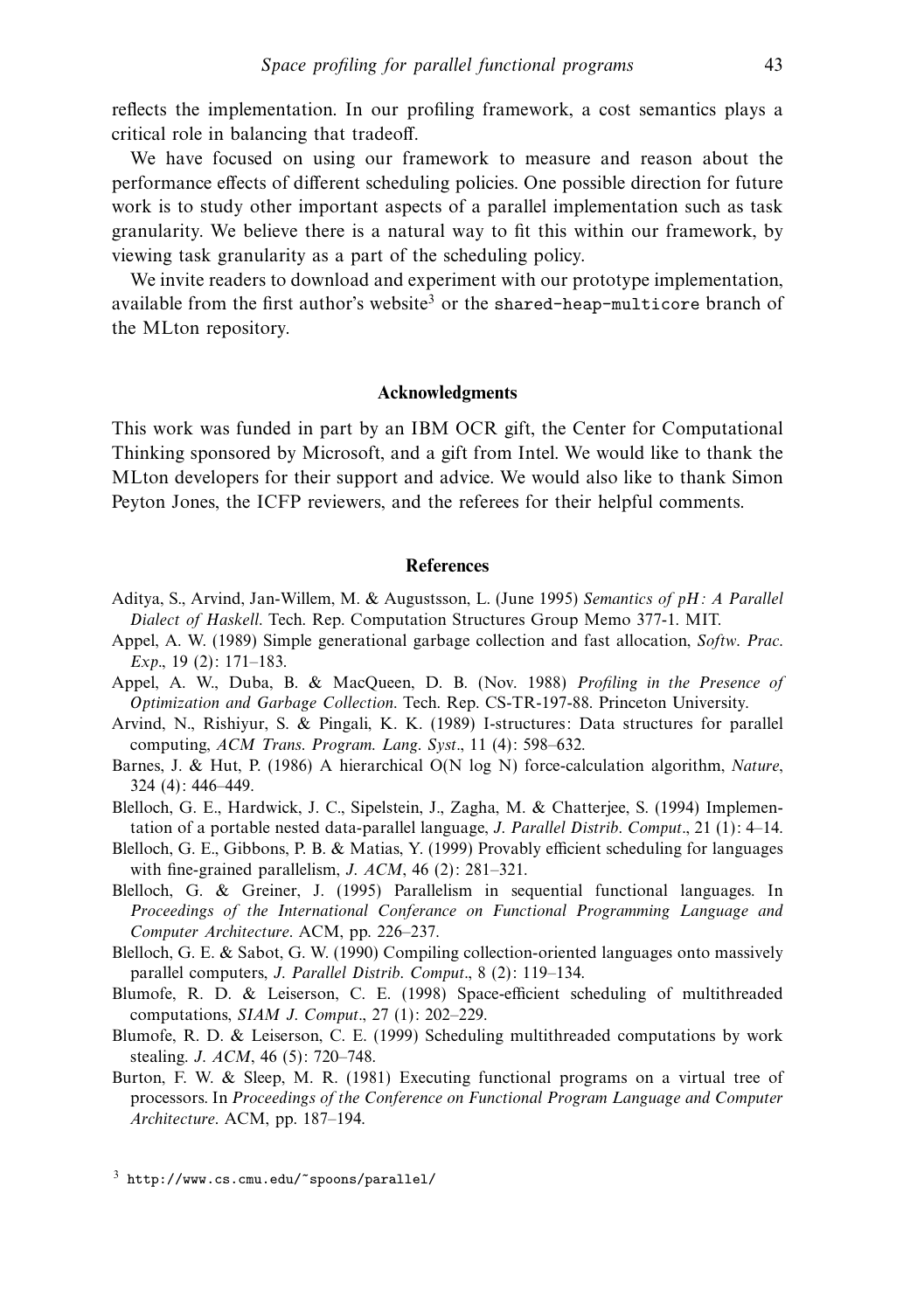reflects the implementation. In our profiling framework, a cost semantics plays a critical role in balancing that tradeoff.

We have focused on using our framework to measure and reason about the performance effects of different scheduling policies. One possible direction for future work is to study other important aspects of a parallel implementation such as task granularity. We believe there is a natural way to fit this within our framework, by viewing task granularity as a part of the scheduling policy.

We invite readers to download and experiment with our prototype implementation, available from the first author's website<sup>3</sup> or the shared-heap-multicore branch of the MLton repository.

## **Acknowledgments**

This work was funded in part by an IBM OCR gift, the Center for Computational Thinking sponsored by Microsoft, and a gift from Intel. We would like to thank the MLton developers for their support and advice. We would also like to thank Simon Peyton Jones, the ICFP reviewers, and the referees for their helpful comments.

#### **References**

- Aditya, S., Arvind, Jan-Willem, M. & Augustsson, L. (June 1995) Semantics of pH: A Parallel Dialect of Haskell. Tech. Rep. Computation Structures Group Memo 377-1. MIT.
- Appel, A. W. (1989) Simple generational garbage collection and fast allocation, Softw. Prac. Exp., 19 (2): 171–183.
- Appel, A. W., Duba, B. & MacQueen, D. B. (Nov. 1988) Profiling in the Presence of Optimization and Garbage Collection. Tech. Rep. CS-TR-197-88. Princeton University.
- Arvind, N., Rishiyur, S. & Pingali, K. K. (1989) I-structures: Data structures for parallel computing, ACM Trans. Program. Lang. Syst., 11 (4): 598–632.
- Barnes, J. & Hut, P. (1986) A hierarchical O(N log N) force-calculation algorithm, Nature, 324 (4): 446–449.
- Blelloch, G. E., Hardwick, J. C., Sipelstein, J., Zagha, M. & Chatterjee, S. (1994) Implementation of a portable nested data-parallel language, J. Parallel Distrib. Comput., 21 (1): 4-14.
- Blelloch, G. E., Gibbons, P. B. & Matias, Y. (1999) Provably efficient scheduling for languages with fine-grained parallelism,  $J. ACM, 46 (2)$ : 281–321.
- Blelloch, G. & Greiner, J. (1995) Parallelism in sequential functional languages. In Proceedings of the International Conferance on Functional Programming Language and Computer Architecture. ACM, pp. 226–237.
- Blelloch, G. E. & Sabot, G. W. (1990) Compiling collection-oriented languages onto massively parallel computers, J. Parallel Distrib. Comput., 8 (2): 119–134.
- Blumofe, R. D. & Leiserson, C. E. (1998) Space-efficient scheduling of multithreaded computations, SIAM J. Comput., 27 (1): 202–229.
- Blumofe, R. D. & Leiserson, C. E. (1999) Scheduling multithreaded computations by work stealing. J. ACM, 46 (5): 720–748.
- Burton, F. W. & Sleep, M. R. (1981) Executing functional programs on a virtual tree of processors. In Proceedings of the Conference on Functional Program Language and Computer Architecture. ACM, pp. 187–194.

 $3$  http://www.cs.cmu.edu/~spoons/parallel/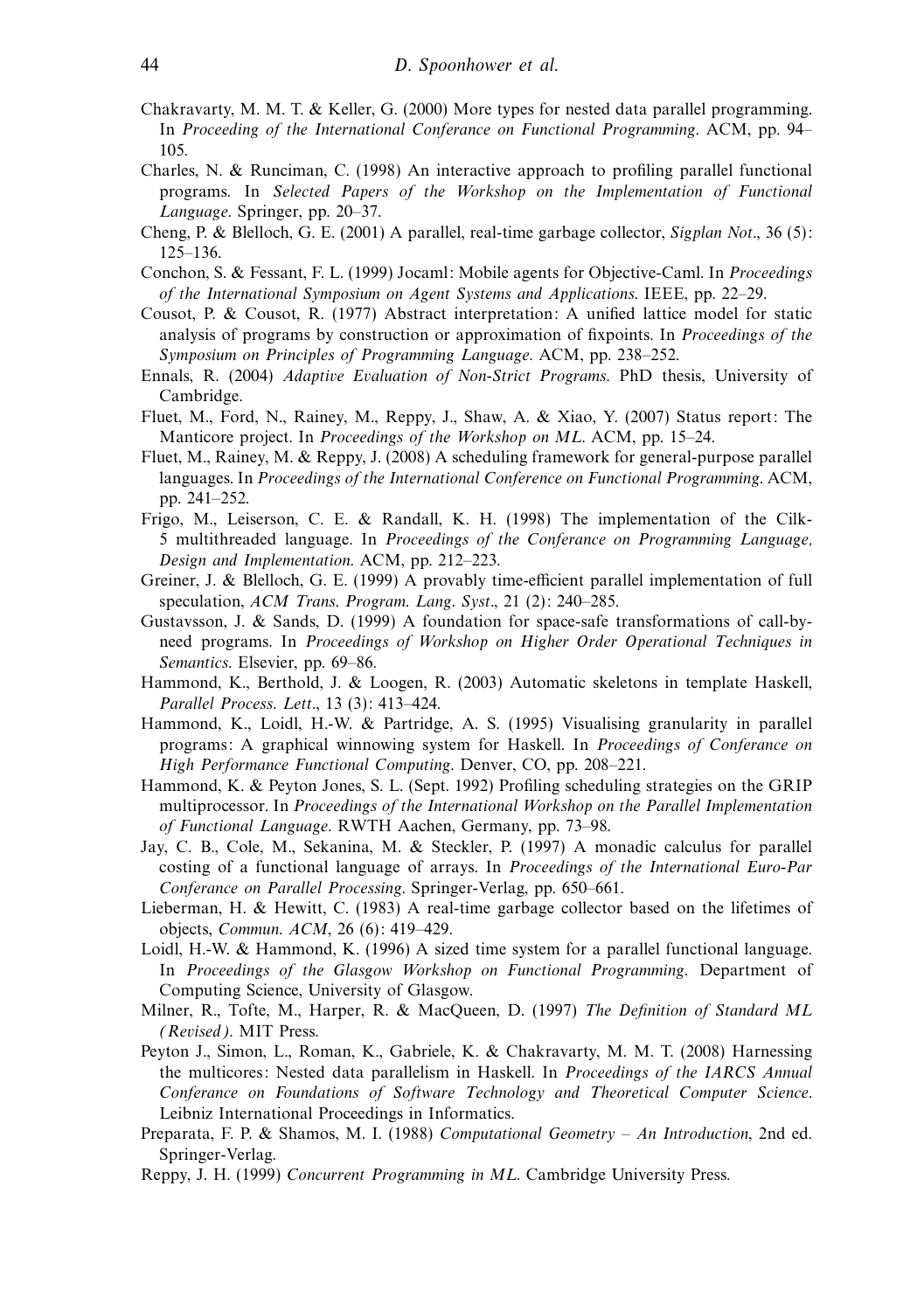- Chakravarty, M. M. T. & Keller, G. (2000) More types for nested data parallel programming. In Proceeding of the International Conferance on Functional Programming. ACM, pp. 94– 105.
- Charles, N. & Runciman, C. (1998) An interactive approach to profiling parallel functional programs. In Selected Papers of the Workshop on the Implementation of Functional Language. Springer, pp. 20–37.
- Cheng, P. & Blelloch, G. E. (2001) A parallel, real-time garbage collector, Sigplan Not., 36 (5): 125–136.
- Conchon, S. & Fessant, F. L. (1999) Jocaml: Mobile agents for Objective-Caml. In Proceedings of the International Symposium on Agent Systems and Applications. IEEE, pp. 22–29.
- Cousot, P. & Cousot, R. (1977) Abstract interpretation: A unified lattice model for static analysis of programs by construction or approximation of fixpoints. In Proceedings of the Symposium on Principles of Programming Language. ACM, pp. 238–252.
- Ennals, R. (2004) Adaptive Evaluation of Non-Strict Programs. PhD thesis, University of Cambridge.
- Fluet, M., Ford, N., Rainey, M., Reppy, J., Shaw, A. & Xiao, Y. (2007) Status report: The Manticore project. In *Proceedings of the Workshop on ML*. ACM, pp. 15–24.
- Fluet, M., Rainey, M. & Reppy, J. (2008) A scheduling framework for general-purpose parallel languages. In Proceedings of the International Conference on Functional Programming. ACM, pp. 241–252.
- Frigo, M., Leiserson, C. E. & Randall, K. H. (1998) The implementation of the Cilk-5 multithreaded language. In Proceedings of the Conferance on Programming Language, Design and Implementation. ACM, pp. 212–223.
- Greiner, J. & Blelloch, G. E. (1999) A provably time-efficient parallel implementation of full speculation, ACM Trans. Program. Lang. Syst., 21 (2): 240–285.
- Gustavsson, J. & Sands, D. (1999) A foundation for space-safe transformations of call-byneed programs. In Proceedings of Workshop on Higher Order Operational Techniques in Semantics. Elsevier, pp. 69–86.
- Hammond, K., Berthold, J. & Loogen, R. (2003) Automatic skeletons in template Haskell, Parallel Process. Lett., 13 (3): 413–424.
- Hammond, K., Loidl, H.-W. & Partridge, A. S. (1995) Visualising granularity in parallel programs: A graphical winnowing system for Haskell. In Proceedings of Conferance on High Performance Functional Computing. Denver, CO, pp. 208–221.
- Hammond, K. & Peyton Jones, S. L. (Sept. 1992) Profiling scheduling strategies on the GRIP multiprocessor. In Proceedings of the International Workshop on the Parallel Implementation of Functional Language. RWTH Aachen, Germany, pp. 73–98.
- Jay, C. B., Cole, M., Sekanina, M. & Steckler, P. (1997) A monadic calculus for parallel costing of a functional language of arrays. In Proceedings of the International Euro-Par Conferance on Parallel Processing. Springer-Verlag, pp. 650–661.
- Lieberman, H. & Hewitt, C. (1983) A real-time garbage collector based on the lifetimes of objects, Commun. ACM, 26 (6): 419–429.
- Loidl, H.-W. & Hammond, K. (1996) A sized time system for a parallel functional language. In Proceedings of the Glasgow Workshop on Functional Programming. Department of Computing Science, University of Glasgow.
- Milner, R., Tofte, M., Harper, R. & MacQueen, D. (1997) The Definition of Standard ML (Revised). MIT Press.
- Peyton J., Simon, L., Roman, K., Gabriele, K. & Chakravarty, M. M. T. (2008) Harnessing the multicores: Nested data parallelism in Haskell. In Proceedings of the IARCS Annual Conferance on Foundations of Software Technology and Theoretical Computer Science. Leibniz International Proceedings in Informatics.
- Preparata, F. P. & Shamos, M. I. (1988) Computational Geometry An Introduction, 2nd ed. Springer-Verlag.
- Reppy, J. H. (1999) Concurrent Programming in ML. Cambridge University Press.